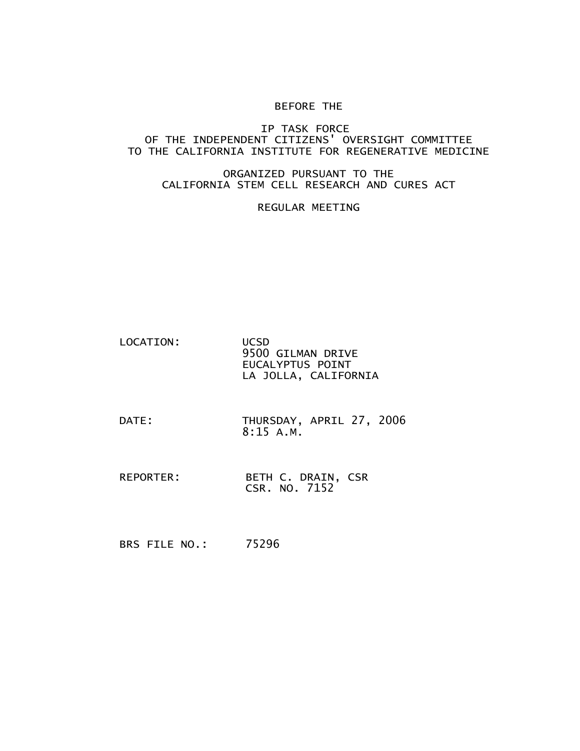## BEFORE THE

## IP TASK FORCE OF THE INDEPENDENT CITIZENS' OVERSIGHT COMMITTEE TO THE CALIFORNIA INSTITUTE FOR REGENERATIVE MEDICINE

## ORGANIZED PURSUANT TO THE CALIFORNIA STEM CELL RESEARCH AND CURES ACT

## REGULAR MEETING

| LOCATION: | <b>UCSD</b>          |
|-----------|----------------------|
|           | 9500 GILMAN DRIVE    |
|           | EUCALYPTUS POINT     |
|           | LA JOLLA, CALIFORNIA |

- DATE: THURSDAY, APRIL 27, 2006 8:15 A.M.
- REPORTER: BETH C. DRAIN, CSR CSR. NO. 7152
- BRS FILE NO.: 75296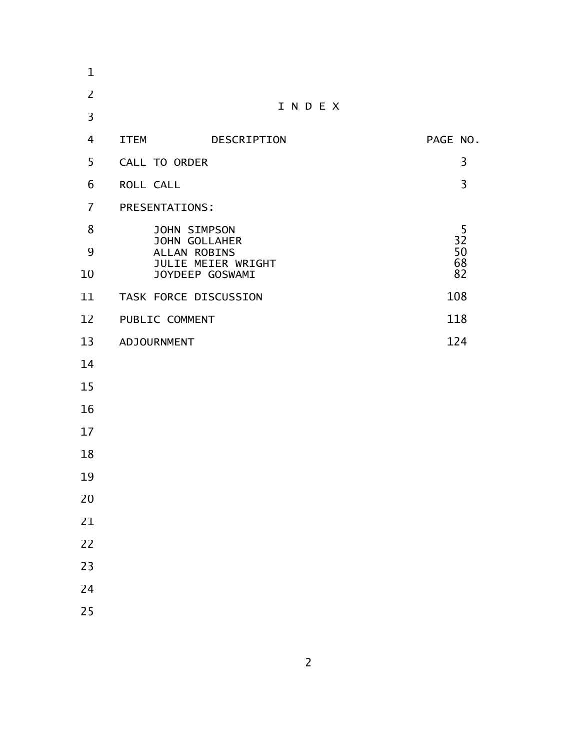| 1              |                                      |                                       |                |
|----------------|--------------------------------------|---------------------------------------|----------------|
| $\overline{2}$ |                                      |                                       |                |
| $\overline{3}$ |                                      | INDEX                                 |                |
| 4              | <b>ITEM</b>                          | DESCRIPTION                           | PAGE NO.       |
| 5              | CALL TO ORDER                        |                                       | 3              |
| 6              | ROLL CALL                            |                                       | $\overline{3}$ |
| $\overline{7}$ | <b>PRESENTATIONS:</b>                |                                       |                |
| 8              |                                      | <b>JOHN SIMPSON</b>                   | 5              |
| 9              | <b>JOHN GOLLAHER</b><br>ALLAN ROBINS |                                       | 32<br>50       |
| 10             |                                      | JULIE MEIER WRIGHT<br>JOYDEEP GOSWAMI | 68<br>82       |
| 11             |                                      | TASK FORCE DISCUSSION                 | 108            |
| 12             | PUBLIC COMMENT                       |                                       | 118            |
| 13             | ADJOURNMENT                          |                                       | 124            |
| 14             |                                      |                                       |                |
| 15             |                                      |                                       |                |
| 16             |                                      |                                       |                |
| 17             |                                      |                                       |                |
| 18             |                                      |                                       |                |
| 19             |                                      |                                       |                |
| 20             |                                      |                                       |                |
| 21             |                                      |                                       |                |
| 22             |                                      |                                       |                |
| 23             |                                      |                                       |                |
| 24             |                                      |                                       |                |
| 25             |                                      |                                       |                |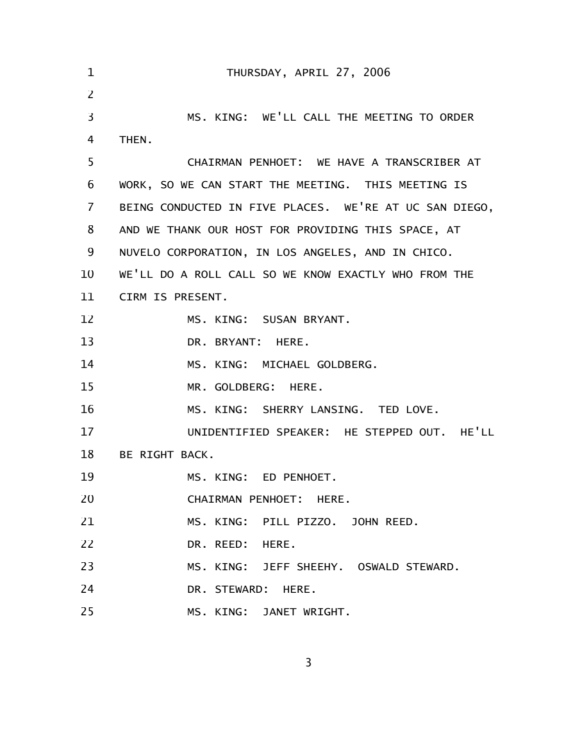| $\mathbf 1$ | THURSDAY, APRIL 27, 2006                               |
|-------------|--------------------------------------------------------|
| 2           |                                                        |
| 3           | MS. KING: WE'LL CALL THE MEETING TO ORDER              |
| 4           | THEN.                                                  |
| 5           | CHAIRMAN PENHOET: WE HAVE A TRANSCRIBER AT             |
| 6           | WORK, SO WE CAN START THE MEETING. THIS MEETING IS     |
| 7           | BEING CONDUCTED IN FIVE PLACES. WE'RE AT UC SAN DIEGO, |
| 8           | AND WE THANK OUR HOST FOR PROVIDING THIS SPACE, AT     |
| 9           | NUVELO CORPORATION, IN LOS ANGELES, AND IN CHICO.      |
| 10          | WE'LL DO A ROLL CALL SO WE KNOW EXACTLY WHO FROM THE   |
| 11          | CIRM IS PRESENT.                                       |
| 12          | MS. KING: SUSAN BRYANT.                                |
| 13          | DR. BRYANT: HERE.                                      |
| 14          | MS. KING: MICHAEL GOLDBERG.                            |
| 15          | MR. GOLDBERG: HERE.                                    |
| 16          | MS. KING: SHERRY LANSING. TED LOVE.                    |
| 17          | UNIDENTIFIED SPEAKER: HE STEPPED OUT. HE'LL            |
| 18          | BE RIGHT BACK.                                         |
| 19          | MS. KING: ED PENHOET.                                  |
| 20          | CHAIRMAN PENHOET: HERE.                                |
| 21          | MS. KING: PILL PIZZO. JOHN REED.                       |
| 22          | DR. REED: HERE.                                        |
| 23          | MS. KING: JEFF SHEEHY. OSWALD STEWARD.                 |
| 24          | DR. STEWARD: HERE.                                     |
| 25          | MS. KING: JANET WRIGHT.                                |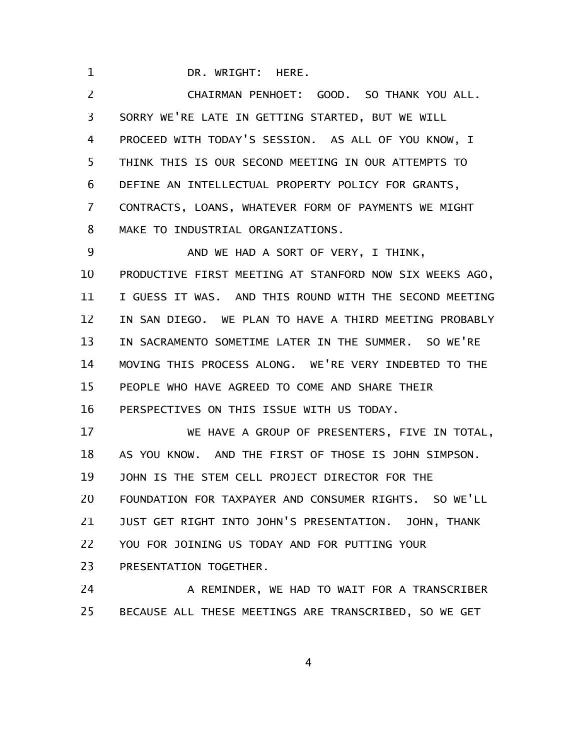DR. WRIGHT: HERE.

1

CHAIRMAN PENHOET: GOOD. SO THANK YOU ALL. SORRY WE'RE LATE IN GETTING STARTED, BUT WE WILL PROCEED WITH TODAY'S SESSION. AS ALL OF YOU KNOW, I THINK THIS IS OUR SECOND MEETING IN OUR ATTEMPTS TO DEFINE AN INTELLECTUAL PROPERTY POLICY FOR GRANTS, CONTRACTS, LOANS, WHATEVER FORM OF PAYMENTS WE MIGHT MAKE TO INDUSTRIAL ORGANIZATIONS. 2 3 4 5 6 7 8

AND WE HAD A SORT OF VERY, I THINK, PRODUCTIVE FIRST MEETING AT STANFORD NOW SIX WEEKS AGO, I GUESS IT WAS. AND THIS ROUND WITH THE SECOND MEETING IN SAN DIEGO. WE PLAN TO HAVE A THIRD MEETING PROBABLY IN SACRAMENTO SOMETIME LATER IN THE SUMMER. SO WE'RE MOVING THIS PROCESS ALONG. WE'RE VERY INDEBTED TO THE PEOPLE WHO HAVE AGREED TO COME AND SHARE THEIR PERSPECTIVES ON THIS ISSUE WITH US TODAY. 9 10 11 12 13 14 15 16

WE HAVE A GROUP OF PRESENTERS, FIVE IN TOTAL, AS YOU KNOW. AND THE FIRST OF THOSE IS JOHN SIMPSON. JOHN IS THE STEM CELL PROJECT DIRECTOR FOR THE FOUNDATION FOR TAXPAYER AND CONSUMER RIGHTS. SO WE'LL JUST GET RIGHT INTO JOHN'S PRESENTATION. JOHN, THANK YOU FOR JOINING US TODAY AND FOR PUTTING YOUR PRESENTATION TOGETHER. 17 18 19 20 21 22 23

A REMINDER, WE HAD TO WAIT FOR A TRANSCRIBER BECAUSE ALL THESE MEETINGS ARE TRANSCRIBED, SO WE GET 24 25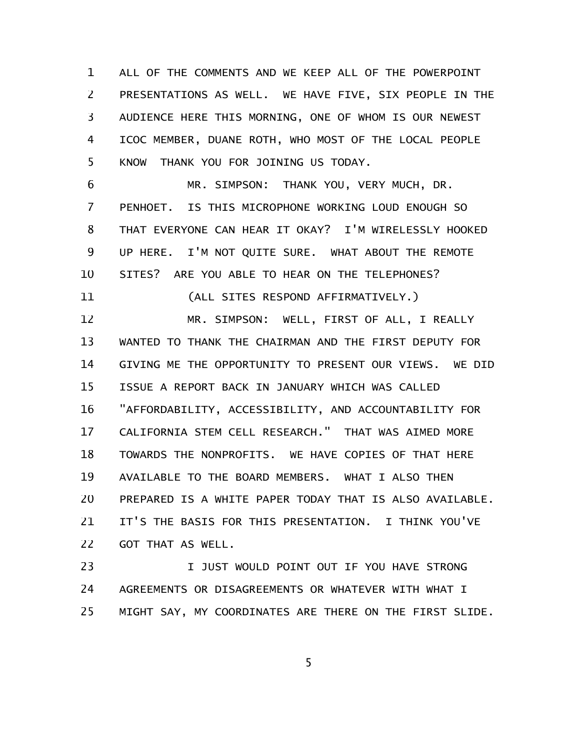ALL OF THE COMMENTS AND WE KEEP ALL OF THE POWERPOINT PRESENTATIONS AS WELL. WE HAVE FIVE, SIX PEOPLE IN THE AUDIENCE HERE THIS MORNING, ONE OF WHOM IS OUR NEWEST ICOC MEMBER, DUANE ROTH, WHO MOST OF THE LOCAL PEOPLE KNOW THANK YOU FOR JOINING US TODAY. 1 2 3 4 5

MR. SIMPSON: THANK YOU, VERY MUCH, DR. PENHOET. IS THIS MICROPHONE WORKING LOUD ENOUGH SO THAT EVERYONE CAN HEAR IT OKAY? I'M WIRELESSLY HOOKED UP HERE. I'M NOT QUITE SURE. WHAT ABOUT THE REMOTE SITES? ARE YOU ABLE TO HEAR ON THE TELEPHONES? (ALL SITES RESPOND AFFIRMATIVELY.) 6 7 8 9 10 11

MR. SIMPSON: WELL, FIRST OF ALL, I REALLY WANTED TO THANK THE CHAIRMAN AND THE FIRST DEPUTY FOR GIVING ME THE OPPORTUNITY TO PRESENT OUR VIEWS. WE DID ISSUE A REPORT BACK IN JANUARY WHICH WAS CALLED "AFFORDABILITY, ACCESSIBILITY, AND ACCOUNTABILITY FOR CALIFORNIA STEM CELL RESEARCH." THAT WAS AIMED MORE TOWARDS THE NONPROFITS. WE HAVE COPIES OF THAT HERE AVAILABLE TO THE BOARD MEMBERS. WHAT I ALSO THEN PREPARED IS A WHITE PAPER TODAY THAT IS ALSO AVAILABLE. IT'S THE BASIS FOR THIS PRESENTATION. I THINK YOU'VE GOT THAT AS WELL. 12 13 14 15 16 17 18 19 20 21 22

I JUST WOULD POINT OUT IF YOU HAVE STRONG AGREEMENTS OR DISAGREEMENTS OR WHATEVER WITH WHAT I MIGHT SAY, MY COORDINATES ARE THERE ON THE FIRST SLIDE. 23 24 25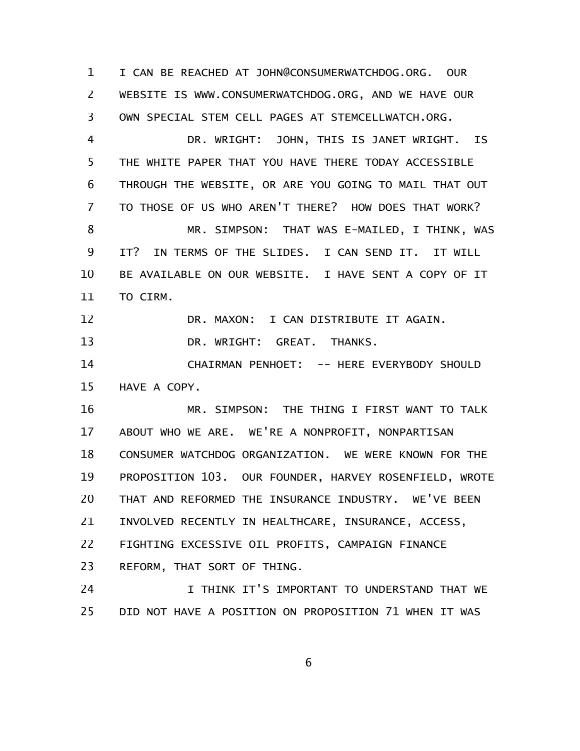I CAN BE REACHED AT JOHN@CONSUMERWATCHDOG.ORG. OUR WEBSITE IS WWW.CONSUMERWATCHDOG.ORG, AND WE HAVE OUR OWN SPECIAL STEM CELL PAGES AT STEMCELLWATCH.ORG. 1 2 3

DR. WRIGHT: JOHN, THIS IS JANET WRIGHT. IS THE WHITE PAPER THAT YOU HAVE THERE TODAY ACCESSIBLE THROUGH THE WEBSITE, OR ARE YOU GOING TO MAIL THAT OUT TO THOSE OF US WHO AREN'T THERE? HOW DOES THAT WORK? MR. SIMPSON: THAT WAS E-MAILED, I THINK, WAS IT? IN TERMS OF THE SLIDES. I CAN SEND IT. IT WILL BE AVAILABLE ON OUR WEBSITE. I HAVE SENT A COPY OF IT TO CIRM. 4 5 6 7 8 9 10 11

DR. MAXON: I CAN DISTRIBUTE IT AGAIN. 12

DR. WRIGHT: GREAT. THANKS. 13

CHAIRMAN PENHOET: -- HERE EVERYBODY SHOULD HAVE A COPY. 14 15

MR. SIMPSON: THE THING I FIRST WANT TO TALK ABOUT WHO WE ARE. WE'RE A NONPROFIT, NONPARTISAN CONSUMER WATCHDOG ORGANIZATION. WE WERE KNOWN FOR THE PROPOSITION 103. OUR FOUNDER, HARVEY ROSENFIELD, WROTE THAT AND REFORMED THE INSURANCE INDUSTRY. WE'VE BEEN INVOLVED RECENTLY IN HEALTHCARE, INSURANCE, ACCESS, FIGHTING EXCESSIVE OIL PROFITS, CAMPAIGN FINANCE REFORM, THAT SORT OF THING. 16 17 18 19 20 21 22 23

I THINK IT'S IMPORTANT TO UNDERSTAND THAT WE DID NOT HAVE A POSITION ON PROPOSITION 71 WHEN IT WAS 24 25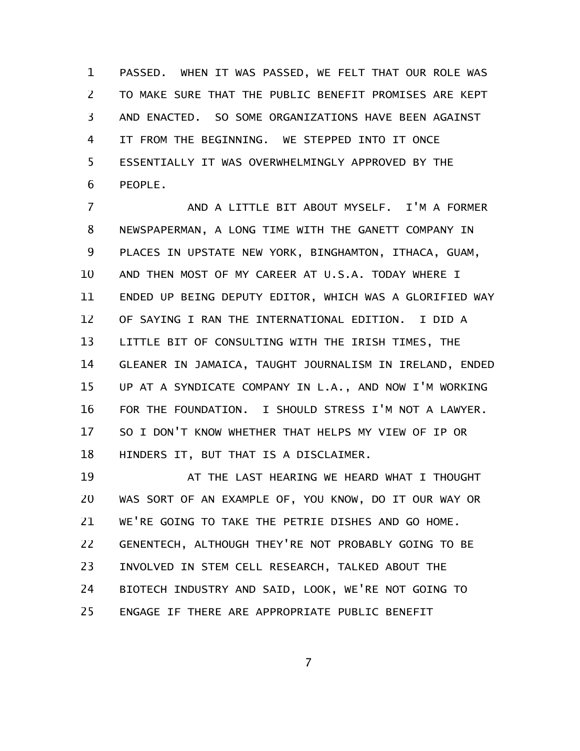PASSED. WHEN IT WAS PASSED, WE FELT THAT OUR ROLE WAS TO MAKE SURE THAT THE PUBLIC BENEFIT PROMISES ARE KEPT AND ENACTED. SO SOME ORGANIZATIONS HAVE BEEN AGAINST IT FROM THE BEGINNING. WE STEPPED INTO IT ONCE ESSENTIALLY IT WAS OVERWHELMINGLY APPROVED BY THE PEOPLE. 1 2 3 4 5 6

AND A LITTLE BIT ABOUT MYSELF. I'M A FORMER NEWSPAPERMAN, A LONG TIME WITH THE GANETT COMPANY IN PLACES IN UPSTATE NEW YORK, BINGHAMTON, ITHACA, GUAM, AND THEN MOST OF MY CAREER AT U.S.A. TODAY WHERE I ENDED UP BEING DEPUTY EDITOR, WHICH WAS A GLORIFIED WAY OF SAYING I RAN THE INTERNATIONAL EDITION. I DID A LITTLE BIT OF CONSULTING WITH THE IRISH TIMES, THE GLEANER IN JAMAICA, TAUGHT JOURNALISM IN IRELAND, ENDED UP AT A SYNDICATE COMPANY IN L.A., AND NOW I'M WORKING FOR THE FOUNDATION. I SHOULD STRESS I'M NOT A LAWYER. SO I DON'T KNOW WHETHER THAT HELPS MY VIEW OF IP OR HINDERS IT, BUT THAT IS A DISCLAIMER. 7 8 9 10 11 12 13 14 15 16 17 18

AT THE LAST HEARING WE HEARD WHAT I THOUGHT WAS SORT OF AN EXAMPLE OF, YOU KNOW, DO IT OUR WAY OR WE'RE GOING TO TAKE THE PETRIE DISHES AND GO HOME. GENENTECH, ALTHOUGH THEY'RE NOT PROBABLY GOING TO BE INVOLVED IN STEM CELL RESEARCH, TALKED ABOUT THE BIOTECH INDUSTRY AND SAID, LOOK, WE'RE NOT GOING TO ENGAGE IF THERE ARE APPROPRIATE PUBLIC BENEFIT 19 20 21 22 23 24 25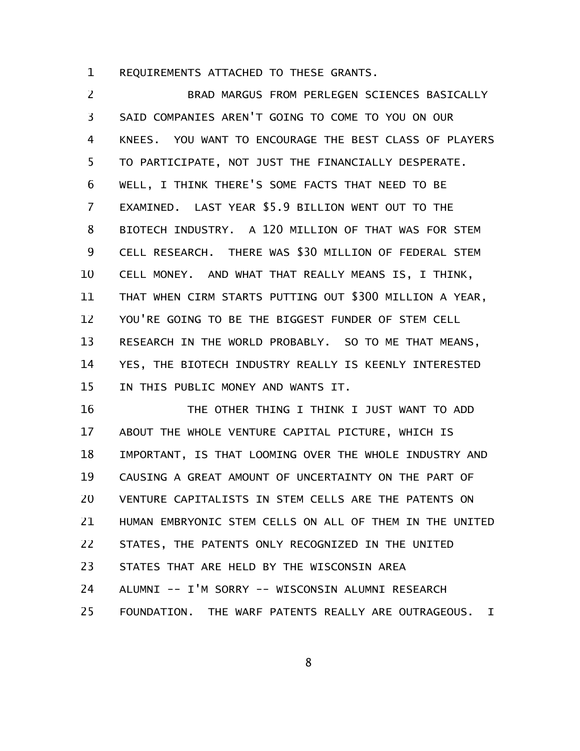REQUIREMENTS ATTACHED TO THESE GRANTS. 1

BRAD MARGUS FROM PERLEGEN SCIENCES BASICALLY SAID COMPANIES AREN'T GOING TO COME TO YOU ON OUR KNEES. YOU WANT TO ENCOURAGE THE BEST CLASS OF PLAYERS TO PARTICIPATE, NOT JUST THE FINANCIALLY DESPERATE. WELL, I THINK THERE'S SOME FACTS THAT NEED TO BE EXAMINED. LAST YEAR \$5.9 BILLION WENT OUT TO THE BIOTECH INDUSTRY. A 120 MILLION OF THAT WAS FOR STEM CELL RESEARCH. THERE WAS \$30 MILLION OF FEDERAL STEM CELL MONEY. AND WHAT THAT REALLY MEANS IS, I THINK, THAT WHEN CIRM STARTS PUTTING OUT \$300 MILLION A YEAR, YOU'RE GOING TO BE THE BIGGEST FUNDER OF STEM CELL RESEARCH IN THE WORLD PROBABLY. SO TO ME THAT MEANS, YES, THE BIOTECH INDUSTRY REALLY IS KEENLY INTERESTED IN THIS PUBLIC MONEY AND WANTS IT. 2 3 4 5 6 7 8 9 10 11 12 13 14 15

THE OTHER THING I THINK I JUST WANT TO ADD ABOUT THE WHOLE VENTURE CAPITAL PICTURE, WHICH IS IMPORTANT, IS THAT LOOMING OVER THE WHOLE INDUSTRY AND CAUSING A GREAT AMOUNT OF UNCERTAINTY ON THE PART OF VENTURE CAPITALISTS IN STEM CELLS ARE THE PATENTS ON HUMAN EMBRYONIC STEM CELLS ON ALL OF THEM IN THE UNITED STATES, THE PATENTS ONLY RECOGNIZED IN THE UNITED STATES THAT ARE HELD BY THE WISCONSIN AREA ALUMNI -- I'M SORRY -- WISCONSIN ALUMNI RESEARCH FOUNDATION. THE WARF PATENTS REALLY ARE OUTRAGEOUS. I 16 17 18 19 20 21 22 23 24 25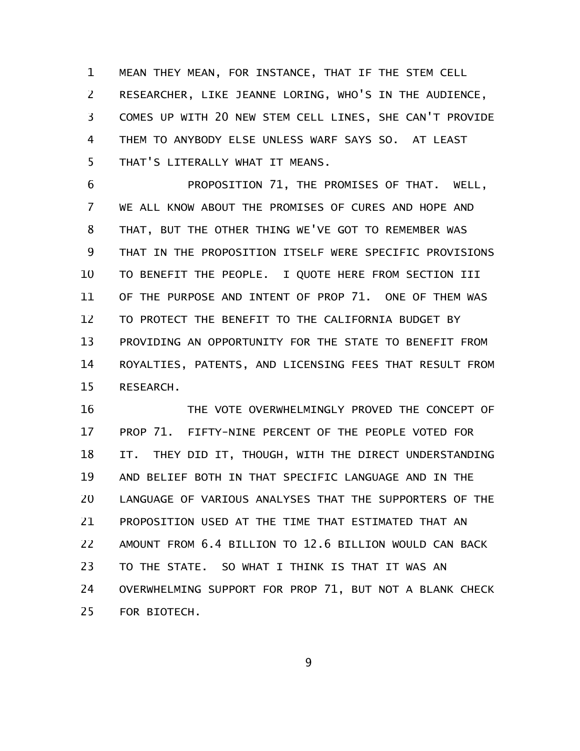MEAN THEY MEAN, FOR INSTANCE, THAT IF THE STEM CELL RESEARCHER, LIKE JEANNE LORING, WHO'S IN THE AUDIENCE, COMES UP WITH 20 NEW STEM CELL LINES, SHE CAN'T PROVIDE THEM TO ANYBODY ELSE UNLESS WARF SAYS SO. AT LEAST THAT'S LITERALLY WHAT IT MEANS. 1 2 3 4 5

PROPOSITION 71, THE PROMISES OF THAT. WELL, WE ALL KNOW ABOUT THE PROMISES OF CURES AND HOPE AND THAT, BUT THE OTHER THING WE'VE GOT TO REMEMBER WAS THAT IN THE PROPOSITION ITSELF WERE SPECIFIC PROVISIONS TO BENEFIT THE PEOPLE. I QUOTE HERE FROM SECTION III OF THE PURPOSE AND INTENT OF PROP 71. ONE OF THEM WAS TO PROTECT THE BENEFIT TO THE CALIFORNIA BUDGET BY PROVIDING AN OPPORTUNITY FOR THE STATE TO BENEFIT FROM ROYALTIES, PATENTS, AND LICENSING FEES THAT RESULT FROM RESEARCH. 6 7 8 9 10 11 12 13 14 15

THE VOTE OVERWHELMINGLY PROVED THE CONCEPT OF PROP 71. FIFTY-NINE PERCENT OF THE PEOPLE VOTED FOR IT. THEY DID IT, THOUGH, WITH THE DIRECT UNDERSTANDING AND BELIEF BOTH IN THAT SPECIFIC LANGUAGE AND IN THE LANGUAGE OF VARIOUS ANALYSES THAT THE SUPPORTERS OF THE PROPOSITION USED AT THE TIME THAT ESTIMATED THAT AN AMOUNT FROM 6.4 BILLION TO 12.6 BILLION WOULD CAN BACK TO THE STATE. SO WHAT I THINK IS THAT IT WAS AN OVERWHELMING SUPPORT FOR PROP 71, BUT NOT A BLANK CHECK FOR BIOTECH. 16 17 18 19 20 21 22 23 24 25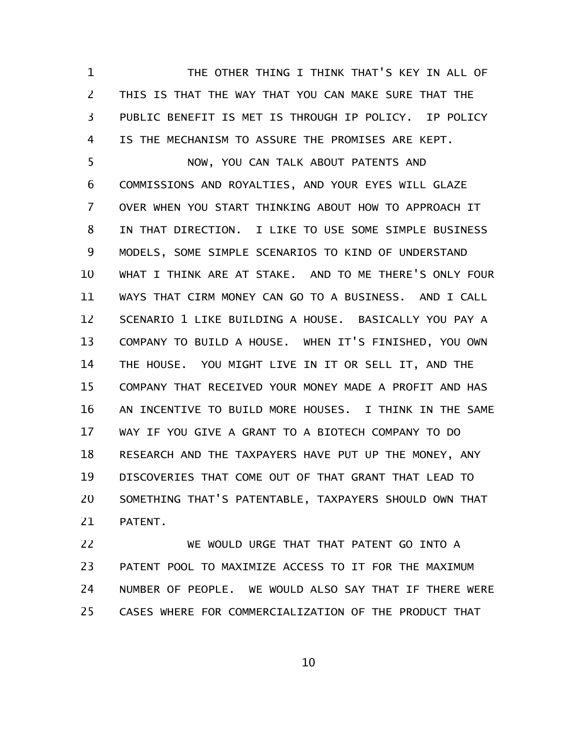THE OTHER THING I THINK THAT'S KEY IN ALL OF THIS IS THAT THE WAY THAT YOU CAN MAKE SURE THAT THE PUBLIC BENEFIT IS MET IS THROUGH IP POLICY. IP POLICY IS THE MECHANISM TO ASSURE THE PROMISES ARE KEPT. 1 2 3 4

NOW, YOU CAN TALK ABOUT PATENTS AND COMMISSIONS AND ROYALTIES, AND YOUR EYES WILL GLAZE OVER WHEN YOU START THINKING ABOUT HOW TO APPROACH IT IN THAT DIRECTION. I LIKE TO USE SOME SIMPLE BUSINESS MODELS, SOME SIMPLE SCENARIOS TO KIND OF UNDERSTAND WHAT I THINK ARE AT STAKE. AND TO ME THERE'S ONLY FOUR WAYS THAT CIRM MONEY CAN GO TO A BUSINESS. AND I CALL SCENARIO 1 LIKE BUILDING A HOUSE. BASICALLY YOU PAY A COMPANY TO BUILD A HOUSE. WHEN IT'S FINISHED, YOU OWN THE HOUSE. YOU MIGHT LIVE IN IT OR SELL IT, AND THE COMPANY THAT RECEIVED YOUR MONEY MADE A PROFIT AND HAS AN INCENTIVE TO BUILD MORE HOUSES. I THINK IN THE SAME WAY IF YOU GIVE A GRANT TO A BIOTECH COMPANY TO DO RESEARCH AND THE TAXPAYERS HAVE PUT UP THE MONEY, ANY DISCOVERIES THAT COME OUT OF THAT GRANT THAT LEAD TO SOMETHING THAT'S PATENTABLE, TAXPAYERS SHOULD OWN THAT PATENT. 5 6 7 8 9 10 11 12 13 14 15 16 17 18 19 20 21

WE WOULD URGE THAT THAT PATENT GO INTO A PATENT POOL TO MAXIMIZE ACCESS TO IT FOR THE MAXIMUM NUMBER OF PEOPLE. WE WOULD ALSO SAY THAT IF THERE WERE CASES WHERE FOR COMMERCIALIZATION OF THE PRODUCT THAT 22 23 24 25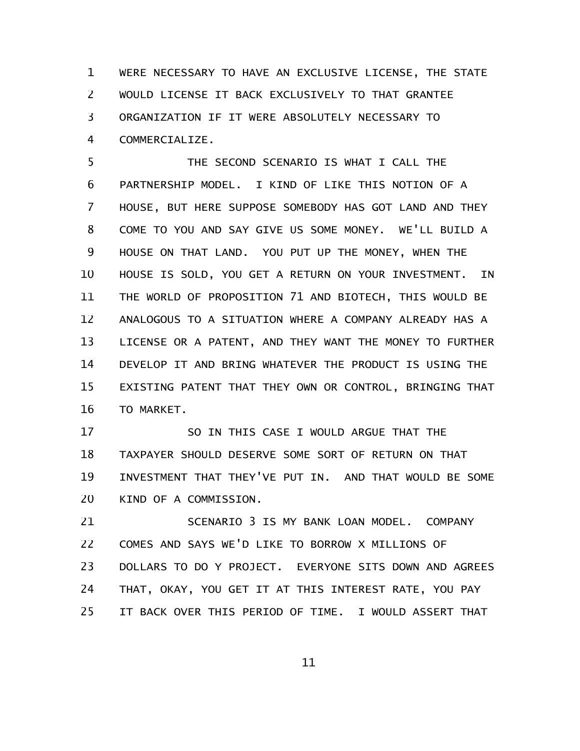WERE NECESSARY TO HAVE AN EXCLUSIVE LICENSE, THE STATE WOULD LICENSE IT BACK EXCLUSIVELY TO THAT GRANTEE ORGANIZATION IF IT WERE ABSOLUTELY NECESSARY TO COMMERCIALIZE. 1 2 3 4

THE SECOND SCENARIO IS WHAT I CALL THE PARTNERSHIP MODEL. I KIND OF LIKE THIS NOTION OF A HOUSE, BUT HERE SUPPOSE SOMEBODY HAS GOT LAND AND THEY COME TO YOU AND SAY GIVE US SOME MONEY. WE'LL BUILD A HOUSE ON THAT LAND. YOU PUT UP THE MONEY, WHEN THE HOUSE IS SOLD, YOU GET A RETURN ON YOUR INVESTMENT. IN THE WORLD OF PROPOSITION 71 AND BIOTECH, THIS WOULD BE ANALOGOUS TO A SITUATION WHERE A COMPANY ALREADY HAS A LICENSE OR A PATENT, AND THEY WANT THE MONEY TO FURTHER DEVELOP IT AND BRING WHATEVER THE PRODUCT IS USING THE EXISTING PATENT THAT THEY OWN OR CONTROL, BRINGING THAT TO MARKET. 5 6 7 8 9 10 11 12 13 14 15 16

SO IN THIS CASE I WOULD ARGUE THAT THE TAXPAYER SHOULD DESERVE SOME SORT OF RETURN ON THAT INVESTMENT THAT THEY'VE PUT IN. AND THAT WOULD BE SOME KIND OF A COMMISSION. 17 18 19 20

SCENARIO 3 IS MY BANK LOAN MODEL. COMPANY COMES AND SAYS WE'D LIKE TO BORROW X MILLIONS OF DOLLARS TO DO Y PROJECT. EVERYONE SITS DOWN AND AGREES THAT, OKAY, YOU GET IT AT THIS INTEREST RATE, YOU PAY IT BACK OVER THIS PERIOD OF TIME. I WOULD ASSERT THAT 21 22 23 24 25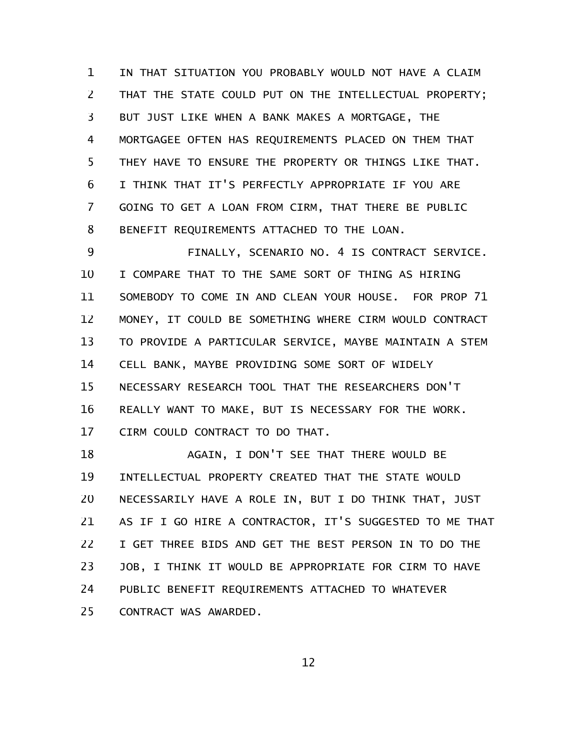IN THAT SITUATION YOU PROBABLY WOULD NOT HAVE A CLAIM THAT THE STATE COULD PUT ON THE INTELLECTUAL PROPERTY; BUT JUST LIKE WHEN A BANK MAKES A MORTGAGE, THE MORTGAGEE OFTEN HAS REQUIREMENTS PLACED ON THEM THAT THEY HAVE TO ENSURE THE PROPERTY OR THINGS LIKE THAT. I THINK THAT IT'S PERFECTLY APPROPRIATE IF YOU ARE GOING TO GET A LOAN FROM CIRM, THAT THERE BE PUBLIC BENEFIT REQUIREMENTS ATTACHED TO THE LOAN. 1 2 3 4 5 6 7 8

FINALLY, SCENARIO NO. 4 IS CONTRACT SERVICE. I COMPARE THAT TO THE SAME SORT OF THING AS HIRING SOMEBODY TO COME IN AND CLEAN YOUR HOUSE. FOR PROP 71 MONEY, IT COULD BE SOMETHING WHERE CIRM WOULD CONTRACT TO PROVIDE A PARTICULAR SERVICE, MAYBE MAINTAIN A STEM CELL BANK, MAYBE PROVIDING SOME SORT OF WIDELY NECESSARY RESEARCH TOOL THAT THE RESEARCHERS DON'T REALLY WANT TO MAKE, BUT IS NECESSARY FOR THE WORK. CIRM COULD CONTRACT TO DO THAT. 9 10 11 12 13 14 15 16 17

AGAIN, I DON'T SEE THAT THERE WOULD BE INTELLECTUAL PROPERTY CREATED THAT THE STATE WOULD NECESSARILY HAVE A ROLE IN, BUT I DO THINK THAT, JUST AS IF I GO HIRE A CONTRACTOR, IT'S SUGGESTED TO ME THAT I GET THREE BIDS AND GET THE BEST PERSON IN TO DO THE JOB, I THINK IT WOULD BE APPROPRIATE FOR CIRM TO HAVE PUBLIC BENEFIT REQUIREMENTS ATTACHED TO WHATEVER CONTRACT WAS AWARDED. 18 19 20 21 22 23 24 25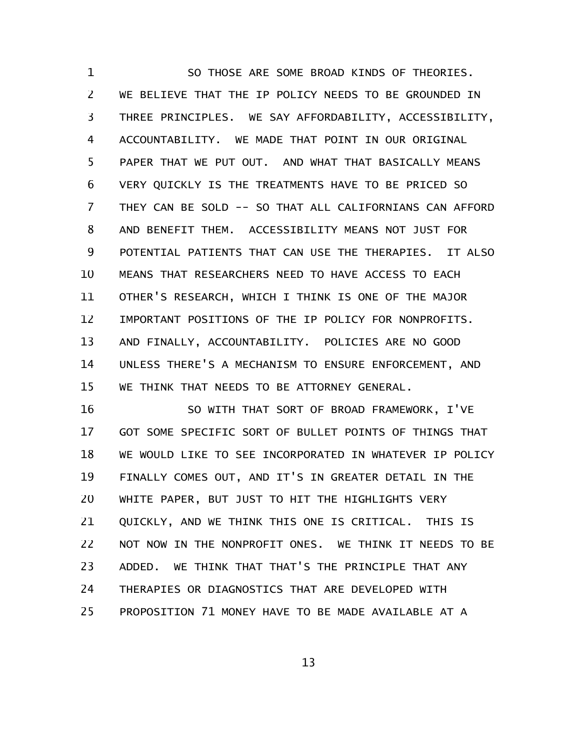SO THOSE ARE SOME BROAD KINDS OF THEORIES. WE BELIEVE THAT THE IP POLICY NEEDS TO BE GROUNDED IN THREE PRINCIPLES. WE SAY AFFORDABILITY, ACCESSIBILITY, ACCOUNTABILITY. WE MADE THAT POINT IN OUR ORIGINAL PAPER THAT WE PUT OUT. AND WHAT THAT BASICALLY MEANS VERY QUICKLY IS THE TREATMENTS HAVE TO BE PRICED SO THEY CAN BE SOLD -- SO THAT ALL CALIFORNIANS CAN AFFORD AND BENEFIT THEM. ACCESSIBILITY MEANS NOT JUST FOR POTENTIAL PATIENTS THAT CAN USE THE THERAPIES. IT ALSO MEANS THAT RESEARCHERS NEED TO HAVE ACCESS TO EACH OTHER'S RESEARCH, WHICH I THINK IS ONE OF THE MAJOR IMPORTANT POSITIONS OF THE IP POLICY FOR NONPROFITS. AND FINALLY, ACCOUNTABILITY. POLICIES ARE NO GOOD UNLESS THERE'S A MECHANISM TO ENSURE ENFORCEMENT, AND WE THINK THAT NEEDS TO BE ATTORNEY GENERAL. 1 2 3 4 5 6 7 8 9 10 11 12 13 14 15

SO WITH THAT SORT OF BROAD FRAMEWORK, I'VE GOT SOME SPECIFIC SORT OF BULLET POINTS OF THINGS THAT WE WOULD LIKE TO SEE INCORPORATED IN WHATEVER IP POLICY FINALLY COMES OUT, AND IT'S IN GREATER DETAIL IN THE WHITE PAPER, BUT JUST TO HIT THE HIGHLIGHTS VERY QUICKLY, AND WE THINK THIS ONE IS CRITICAL. THIS IS NOT NOW IN THE NONPROFIT ONES. WE THINK IT NEEDS TO BE ADDED. WE THINK THAT THAT'S THE PRINCIPLE THAT ANY THERAPIES OR DIAGNOSTICS THAT ARE DEVELOPED WITH PROPOSITION 71 MONEY HAVE TO BE MADE AVAILABLE AT A 16 17 18 19 20 21 22 23 24 25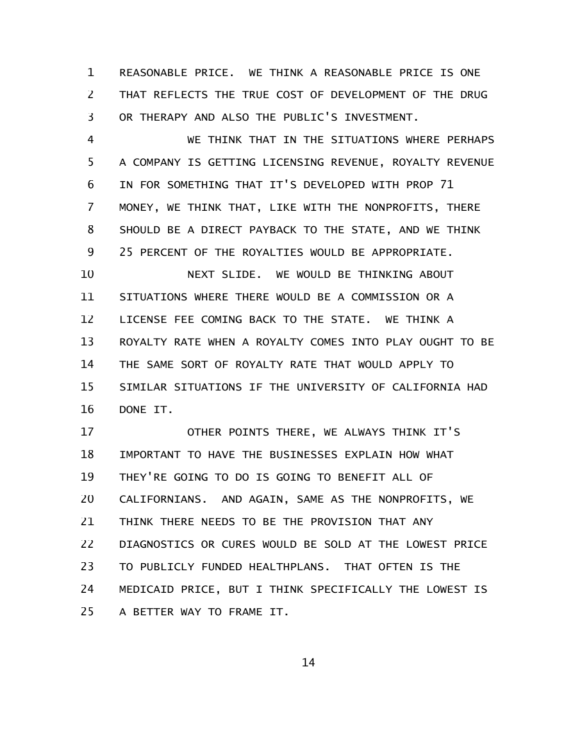REASONABLE PRICE. WE THINK A REASONABLE PRICE IS ONE THAT REFLECTS THE TRUE COST OF DEVELOPMENT OF THE DRUG OR THERAPY AND ALSO THE PUBLIC'S INVESTMENT. 1 2 3

WE THINK THAT IN THE SITUATIONS WHERE PERHAPS A COMPANY IS GETTING LICENSING REVENUE, ROYALTY REVENUE IN FOR SOMETHING THAT IT'S DEVELOPED WITH PROP 71 MONEY, WE THINK THAT, LIKE WITH THE NONPROFITS, THERE SHOULD BE A DIRECT PAYBACK TO THE STATE, AND WE THINK 25 PERCENT OF THE ROYALTIES WOULD BE APPROPRIATE. 4 5 6 7 8 9

NEXT SLIDE. WE WOULD BE THINKING ABOUT SITUATIONS WHERE THERE WOULD BE A COMMISSION OR A LICENSE FEE COMING BACK TO THE STATE. WE THINK A ROYALTY RATE WHEN A ROYALTY COMES INTO PLAY OUGHT TO BE THE SAME SORT OF ROYALTY RATE THAT WOULD APPLY TO SIMILAR SITUATIONS IF THE UNIVERSITY OF CALIFORNIA HAD DONE IT. 10 11 12 13 14 15 16

OTHER POINTS THERE, WE ALWAYS THINK IT'S IMPORTANT TO HAVE THE BUSINESSES EXPLAIN HOW WHAT THEY'RE GOING TO DO IS GOING TO BENEFIT ALL OF CALIFORNIANS. AND AGAIN, SAME AS THE NONPROFITS, WE THINK THERE NEEDS TO BE THE PROVISION THAT ANY DIAGNOSTICS OR CURES WOULD BE SOLD AT THE LOWEST PRICE TO PUBLICLY FUNDED HEALTHPLANS. THAT OFTEN IS THE MEDICAID PRICE, BUT I THINK SPECIFICALLY THE LOWEST IS A BETTER WAY TO FRAME IT. 17 18 19 20 21 22 23 24 25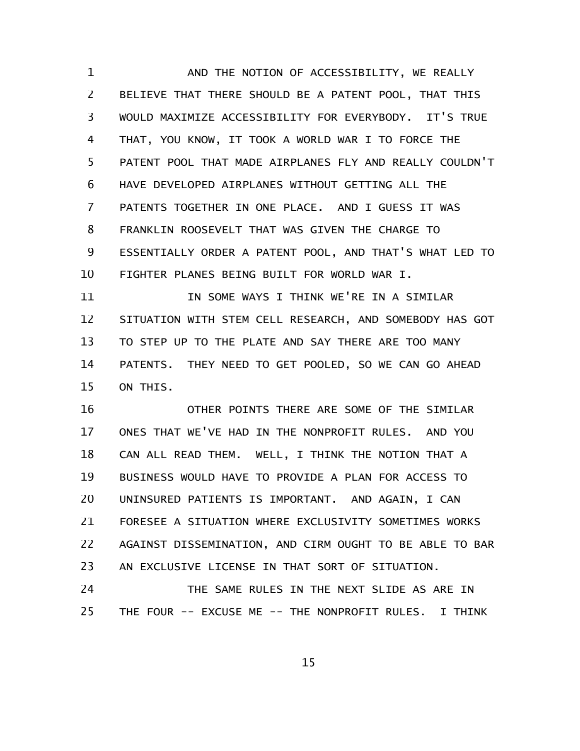AND THE NOTION OF ACCESSIBILITY, WE REALLY BELIEVE THAT THERE SHOULD BE A PATENT POOL, THAT THIS WOULD MAXIMIZE ACCESSIBILITY FOR EVERYBODY. IT'S TRUE THAT, YOU KNOW, IT TOOK A WORLD WAR I TO FORCE THE PATENT POOL THAT MADE AIRPLANES FLY AND REALLY COULDN'T HAVE DEVELOPED AIRPLANES WITHOUT GETTING ALL THE PATENTS TOGETHER IN ONE PLACE. AND I GUESS IT WAS FRANKLIN ROOSEVELT THAT WAS GIVEN THE CHARGE TO ESSENTIALLY ORDER A PATENT POOL, AND THAT'S WHAT LED TO FIGHTER PLANES BEING BUILT FOR WORLD WAR I. 1 2 3 4 5 6 7 8 9 10

IN SOME WAYS I THINK WE'RE IN A SIMILAR SITUATION WITH STEM CELL RESEARCH, AND SOMEBODY HAS GOT TO STEP UP TO THE PLATE AND SAY THERE ARE TOO MANY PATENTS. THEY NEED TO GET POOLED, SO WE CAN GO AHEAD ON THIS. 11 12 13 14 15

OTHER POINTS THERE ARE SOME OF THE SIMILAR ONES THAT WE'VE HAD IN THE NONPROFIT RULES. AND YOU CAN ALL READ THEM. WELL, I THINK THE NOTION THAT A BUSINESS WOULD HAVE TO PROVIDE A PLAN FOR ACCESS TO UNINSURED PATIENTS IS IMPORTANT. AND AGAIN, I CAN FORESEE A SITUATION WHERE EXCLUSIVITY SOMETIMES WORKS AGAINST DISSEMINATION, AND CIRM OUGHT TO BE ABLE TO BAR AN EXCLUSIVE LICENSE IN THAT SORT OF SITUATION. 16 17 18 19 20 21 22 23

THE SAME RULES IN THE NEXT SLIDE AS ARE IN THE FOUR -- EXCUSE ME -- THE NONPROFIT RULES. I THINK 24 25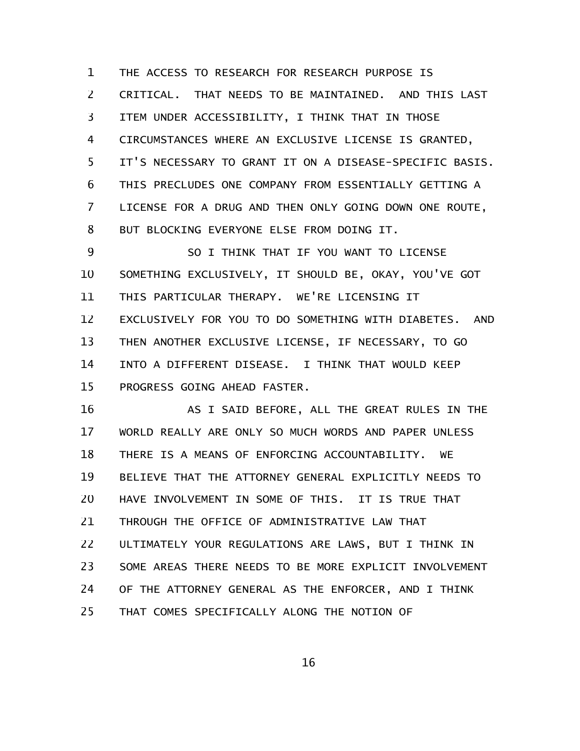THE ACCESS TO RESEARCH FOR RESEARCH PURPOSE IS CRITICAL. THAT NEEDS TO BE MAINTAINED. AND THIS LAST ITEM UNDER ACCESSIBILITY, I THINK THAT IN THOSE CIRCUMSTANCES WHERE AN EXCLUSIVE LICENSE IS GRANTED, IT'S NECESSARY TO GRANT IT ON A DISEASE-SPECIFIC BASIS. THIS PRECLUDES ONE COMPANY FROM ESSENTIALLY GETTING A LICENSE FOR A DRUG AND THEN ONLY GOING DOWN ONE ROUTE, BUT BLOCKING EVERYONE ELSE FROM DOING IT. 1 2 3 4 5 6 7 8

SO I THINK THAT IF YOU WANT TO LICENSE SOMETHING EXCLUSIVELY, IT SHOULD BE, OKAY, YOU'VE GOT THIS PARTICULAR THERAPY. WE'RE LICENSING IT EXCLUSIVELY FOR YOU TO DO SOMETHING WITH DIABETES. AND THEN ANOTHER EXCLUSIVE LICENSE, IF NECESSARY, TO GO INTO A DIFFERENT DISEASE. I THINK THAT WOULD KEEP PROGRESS GOING AHEAD FASTER. 9 10 11 12 13 14 15

AS I SAID BEFORE, ALL THE GREAT RULES IN THE WORLD REALLY ARE ONLY SO MUCH WORDS AND PAPER UNLESS THERE IS A MEANS OF ENFORCING ACCOUNTABILITY. WE BELIEVE THAT THE ATTORNEY GENERAL EXPLICITLY NEEDS TO HAVE INVOLVEMENT IN SOME OF THIS. IT IS TRUE THAT THROUGH THE OFFICE OF ADMINISTRATIVE LAW THAT ULTIMATELY YOUR REGULATIONS ARE LAWS, BUT I THINK IN SOME AREAS THERE NEEDS TO BE MORE EXPLICIT INVOLVEMENT OF THE ATTORNEY GENERAL AS THE ENFORCER, AND I THINK THAT COMES SPECIFICALLY ALONG THE NOTION OF 16 17 18 19 20 21 22 23 24 25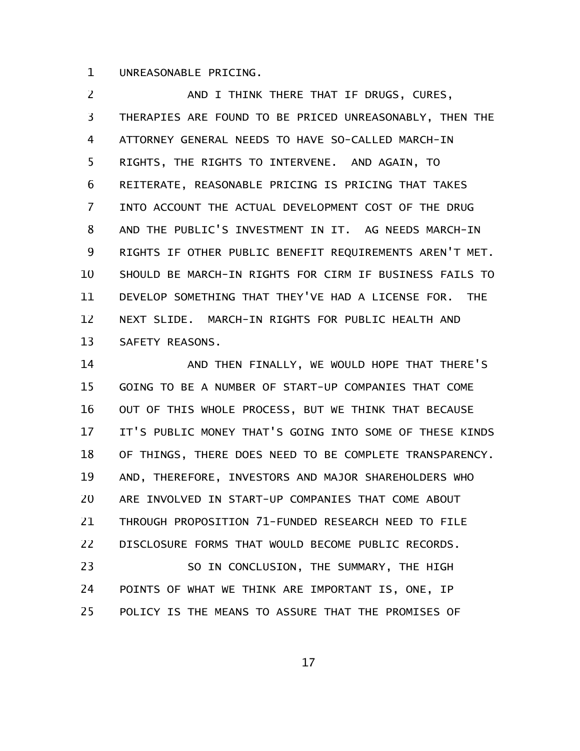UNREASONABLE PRICING. 1

AND I THINK THERE THAT IF DRUGS, CURES, THERAPIES ARE FOUND TO BE PRICED UNREASONABLY, THEN THE ATTORNEY GENERAL NEEDS TO HAVE SO-CALLED MARCH-IN RIGHTS, THE RIGHTS TO INTERVENE. AND AGAIN, TO REITERATE, REASONABLE PRICING IS PRICING THAT TAKES INTO ACCOUNT THE ACTUAL DEVELOPMENT COST OF THE DRUG AND THE PUBLIC'S INVESTMENT IN IT. AG NEEDS MARCH-IN RIGHTS IF OTHER PUBLIC BENEFIT REQUIREMENTS AREN'T MET. SHOULD BE MARCH-IN RIGHTS FOR CIRM IF BUSINESS FAILS TO DEVELOP SOMETHING THAT THEY'VE HAD A LICENSE FOR. THE NEXT SLIDE. MARCH-IN RIGHTS FOR PUBLIC HEALTH AND SAFETY REASONS. 2 3 4 5 6 7 8 9 10 11 12 13

AND THEN FINALLY, WE WOULD HOPE THAT THERE'S GOING TO BE A NUMBER OF START-UP COMPANIES THAT COME OUT OF THIS WHOLE PROCESS, BUT WE THINK THAT BECAUSE IT'S PUBLIC MONEY THAT'S GOING INTO SOME OF THESE KINDS OF THINGS, THERE DOES NEED TO BE COMPLETE TRANSPARENCY. AND, THEREFORE, INVESTORS AND MAJOR SHAREHOLDERS WHO ARE INVOLVED IN START-UP COMPANIES THAT COME ABOUT THROUGH PROPOSITION 71-FUNDED RESEARCH NEED TO FILE DISCLOSURE FORMS THAT WOULD BECOME PUBLIC RECORDS. SO IN CONCLUSION, THE SUMMARY, THE HIGH POINTS OF WHAT WE THINK ARE IMPORTANT IS, ONE, IP POLICY IS THE MEANS TO ASSURE THAT THE PROMISES OF 14 15 16 17 18 19 20 21 22 23 24 25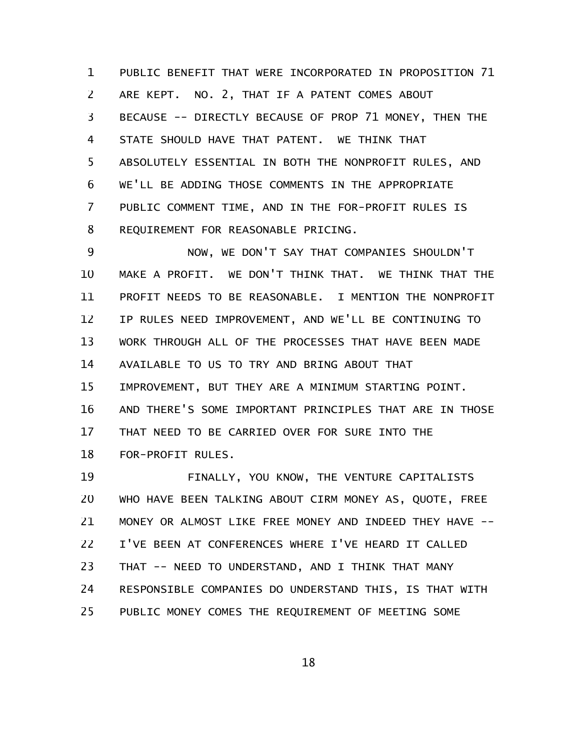PUBLIC BENEFIT THAT WERE INCORPORATED IN PROPOSITION 71 ARE KEPT. NO. 2, THAT IF A PATENT COMES ABOUT BECAUSE -- DIRECTLY BECAUSE OF PROP 71 MONEY, THEN THE STATE SHOULD HAVE THAT PATENT. WE THINK THAT ABSOLUTELY ESSENTIAL IN BOTH THE NONPROFIT RULES, AND WE'LL BE ADDING THOSE COMMENTS IN THE APPROPRIATE PUBLIC COMMENT TIME, AND IN THE FOR-PROFIT RULES IS REQUIREMENT FOR REASONABLE PRICING. 1 2 3 4 5 6 7 8

NOW, WE DON'T SAY THAT COMPANIES SHOULDN'T MAKE A PROFIT. WE DON'T THINK THAT. WE THINK THAT THE PROFIT NEEDS TO BE REASONABLE. I MENTION THE NONPROFIT IP RULES NEED IMPROVEMENT, AND WE'LL BE CONTINUING TO WORK THROUGH ALL OF THE PROCESSES THAT HAVE BEEN MADE AVAILABLE TO US TO TRY AND BRING ABOUT THAT IMPROVEMENT, BUT THEY ARE A MINIMUM STARTING POINT. AND THERE'S SOME IMPORTANT PRINCIPLES THAT ARE IN THOSE THAT NEED TO BE CARRIED OVER FOR SURE INTO THE FOR-PROFIT RULES. 9 10 11 12 13 14 15 16 17 18

FINALLY, YOU KNOW, THE VENTURE CAPITALISTS WHO HAVE BEEN TALKING ABOUT CIRM MONEY AS, QUOTE, FREE MONEY OR ALMOST LIKE FREE MONEY AND INDEED THEY HAVE -- I'VE BEEN AT CONFERENCES WHERE I'VE HEARD IT CALLED THAT -- NEED TO UNDERSTAND, AND I THINK THAT MANY RESPONSIBLE COMPANIES DO UNDERSTAND THIS, IS THAT WITH PUBLIC MONEY COMES THE REQUIREMENT OF MEETING SOME 19 20 21 22 23 24 25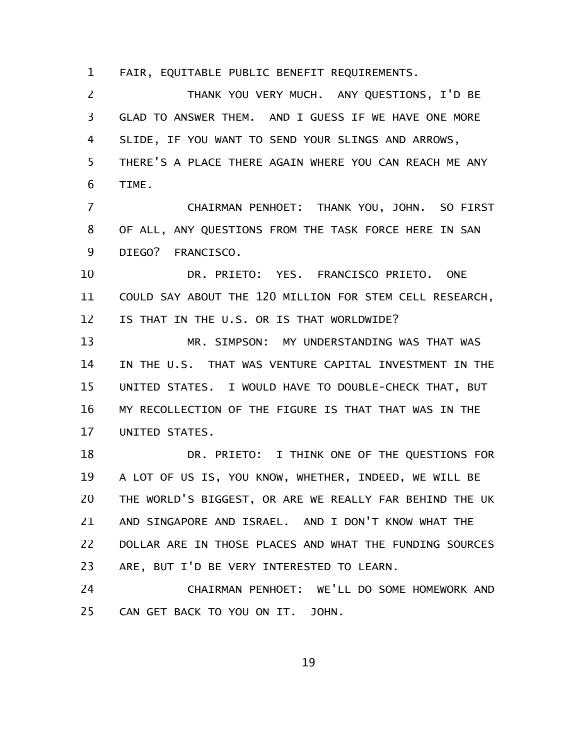FAIR, EQUITABLE PUBLIC BENEFIT REQUIREMENTS. 1

THANK YOU VERY MUCH. ANY QUESTIONS, I'D BE GLAD TO ANSWER THEM. AND I GUESS IF WE HAVE ONE MORE SLIDE, IF YOU WANT TO SEND YOUR SLINGS AND ARROWS, THERE'S A PLACE THERE AGAIN WHERE YOU CAN REACH ME ANY TIME. 2 3 4 5 6

CHAIRMAN PENHOET: THANK YOU, JOHN. SO FIRST OF ALL, ANY QUESTIONS FROM THE TASK FORCE HERE IN SAN DIEGO? FRANCISCO. 7 8 9

DR. PRIETO: YES. FRANCISCO PRIETO. ONE COULD SAY ABOUT THE 120 MILLION FOR STEM CELL RESEARCH, IS THAT IN THE U.S. OR IS THAT WORLDWIDE? 10 11 12

MR. SIMPSON: MY UNDERSTANDING WAS THAT WAS IN THE U.S. THAT WAS VENTURE CAPITAL INVESTMENT IN THE UNITED STATES. I WOULD HAVE TO DOUBLE-CHECK THAT, BUT MY RECOLLECTION OF THE FIGURE IS THAT THAT WAS IN THE UNITED STATES. 13 14 15 16 17

DR. PRIETO: I THINK ONE OF THE QUESTIONS FOR A LOT OF US IS, YOU KNOW, WHETHER, INDEED, WE WILL BE THE WORLD'S BIGGEST, OR ARE WE REALLY FAR BEHIND THE UK AND SINGAPORE AND ISRAEL. AND I DON'T KNOW WHAT THE DOLLAR ARE IN THOSE PLACES AND WHAT THE FUNDING SOURCES ARE, BUT I'D BE VERY INTERESTED TO LEARN. 18 19 20 21 22 23

CHAIRMAN PENHOET: WE'LL DO SOME HOMEWORK AND CAN GET BACK TO YOU ON IT. JOHN. 24 25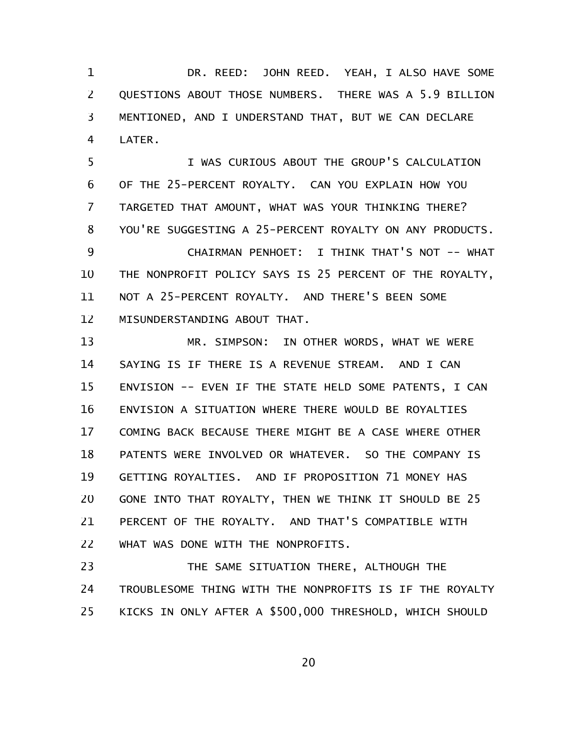DR. REED: JOHN REED. YEAH, I ALSO HAVE SOME QUESTIONS ABOUT THOSE NUMBERS. THERE WAS A 5.9 BILLION MENTIONED, AND I UNDERSTAND THAT, BUT WE CAN DECLARE LATER. 1 2 3 4

I WAS CURIOUS ABOUT THE GROUP'S CALCULATION OF THE 25-PERCENT ROYALTY. CAN YOU EXPLAIN HOW YOU TARGETED THAT AMOUNT, WHAT WAS YOUR THINKING THERE? YOU'RE SUGGESTING A 25-PERCENT ROYALTY ON ANY PRODUCTS. CHAIRMAN PENHOET: I THINK THAT'S NOT -- WHAT THE NONPROFIT POLICY SAYS IS 25 PERCENT OF THE ROYALTY, NOT A 25-PERCENT ROYALTY. AND THERE'S BEEN SOME 5 6 7 8 9 10 11

MISUNDERSTANDING ABOUT THAT. 12

MR. SIMPSON: IN OTHER WORDS, WHAT WE WERE SAYING IS IF THERE IS A REVENUE STREAM. AND I CAN ENVISION -- EVEN IF THE STATE HELD SOME PATENTS, I CAN ENVISION A SITUATION WHERE THERE WOULD BE ROYALTIES COMING BACK BECAUSE THERE MIGHT BE A CASE WHERE OTHER PATENTS WERE INVOLVED OR WHATEVER. SO THE COMPANY IS GETTING ROYALTIES. AND IF PROPOSITION 71 MONEY HAS GONE INTO THAT ROYALTY, THEN WE THINK IT SHOULD BE 25 PERCENT OF THE ROYALTY. AND THAT'S COMPATIBLE WITH WHAT WAS DONE WITH THE NONPROFITS. 13 14 15 16 17 18 19 20 21 22

THE SAME SITUATION THERE, ALTHOUGH THE TROUBLESOME THING WITH THE NONPROFITS IS IF THE ROYALTY KICKS IN ONLY AFTER A \$500,000 THRESHOLD, WHICH SHOULD 23 24 25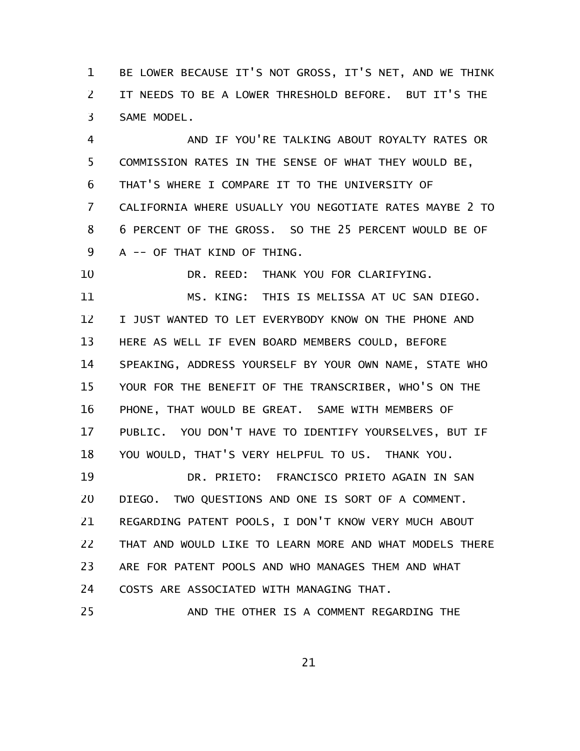BE LOWER BECAUSE IT'S NOT GROSS, IT'S NET, AND WE THINK IT NEEDS TO BE A LOWER THRESHOLD BEFORE. BUT IT'S THE SAME MODEL. 1 2 3

AND IF YOU'RE TALKING ABOUT ROYALTY RATES OR COMMISSION RATES IN THE SENSE OF WHAT THEY WOULD BE, THAT'S WHERE I COMPARE IT TO THE UNIVERSITY OF CALIFORNIA WHERE USUALLY YOU NEGOTIATE RATES MAYBE 2 TO 6 PERCENT OF THE GROSS. SO THE 25 PERCENT WOULD BE OF A -- OF THAT KIND OF THING. 4 5 6 7 8 9

DR. REED: THANK YOU FOR CLARIFYING. MS. KING: THIS IS MELISSA AT UC SAN DIEGO. I JUST WANTED TO LET EVERYBODY KNOW ON THE PHONE AND HERE AS WELL IF EVEN BOARD MEMBERS COULD, BEFORE SPEAKING, ADDRESS YOURSELF BY YOUR OWN NAME, STATE WHO YOUR FOR THE BENEFIT OF THE TRANSCRIBER, WHO'S ON THE PHONE, THAT WOULD BE GREAT. SAME WITH MEMBERS OF PUBLIC. YOU DON'T HAVE TO IDENTIFY YOURSELVES, BUT IF YOU WOULD, THAT'S VERY HELPFUL TO US. THANK YOU. 10 11 12 13 14 15 16 17 18

DR. PRIETO: FRANCISCO PRIETO AGAIN IN SAN DIEGO. TWO QUESTIONS AND ONE IS SORT OF A COMMENT. REGARDING PATENT POOLS, I DON'T KNOW VERY MUCH ABOUT THAT AND WOULD LIKE TO LEARN MORE AND WHAT MODELS THERE ARE FOR PATENT POOLS AND WHO MANAGES THEM AND WHAT COSTS ARE ASSOCIATED WITH MANAGING THAT. AND THE OTHER IS A COMMENT REGARDING THE 19 20 21 22 23 24 25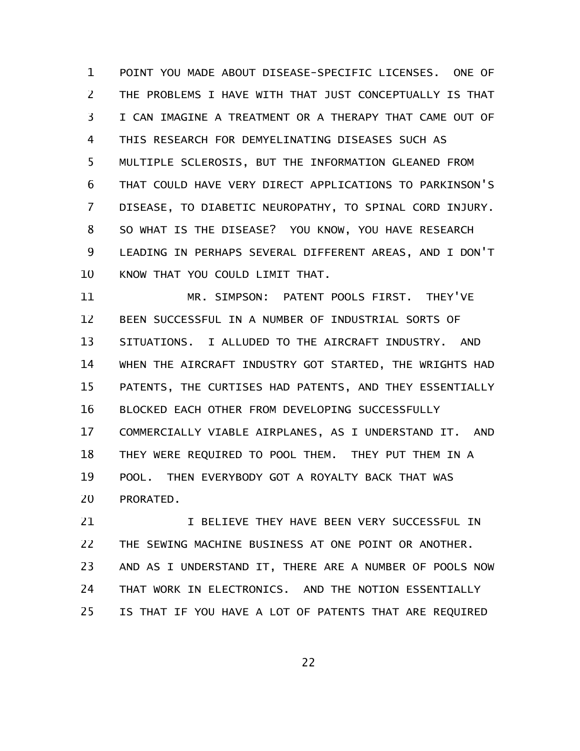POINT YOU MADE ABOUT DISEASE-SPECIFIC LICENSES. ONE OF THE PROBLEMS I HAVE WITH THAT JUST CONCEPTUALLY IS THAT I CAN IMAGINE A TREATMENT OR A THERAPY THAT CAME OUT OF THIS RESEARCH FOR DEMYELINATING DISEASES SUCH AS MULTIPLE SCLEROSIS, BUT THE INFORMATION GLEANED FROM THAT COULD HAVE VERY DIRECT APPLICATIONS TO PARKINSON'S DISEASE, TO DIABETIC NEUROPATHY, TO SPINAL CORD INJURY. SO WHAT IS THE DISEASE? YOU KNOW, YOU HAVE RESEARCH LEADING IN PERHAPS SEVERAL DIFFERENT AREAS, AND I DON'T KNOW THAT YOU COULD LIMIT THAT. 1 2 3 4 5 6 7 8 9 10

MR. SIMPSON: PATENT POOLS FIRST. THEY'VE BEEN SUCCESSFUL IN A NUMBER OF INDUSTRIAL SORTS OF SITUATIONS. I ALLUDED TO THE AIRCRAFT INDUSTRY. AND WHEN THE AIRCRAFT INDUSTRY GOT STARTED, THE WRIGHTS HAD PATENTS, THE CURTISES HAD PATENTS, AND THEY ESSENTIALLY BLOCKED EACH OTHER FROM DEVELOPING SUCCESSFULLY COMMERCIALLY VIABLE AIRPLANES, AS I UNDERSTAND IT. AND THEY WERE REQUIRED TO POOL THEM. THEY PUT THEM IN A POOL. THEN EVERYBODY GOT A ROYALTY BACK THAT WAS PRORATED. 11 12 13 14 15 16 17 18 19 20

I BELIEVE THEY HAVE BEEN VERY SUCCESSFUL IN THE SEWING MACHINE BUSINESS AT ONE POINT OR ANOTHER. AND AS I UNDERSTAND IT, THERE ARE A NUMBER OF POOLS NOW THAT WORK IN ELECTRONICS. AND THE NOTION ESSENTIALLY IS THAT IF YOU HAVE A LOT OF PATENTS THAT ARE REQUIRED 21 22 23 24 25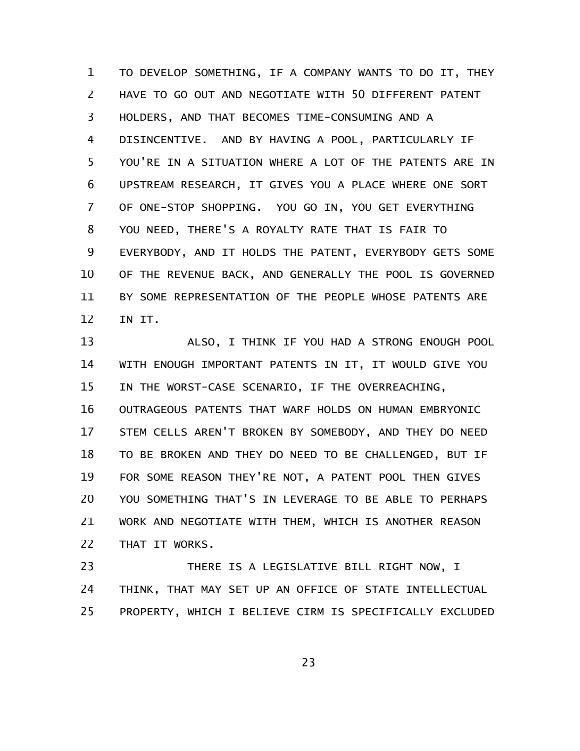TO DEVELOP SOMETHING, IF A COMPANY WANTS TO DO IT, THEY HAVE TO GO OUT AND NEGOTIATE WITH 50 DIFFERENT PATENT HOLDERS, AND THAT BECOMES TIME-CONSUMING AND A DISINCENTIVE. AND BY HAVING A POOL, PARTICULARLY IF YOU'RE IN A SITUATION WHERE A LOT OF THE PATENTS ARE IN UPSTREAM RESEARCH, IT GIVES YOU A PLACE WHERE ONE SORT OF ONE-STOP SHOPPING. YOU GO IN, YOU GET EVERYTHING YOU NEED, THERE'S A ROYALTY RATE THAT IS FAIR TO EVERYBODY, AND IT HOLDS THE PATENT, EVERYBODY GETS SOME OF THE REVENUE BACK, AND GENERALLY THE POOL IS GOVERNED BY SOME REPRESENTATION OF THE PEOPLE WHOSE PATENTS ARE IN IT. 1 2 3 4 5 6 7 8 9 10 11 12

ALSO, I THINK IF YOU HAD A STRONG ENOUGH POOL WITH ENOUGH IMPORTANT PATENTS IN IT, IT WOULD GIVE YOU IN THE WORST-CASE SCENARIO, IF THE OVERREACHING, 13 14 15

OUTRAGEOUS PATENTS THAT WARF HOLDS ON HUMAN EMBRYONIC STEM CELLS AREN'T BROKEN BY SOMEBODY, AND THEY DO NEED TO BE BROKEN AND THEY DO NEED TO BE CHALLENGED, BUT IF FOR SOME REASON THEY'RE NOT, A PATENT POOL THEN GIVES YOU SOMETHING THAT'S IN LEVERAGE TO BE ABLE TO PERHAPS WORK AND NEGOTIATE WITH THEM, WHICH IS ANOTHER REASON THAT IT WORKS. 16 17 18 19 20 21 22

THERE IS A LEGISLATIVE BILL RIGHT NOW, I THINK, THAT MAY SET UP AN OFFICE OF STATE INTELLECTUAL PROPERTY, WHICH I BELIEVE CIRM IS SPECIFICALLY EXCLUDED 23 24 25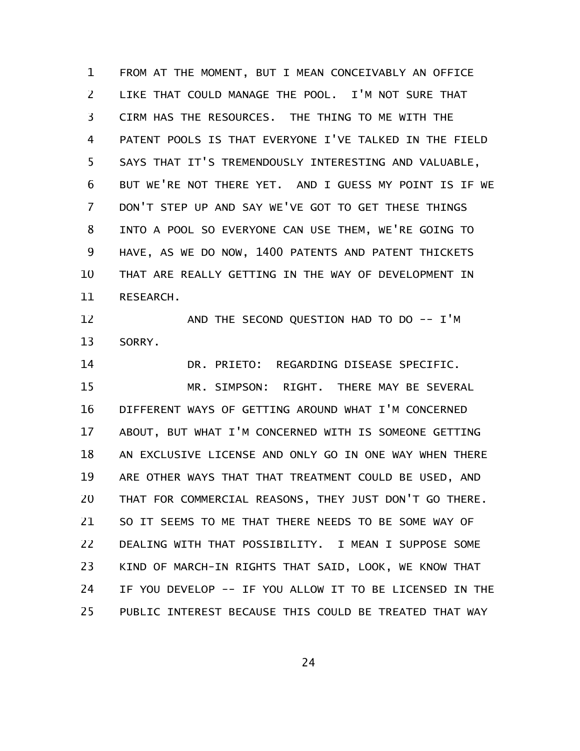FROM AT THE MOMENT, BUT I MEAN CONCEIVABLY AN OFFICE LIKE THAT COULD MANAGE THE POOL. I'M NOT SURE THAT CIRM HAS THE RESOURCES. THE THING TO ME WITH THE PATENT POOLS IS THAT EVERYONE I'VE TALKED IN THE FIELD SAYS THAT IT'S TREMENDOUSLY INTERESTING AND VALUABLE, BUT WE'RE NOT THERE YET. AND I GUESS MY POINT IS IF WE DON'T STEP UP AND SAY WE'VE GOT TO GET THESE THINGS INTO A POOL SO EVERYONE CAN USE THEM, WE'RE GOING TO HAVE, AS WE DO NOW, 1400 PATENTS AND PATENT THICKETS THAT ARE REALLY GETTING IN THE WAY OF DEVELOPMENT IN RESEARCH. 1 2 3 4 5 6 7 8 9 10 11

AND THE SECOND QUESTION HAD TO DO -- I'M SORRY. 12 13

DR. PRIETO: REGARDING DISEASE SPECIFIC. MR. SIMPSON: RIGHT. THERE MAY BE SEVERAL DIFFERENT WAYS OF GETTING AROUND WHAT I'M CONCERNED ABOUT, BUT WHAT I'M CONCERNED WITH IS SOMEONE GETTING AN EXCLUSIVE LICENSE AND ONLY GO IN ONE WAY WHEN THERE ARE OTHER WAYS THAT THAT TREATMENT COULD BE USED, AND THAT FOR COMMERCIAL REASONS, THEY JUST DON'T GO THERE. SO IT SEEMS TO ME THAT THERE NEEDS TO BE SOME WAY OF DEALING WITH THAT POSSIBILITY. I MEAN I SUPPOSE SOME KIND OF MARCH-IN RIGHTS THAT SAID, LOOK, WE KNOW THAT IF YOU DEVELOP -- IF YOU ALLOW IT TO BE LICENSED IN THE PUBLIC INTEREST BECAUSE THIS COULD BE TREATED THAT WAY 14 15 16 17 18 19 20 21 22 23 24 25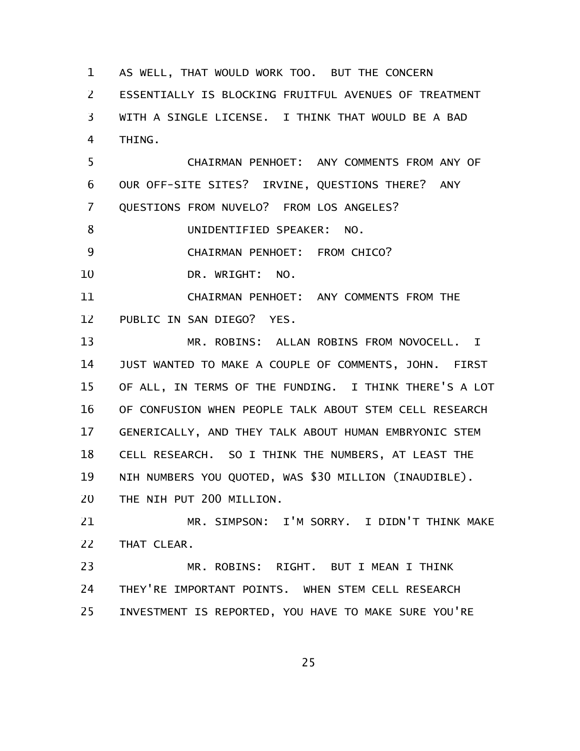AS WELL, THAT WOULD WORK TOO. BUT THE CONCERN ESSENTIALLY IS BLOCKING FRUITFUL AVENUES OF TREATMENT WITH A SINGLE LICENSE. I THINK THAT WOULD BE A BAD THING. 1 2 3 4

CHAIRMAN PENHOET: ANY COMMENTS FROM ANY OF OUR OFF-SITE SITES? IRVINE, QUESTIONS THERE? ANY QUESTIONS FROM NUVELO? FROM LOS ANGELES? 5 6 7

UNIDENTIFIED SPEAKER: NO. 8

CHAIRMAN PENHOET: FROM CHICO? 9

DR. WRIGHT: NO. 10

CHAIRMAN PENHOET: ANY COMMENTS FROM THE PUBLIC IN SAN DIEGO? YES. 11 12

MR. ROBINS: ALLAN ROBINS FROM NOVOCELL. I JUST WANTED TO MAKE A COUPLE OF COMMENTS, JOHN. FIRST OF ALL, IN TERMS OF THE FUNDING. I THINK THERE'S A LOT OF CONFUSION WHEN PEOPLE TALK ABOUT STEM CELL RESEARCH GENERICALLY, AND THEY TALK ABOUT HUMAN EMBRYONIC STEM CELL RESEARCH. SO I THINK THE NUMBERS, AT LEAST THE NIH NUMBERS YOU QUOTED, WAS \$30 MILLION (INAUDIBLE). THE NIH PUT 200 MILLION. 13 14 15 16 17 18 19 20

MR. SIMPSON: I'M SORRY. I DIDN'T THINK MAKE THAT CLEAR. 21 22

MR. ROBINS: RIGHT. BUT I MEAN I THINK THEY'RE IMPORTANT POINTS. WHEN STEM CELL RESEARCH INVESTMENT IS REPORTED, YOU HAVE TO MAKE SURE YOU'RE 23 24 25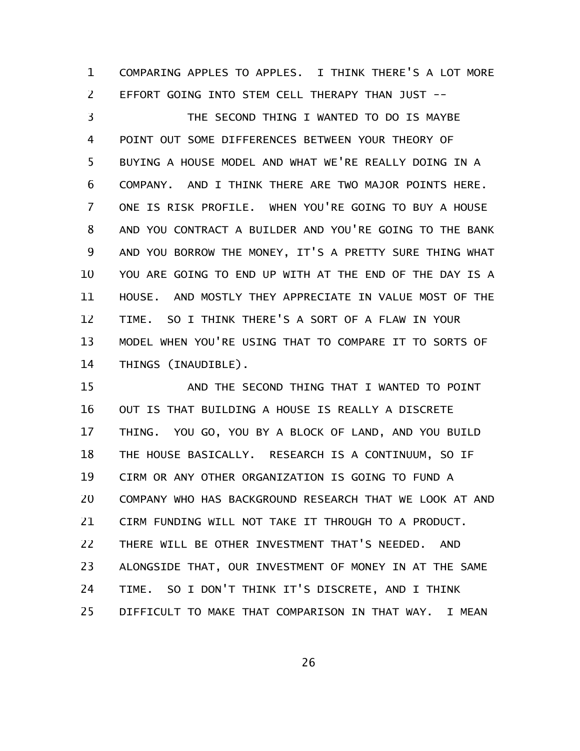COMPARING APPLES TO APPLES. I THINK THERE'S A LOT MORE EFFORT GOING INTO STEM CELL THERAPY THAN JUST -- 1 2

THE SECOND THING I WANTED TO DO IS MAYBE POINT OUT SOME DIFFERENCES BETWEEN YOUR THEORY OF BUYING A HOUSE MODEL AND WHAT WE'RE REALLY DOING IN A COMPANY. AND I THINK THERE ARE TWO MAJOR POINTS HERE. ONE IS RISK PROFILE. WHEN YOU'RE GOING TO BUY A HOUSE AND YOU CONTRACT A BUILDER AND YOU'RE GOING TO THE BANK AND YOU BORROW THE MONEY, IT'S A PRETTY SURE THING WHAT YOU ARE GOING TO END UP WITH AT THE END OF THE DAY IS A HOUSE. AND MOSTLY THEY APPRECIATE IN VALUE MOST OF THE TIME. SO I THINK THERE'S A SORT OF A FLAW IN YOUR MODEL WHEN YOU'RE USING THAT TO COMPARE IT TO SORTS OF THINGS (INAUDIBLE). 3 4 5 6 7 8 9 10 11 12 13 14

AND THE SECOND THING THAT I WANTED TO POINT OUT IS THAT BUILDING A HOUSE IS REALLY A DISCRETE THING. YOU GO, YOU BY A BLOCK OF LAND, AND YOU BUILD THE HOUSE BASICALLY. RESEARCH IS A CONTINUUM, SO IF CIRM OR ANY OTHER ORGANIZATION IS GOING TO FUND A COMPANY WHO HAS BACKGROUND RESEARCH THAT WE LOOK AT AND CIRM FUNDING WILL NOT TAKE IT THROUGH TO A PRODUCT. THERE WILL BE OTHER INVESTMENT THAT'S NEEDED. AND ALONGSIDE THAT, OUR INVESTMENT OF MONEY IN AT THE SAME TIME. SO I DON'T THINK IT'S DISCRETE, AND I THINK DIFFICULT TO MAKE THAT COMPARISON IN THAT WAY. I MEAN 15 16 17 18 19 20 21 22 23 24 25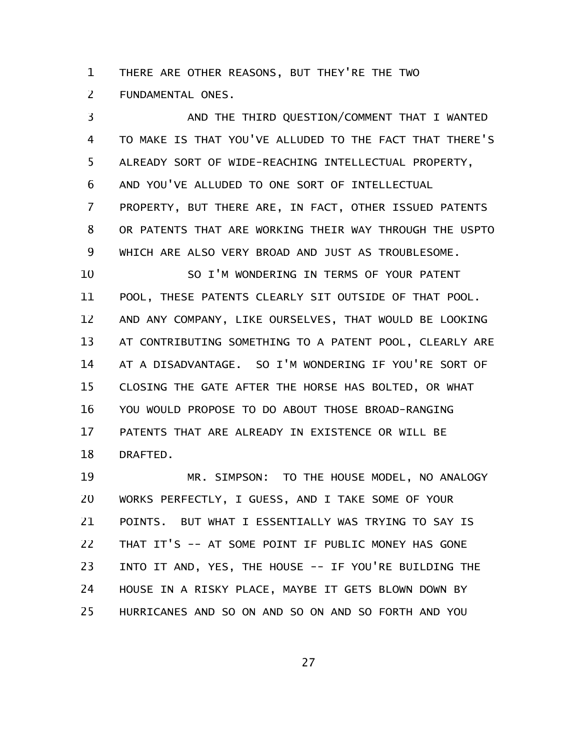THERE ARE OTHER REASONS, BUT THEY'RE THE TWO 1

FUNDAMENTAL ONES. 2

AND THE THIRD QUESTION/COMMENT THAT I WANTED TO MAKE IS THAT YOU'VE ALLUDED TO THE FACT THAT THERE'S ALREADY SORT OF WIDE-REACHING INTELLECTUAL PROPERTY, AND YOU'VE ALLUDED TO ONE SORT OF INTELLECTUAL PROPERTY, BUT THERE ARE, IN FACT, OTHER ISSUED PATENTS OR PATENTS THAT ARE WORKING THEIR WAY THROUGH THE USPTO WHICH ARE ALSO VERY BROAD AND JUST AS TROUBLESOME. SO I'M WONDERING IN TERMS OF YOUR PATENT POOL, THESE PATENTS CLEARLY SIT OUTSIDE OF THAT POOL. AND ANY COMPANY, LIKE OURSELVES, THAT WOULD BE LOOKING AT CONTRIBUTING SOMETHING TO A PATENT POOL, CLEARLY ARE AT A DISADVANTAGE. SO I'M WONDERING IF YOU'RE SORT OF CLOSING THE GATE AFTER THE HORSE HAS BOLTED, OR WHAT YOU WOULD PROPOSE TO DO ABOUT THOSE BROAD-RANGING PATENTS THAT ARE ALREADY IN EXISTENCE OR WILL BE DRAFTED. 3 4 5 6 7 8 9 10 11 12 13 14 15 16 17 18

MR. SIMPSON: TO THE HOUSE MODEL, NO ANALOGY WORKS PERFECTLY, I GUESS, AND I TAKE SOME OF YOUR POINTS. BUT WHAT I ESSENTIALLY WAS TRYING TO SAY IS THAT IT'S -- AT SOME POINT IF PUBLIC MONEY HAS GONE INTO IT AND, YES, THE HOUSE -- IF YOU'RE BUILDING THE HOUSE IN A RISKY PLACE, MAYBE IT GETS BLOWN DOWN BY HURRICANES AND SO ON AND SO ON AND SO FORTH AND YOU 19 20 21 22 23 24 25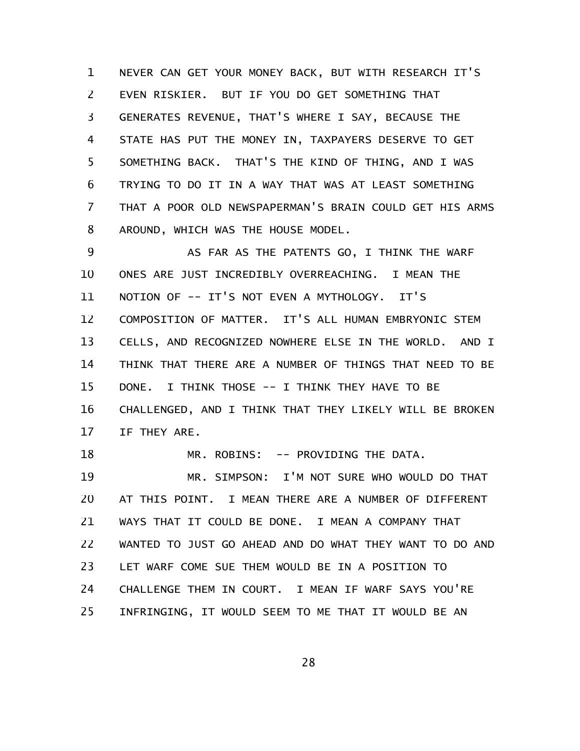NEVER CAN GET YOUR MONEY BACK, BUT WITH RESEARCH IT'S EVEN RISKIER. BUT IF YOU DO GET SOMETHING THAT GENERATES REVENUE, THAT'S WHERE I SAY, BECAUSE THE STATE HAS PUT THE MONEY IN, TAXPAYERS DESERVE TO GET SOMETHING BACK. THAT'S THE KIND OF THING, AND I WAS TRYING TO DO IT IN A WAY THAT WAS AT LEAST SOMETHING THAT A POOR OLD NEWSPAPERMAN'S BRAIN COULD GET HIS ARMS AROUND, WHICH WAS THE HOUSE MODEL. 1 2 3 4 5 6 7 8

AS FAR AS THE PATENTS GO, I THINK THE WARF ONES ARE JUST INCREDIBLY OVERREACHING. I MEAN THE NOTION OF -- IT'S NOT EVEN A MYTHOLOGY. IT'S COMPOSITION OF MATTER. IT'S ALL HUMAN EMBRYONIC STEM CELLS, AND RECOGNIZED NOWHERE ELSE IN THE WORLD. AND I THINK THAT THERE ARE A NUMBER OF THINGS THAT NEED TO BE DONE. I THINK THOSE -- I THINK THEY HAVE TO BE CHALLENGED, AND I THINK THAT THEY LIKELY WILL BE BROKEN IF THEY ARE. MR. ROBINS: -- PROVIDING THE DATA. 9 10 11 12 13 14 15 16 17 18

MR. SIMPSON: I'M NOT SURE WHO WOULD DO THAT AT THIS POINT. I MEAN THERE ARE A NUMBER OF DIFFERENT WAYS THAT IT COULD BE DONE. I MEAN A COMPANY THAT WANTED TO JUST GO AHEAD AND DO WHAT THEY WANT TO DO AND LET WARF COME SUE THEM WOULD BE IN A POSITION TO CHALLENGE THEM IN COURT. I MEAN IF WARF SAYS YOU'RE INFRINGING, IT WOULD SEEM TO ME THAT IT WOULD BE AN 19 20 21 22 23 24 25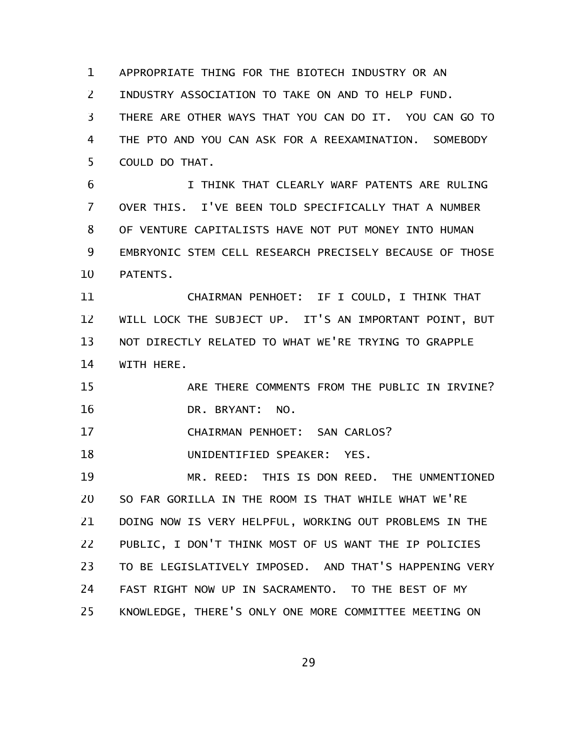APPROPRIATE THING FOR THE BIOTECH INDUSTRY OR AN 1

INDUSTRY ASSOCIATION TO TAKE ON AND TO HELP FUND. 2

THERE ARE OTHER WAYS THAT YOU CAN DO IT. YOU CAN GO TO THE PTO AND YOU CAN ASK FOR A REEXAMINATION. SOMEBODY COULD DO THAT. 3 4 5

I THINK THAT CLEARLY WARF PATENTS ARE RULING OVER THIS. I'VE BEEN TOLD SPECIFICALLY THAT A NUMBER OF VENTURE CAPITALISTS HAVE NOT PUT MONEY INTO HUMAN EMBRYONIC STEM CELL RESEARCH PRECISELY BECAUSE OF THOSE PATENTS. 6 7 8 9 10

CHAIRMAN PENHOET: IF I COULD, I THINK THAT WILL LOCK THE SUBJECT UP. IT'S AN IMPORTANT POINT, BUT NOT DIRECTLY RELATED TO WHAT WE'RE TRYING TO GRAPPLE WITH HERE. 11 12 13 14

ARE THERE COMMENTS FROM THE PUBLIC IN IRVINE? DR. BRYANT: NO. 15 16

CHAIRMAN PENHOET: SAN CARLOS? 17

UNIDENTIFIED SPEAKER: YES. 18

MR. REED: THIS IS DON REED. THE UNMENTIONED SO FAR GORILLA IN THE ROOM IS THAT WHILE WHAT WE'RE DOING NOW IS VERY HELPFUL, WORKING OUT PROBLEMS IN THE PUBLIC, I DON'T THINK MOST OF US WANT THE IP POLICIES TO BE LEGISLATIVELY IMPOSED. AND THAT'S HAPPENING VERY FAST RIGHT NOW UP IN SACRAMENTO. TO THE BEST OF MY KNOWLEDGE, THERE'S ONLY ONE MORE COMMITTEE MEETING ON 19 20 21 22 23 24 25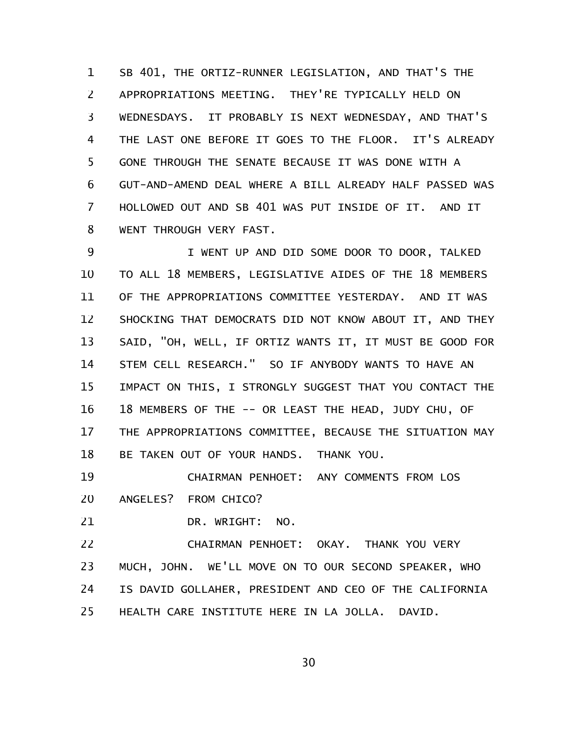SB 401, THE ORTIZ-RUNNER LEGISLATION, AND THAT'S THE APPROPRIATIONS MEETING. THEY'RE TYPICALLY HELD ON WEDNESDAYS. IT PROBABLY IS NEXT WEDNESDAY, AND THAT'S THE LAST ONE BEFORE IT GOES TO THE FLOOR. IT'S ALREADY GONE THROUGH THE SENATE BECAUSE IT WAS DONE WITH A GUT-AND-AMEND DEAL WHERE A BILL ALREADY HALF PASSED WAS HOLLOWED OUT AND SB 401 WAS PUT INSIDE OF IT. AND IT WENT THROUGH VERY FAST. 1 2 3 4 5 6 7 8

I WENT UP AND DID SOME DOOR TO DOOR, TALKED TO ALL 18 MEMBERS, LEGISLATIVE AIDES OF THE 18 MEMBERS OF THE APPROPRIATIONS COMMITTEE YESTERDAY. AND IT WAS SHOCKING THAT DEMOCRATS DID NOT KNOW ABOUT IT, AND THEY SAID, "OH, WELL, IF ORTIZ WANTS IT, IT MUST BE GOOD FOR STEM CELL RESEARCH." SO IF ANYBODY WANTS TO HAVE AN IMPACT ON THIS, I STRONGLY SUGGEST THAT YOU CONTACT THE 18 MEMBERS OF THE -- OR LEAST THE HEAD, JUDY CHU, OF THE APPROPRIATIONS COMMITTEE, BECAUSE THE SITUATION MAY BE TAKEN OUT OF YOUR HANDS. THANK YOU. 9 10 11 12 13 14 15 16 17 18

CHAIRMAN PENHOET: ANY COMMENTS FROM LOS ANGELES? FROM CHICO? 19 20

DR. WRIGHT: NO. 21

CHAIRMAN PENHOET: OKAY. THANK YOU VERY MUCH, JOHN. WE'LL MOVE ON TO OUR SECOND SPEAKER, WHO IS DAVID GOLLAHER, PRESIDENT AND CEO OF THE CALIFORNIA HEALTH CARE INSTITUTE HERE IN LA JOLLA. DAVID. 22 23 24 25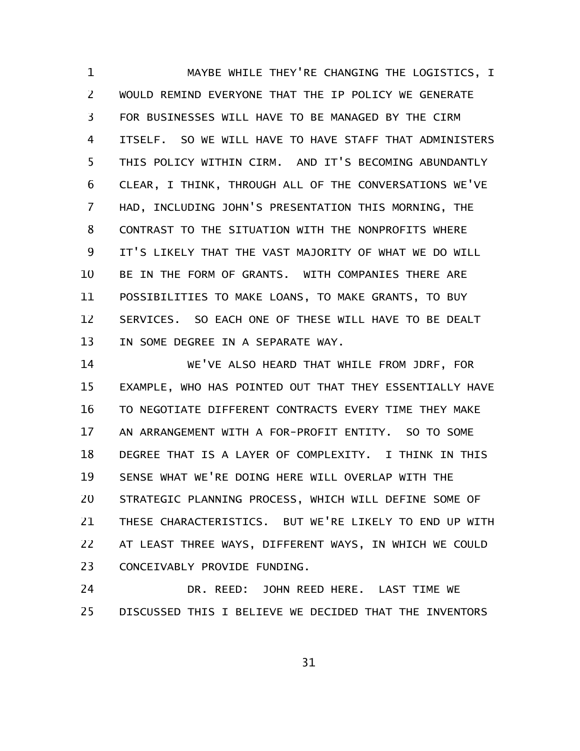MAYBE WHILE THEY'RE CHANGING THE LOGISTICS, I WOULD REMIND EVERYONE THAT THE IP POLICY WE GENERATE FOR BUSINESSES WILL HAVE TO BE MANAGED BY THE CIRM ITSELF. SO WE WILL HAVE TO HAVE STAFF THAT ADMINISTERS THIS POLICY WITHIN CIRM. AND IT'S BECOMING ABUNDANTLY CLEAR, I THINK, THROUGH ALL OF THE CONVERSATIONS WE'VE HAD, INCLUDING JOHN'S PRESENTATION THIS MORNING, THE CONTRAST TO THE SITUATION WITH THE NONPROFITS WHERE IT'S LIKELY THAT THE VAST MAJORITY OF WHAT WE DO WILL BE IN THE FORM OF GRANTS. WITH COMPANIES THERE ARE POSSIBILITIES TO MAKE LOANS, TO MAKE GRANTS, TO BUY SERVICES. SO EACH ONE OF THESE WILL HAVE TO BE DEALT IN SOME DEGREE IN A SEPARATE WAY. 1 2 3 4 5 6 7 8 9 10 11 12 13

WE'VE ALSO HEARD THAT WHILE FROM JDRF, FOR EXAMPLE, WHO HAS POINTED OUT THAT THEY ESSENTIALLY HAVE TO NEGOTIATE DIFFERENT CONTRACTS EVERY TIME THEY MAKE AN ARRANGEMENT WITH A FOR-PROFIT ENTITY. SO TO SOME DEGREE THAT IS A LAYER OF COMPLEXITY. I THINK IN THIS SENSE WHAT WE'RE DOING HERE WILL OVERLAP WITH THE STRATEGIC PLANNING PROCESS, WHICH WILL DEFINE SOME OF THESE CHARACTERISTICS. BUT WE'RE LIKELY TO END UP WITH AT LEAST THREE WAYS, DIFFERENT WAYS, IN WHICH WE COULD CONCEIVABLY PROVIDE FUNDING. 14 15 16 17 18 19 20 21 22 23

DR. REED: JOHN REED HERE. LAST TIME WE DISCUSSED THIS I BELIEVE WE DECIDED THAT THE INVENTORS 24 25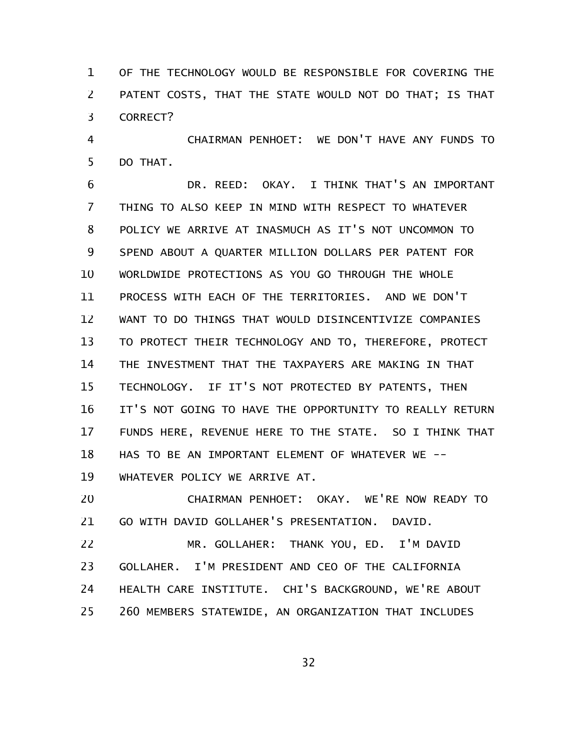OF THE TECHNOLOGY WOULD BE RESPONSIBLE FOR COVERING THE PATENT COSTS, THAT THE STATE WOULD NOT DO THAT; IS THAT CORRECT? 1 2 3

CHAIRMAN PENHOET: WE DON'T HAVE ANY FUNDS TO DO THAT. 4 5

DR. REED: OKAY. I THINK THAT'S AN IMPORTANT THING TO ALSO KEEP IN MIND WITH RESPECT TO WHATEVER POLICY WE ARRIVE AT INASMUCH AS IT'S NOT UNCOMMON TO SPEND ABOUT A QUARTER MILLION DOLLARS PER PATENT FOR WORLDWIDE PROTECTIONS AS YOU GO THROUGH THE WHOLE PROCESS WITH EACH OF THE TERRITORIES. AND WE DON'T WANT TO DO THINGS THAT WOULD DISINCENTIVIZE COMPANIES TO PROTECT THEIR TECHNOLOGY AND TO, THEREFORE, PROTECT THE INVESTMENT THAT THE TAXPAYERS ARE MAKING IN THAT TECHNOLOGY. IF IT'S NOT PROTECTED BY PATENTS, THEN IT'S NOT GOING TO HAVE THE OPPORTUNITY TO REALLY RETURN FUNDS HERE, REVENUE HERE TO THE STATE. SO I THINK THAT HAS TO BE AN IMPORTANT ELEMENT OF WHATEVER WE --WHATEVER POLICY WE ARRIVE AT. 6 7 8 9 10 11 12 13 14 15 16 17 18 19

CHAIRMAN PENHOET: OKAY. WE'RE NOW READY TO GO WITH DAVID GOLLAHER'S PRESENTATION. DAVID. 20 21

MR. GOLLAHER: THANK YOU, ED. I'M DAVID GOLLAHER. I'M PRESIDENT AND CEO OF THE CALIFORNIA HEALTH CARE INSTITUTE. CHI'S BACKGROUND, WE'RE ABOUT 260 MEMBERS STATEWIDE, AN ORGANIZATION THAT INCLUDES 22 23 24 25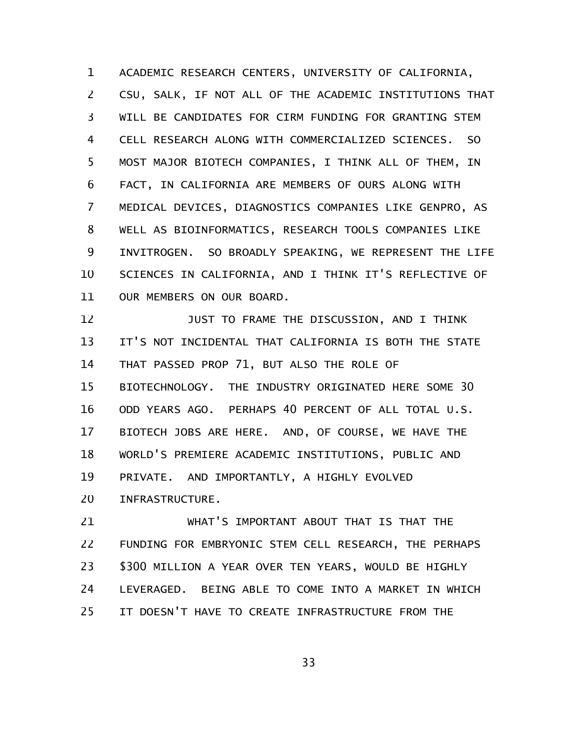ACADEMIC RESEARCH CENTERS, UNIVERSITY OF CALIFORNIA, CSU, SALK, IF NOT ALL OF THE ACADEMIC INSTITUTIONS THAT WILL BE CANDIDATES FOR CIRM FUNDING FOR GRANTING STEM CELL RESEARCH ALONG WITH COMMERCIALIZED SCIENCES. SO MOST MAJOR BIOTECH COMPANIES, I THINK ALL OF THEM, IN FACT, IN CALIFORNIA ARE MEMBERS OF OURS ALONG WITH MEDICAL DEVICES, DIAGNOSTICS COMPANIES LIKE GENPRO, AS WELL AS BIOINFORMATICS, RESEARCH TOOLS COMPANIES LIKE INVITROGEN. SO BROADLY SPEAKING, WE REPRESENT THE LIFE SCIENCES IN CALIFORNIA, AND I THINK IT'S REFLECTIVE OF OUR MEMBERS ON OUR BOARD. 1 2 3 4 5 6 7 8 9 10 11

JUST TO FRAME THE DISCUSSION, AND I THINK IT'S NOT INCIDENTAL THAT CALIFORNIA IS BOTH THE STATE THAT PASSED PROP 71, BUT ALSO THE ROLE OF BIOTECHNOLOGY. THE INDUSTRY ORIGINATED HERE SOME 30 ODD YEARS AGO. PERHAPS 40 PERCENT OF ALL TOTAL U.S. BIOTECH JOBS ARE HERE. AND, OF COURSE, WE HAVE THE WORLD'S PREMIERE ACADEMIC INSTITUTIONS, PUBLIC AND PRIVATE. AND IMPORTANTLY, A HIGHLY EVOLVED INFRASTRUCTURE. 12 13 14 15 16 17 18 19 20

WHAT'S IMPORTANT ABOUT THAT IS THAT THE FUNDING FOR EMBRYONIC STEM CELL RESEARCH, THE PERHAPS \$300 MILLION A YEAR OVER TEN YEARS, WOULD BE HIGHLY LEVERAGED. BEING ABLE TO COME INTO A MARKET IN WHICH IT DOESN'T HAVE TO CREATE INFRASTRUCTURE FROM THE 21 22 23 24 25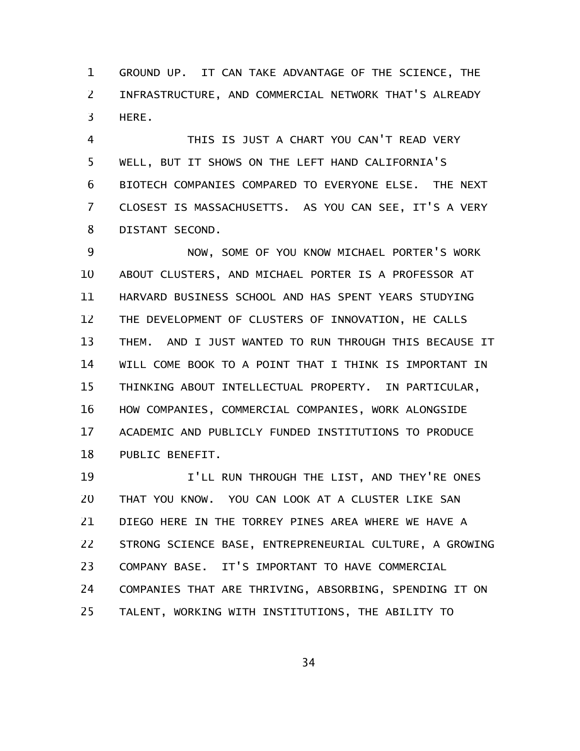GROUND UP. IT CAN TAKE ADVANTAGE OF THE SCIENCE, THE INFRASTRUCTURE, AND COMMERCIAL NETWORK THAT'S ALREADY HERE. 1 2 3

THIS IS JUST A CHART YOU CAN'T READ VERY WELL, BUT IT SHOWS ON THE LEFT HAND CALIFORNIA'S BIOTECH COMPANIES COMPARED TO EVERYONE ELSE. THE NEXT CLOSEST IS MASSACHUSETTS. AS YOU CAN SEE, IT'S A VERY DISTANT SECOND. 4 5 6 7 8

NOW, SOME OF YOU KNOW MICHAEL PORTER'S WORK ABOUT CLUSTERS, AND MICHAEL PORTER IS A PROFESSOR AT HARVARD BUSINESS SCHOOL AND HAS SPENT YEARS STUDYING THE DEVELOPMENT OF CLUSTERS OF INNOVATION, HE CALLS THEM. AND I JUST WANTED TO RUN THROUGH THIS BECAUSE IT WILL COME BOOK TO A POINT THAT I THINK IS IMPORTANT IN THINKING ABOUT INTELLECTUAL PROPERTY. IN PARTICULAR, HOW COMPANIES, COMMERCIAL COMPANIES, WORK ALONGSIDE ACADEMIC AND PUBLICLY FUNDED INSTITUTIONS TO PRODUCE PUBLIC BENEFIT. 9 10 11 12 13 14 15 16 17 18

I'LL RUN THROUGH THE LIST, AND THEY'RE ONES THAT YOU KNOW. YOU CAN LOOK AT A CLUSTER LIKE SAN DIEGO HERE IN THE TORREY PINES AREA WHERE WE HAVE A STRONG SCIENCE BASE, ENTREPRENEURIAL CULTURE, A GROWING COMPANY BASE. IT'S IMPORTANT TO HAVE COMMERCIAL COMPANIES THAT ARE THRIVING, ABSORBING, SPENDING IT ON TALENT, WORKING WITH INSTITUTIONS, THE ABILITY TO 19 20 21 22 23 24 25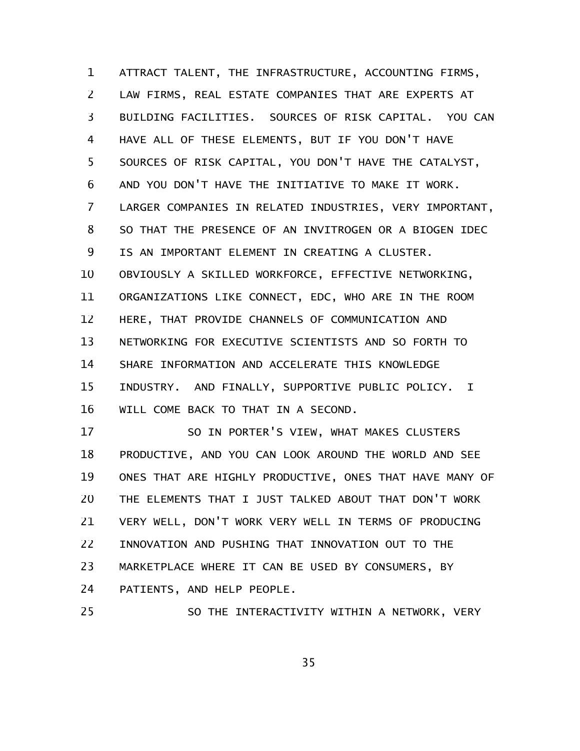ATTRACT TALENT, THE INFRASTRUCTURE, ACCOUNTING FIRMS, LAW FIRMS, REAL ESTATE COMPANIES THAT ARE EXPERTS AT BUILDING FACILITIES. SOURCES OF RISK CAPITAL. YOU CAN HAVE ALL OF THESE ELEMENTS, BUT IF YOU DON'T HAVE SOURCES OF RISK CAPITAL, YOU DON'T HAVE THE CATALYST, AND YOU DON'T HAVE THE INITIATIVE TO MAKE IT WORK. LARGER COMPANIES IN RELATED INDUSTRIES, VERY IMPORTANT, SO THAT THE PRESENCE OF AN INVITROGEN OR A BIOGEN IDEC IS AN IMPORTANT ELEMENT IN CREATING A CLUSTER. OBVIOUSLY A SKILLED WORKFORCE, EFFECTIVE NETWORKING, ORGANIZATIONS LIKE CONNECT, EDC, WHO ARE IN THE ROOM HERE, THAT PROVIDE CHANNELS OF COMMUNICATION AND NETWORKING FOR EXECUTIVE SCIENTISTS AND SO FORTH TO SHARE INFORMATION AND ACCELERATE THIS KNOWLEDGE INDUSTRY. AND FINALLY, SUPPORTIVE PUBLIC POLICY. I WILL COME BACK TO THAT IN A SECOND. 1 2 3 4 5 6 7 8 9 10 11 12 13 14 15 16

SO IN PORTER'S VIEW, WHAT MAKES CLUSTERS PRODUCTIVE, AND YOU CAN LOOK AROUND THE WORLD AND SEE ONES THAT ARE HIGHLY PRODUCTIVE, ONES THAT HAVE MANY OF THE ELEMENTS THAT I JUST TALKED ABOUT THAT DON'T WORK VERY WELL, DON'T WORK VERY WELL IN TERMS OF PRODUCING INNOVATION AND PUSHING THAT INNOVATION OUT TO THE MARKETPLACE WHERE IT CAN BE USED BY CONSUMERS, BY PATIENTS, AND HELP PEOPLE. 17 18 19 20 21 22 23 24

SO THE INTERACTIVITY WITHIN A NETWORK, VERY 25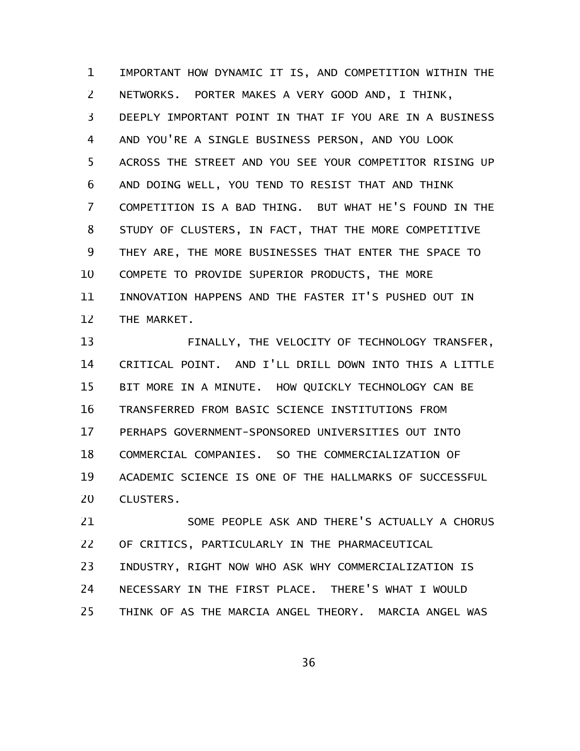IMPORTANT HOW DYNAMIC IT IS, AND COMPETITION WITHIN THE NETWORKS. PORTER MAKES A VERY GOOD AND, I THINK, DEEPLY IMPORTANT POINT IN THAT IF YOU ARE IN A BUSINESS AND YOU'RE A SINGLE BUSINESS PERSON, AND YOU LOOK ACROSS THE STREET AND YOU SEE YOUR COMPETITOR RISING UP AND DOING WELL, YOU TEND TO RESIST THAT AND THINK COMPETITION IS A BAD THING. BUT WHAT HE'S FOUND IN THE STUDY OF CLUSTERS, IN FACT, THAT THE MORE COMPETITIVE THEY ARE, THE MORE BUSINESSES THAT ENTER THE SPACE TO COMPETE TO PROVIDE SUPERIOR PRODUCTS, THE MORE INNOVATION HAPPENS AND THE FASTER IT'S PUSHED OUT IN THE MARKET. 1 2 3 4 5 6 7 8 9 10 11 12

FINALLY, THE VELOCITY OF TECHNOLOGY TRANSFER, CRITICAL POINT. AND I'LL DRILL DOWN INTO THIS A LITTLE BIT MORE IN A MINUTE. HOW QUICKLY TECHNOLOGY CAN BE TRANSFERRED FROM BASIC SCIENCE INSTITUTIONS FROM PERHAPS GOVERNMENT-SPONSORED UNIVERSITIES OUT INTO COMMERCIAL COMPANIES. SO THE COMMERCIALIZATION OF ACADEMIC SCIENCE IS ONE OF THE HALLMARKS OF SUCCESSFUL CLUSTERS. 13 14 15 16 17 18 19 20

SOME PEOPLE ASK AND THERE'S ACTUALLY A CHORUS OF CRITICS, PARTICULARLY IN THE PHARMACEUTICAL INDUSTRY, RIGHT NOW WHO ASK WHY COMMERCIALIZATION IS NECESSARY IN THE FIRST PLACE. THERE'S WHAT I WOULD THINK OF AS THE MARCIA ANGEL THEORY. MARCIA ANGEL WAS 21 22 23 24 25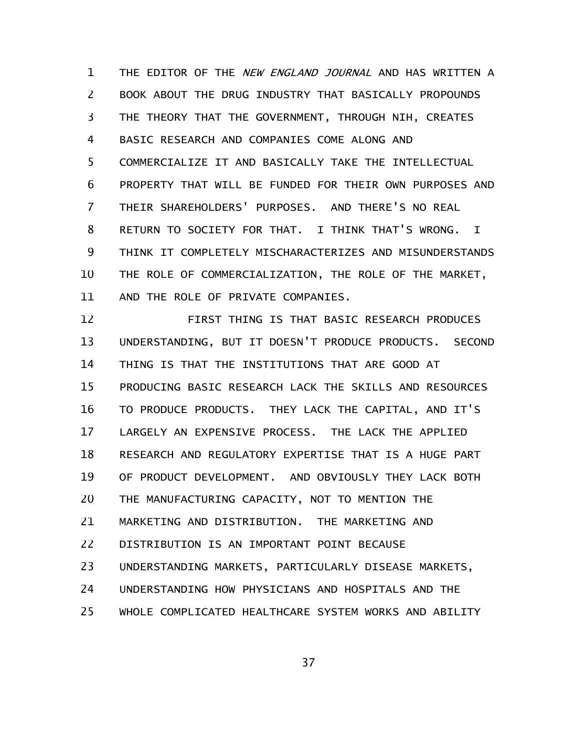THE EDITOR OF THE NEW ENGLAND JOURNAL AND HAS WRITTEN A BOOK ABOUT THE DRUG INDUSTRY THAT BASICALLY PROPOUNDS THE THEORY THAT THE GOVERNMENT, THROUGH NIH, CREATES BASIC RESEARCH AND COMPANIES COME ALONG AND COMMERCIALIZE IT AND BASICALLY TAKE THE INTELLECTUAL PROPERTY THAT WILL BE FUNDED FOR THEIR OWN PURPOSES AND THEIR SHAREHOLDERS' PURPOSES. AND THERE'S NO REAL RETURN TO SOCIETY FOR THAT. I THINK THAT'S WRONG. I THINK IT COMPLETELY MISCHARACTERIZES AND MISUNDERSTANDS THE ROLE OF COMMERCIALIZATION, THE ROLE OF THE MARKET, AND THE ROLE OF PRIVATE COMPANIES. 1 2 3 4 5 6 7 8 9 10 11

FIRST THING IS THAT BASIC RESEARCH PRODUCES UNDERSTANDING, BUT IT DOESN'T PRODUCE PRODUCTS. SECOND THING IS THAT THE INSTITUTIONS THAT ARE GOOD AT PRODUCING BASIC RESEARCH LACK THE SKILLS AND RESOURCES TO PRODUCE PRODUCTS. THEY LACK THE CAPITAL, AND IT'S LARGELY AN EXPENSIVE PROCESS. THE LACK THE APPLIED RESEARCH AND REGULATORY EXPERTISE THAT IS A HUGE PART OF PRODUCT DEVELOPMENT. AND OBVIOUSLY THEY LACK BOTH THE MANUFACTURING CAPACITY, NOT TO MENTION THE MARKETING AND DISTRIBUTION. THE MARKETING AND DISTRIBUTION IS AN IMPORTANT POINT BECAUSE UNDERSTANDING MARKETS, PARTICULARLY DISEASE MARKETS, UNDERSTANDING HOW PHYSICIANS AND HOSPITALS AND THE WHOLE COMPLICATED HEALTHCARE SYSTEM WORKS AND ABILITY 12 13 14 15 16 17 18 19 20 21 22 23 24 25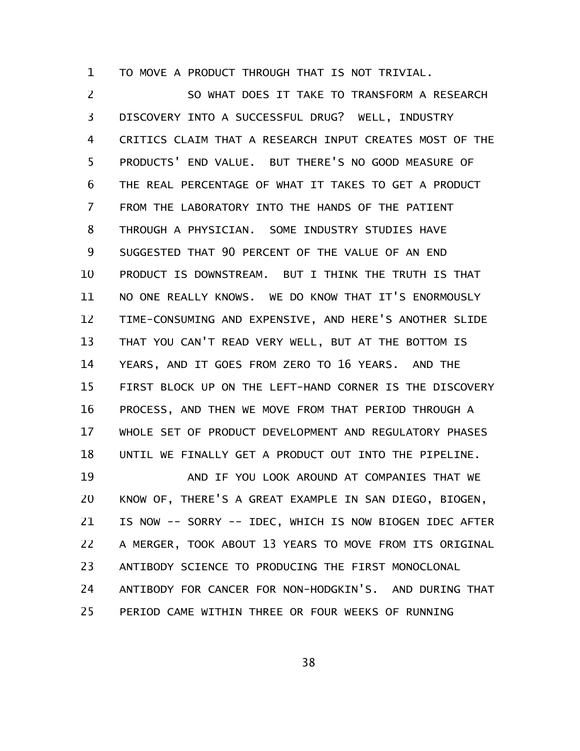TO MOVE A PRODUCT THROUGH THAT IS NOT TRIVIAL. 1

SO WHAT DOES IT TAKE TO TRANSFORM A RESEARCH DISCOVERY INTO A SUCCESSFUL DRUG? WELL, INDUSTRY CRITICS CLAIM THAT A RESEARCH INPUT CREATES MOST OF THE PRODUCTS' END VALUE. BUT THERE'S NO GOOD MEASURE OF THE REAL PERCENTAGE OF WHAT IT TAKES TO GET A PRODUCT FROM THE LABORATORY INTO THE HANDS OF THE PATIENT THROUGH A PHYSICIAN. SOME INDUSTRY STUDIES HAVE SUGGESTED THAT 90 PERCENT OF THE VALUE OF AN END PRODUCT IS DOWNSTREAM. BUT I THINK THE TRUTH IS THAT NO ONE REALLY KNOWS. WE DO KNOW THAT IT'S ENORMOUSLY TIME-CONSUMING AND EXPENSIVE, AND HERE'S ANOTHER SLIDE THAT YOU CAN'T READ VERY WELL, BUT AT THE BOTTOM IS YEARS, AND IT GOES FROM ZERO TO 16 YEARS. AND THE FIRST BLOCK UP ON THE LEFT-HAND CORNER IS THE DISCOVERY PROCESS, AND THEN WE MOVE FROM THAT PERIOD THROUGH A WHOLE SET OF PRODUCT DEVELOPMENT AND REGULATORY PHASES UNTIL WE FINALLY GET A PRODUCT OUT INTO THE PIPELINE. 2 3 4 5 6 7 8 9 10 11 12 13 14 15 16 17 18

AND IF YOU LOOK AROUND AT COMPANIES THAT WE KNOW OF, THERE'S A GREAT EXAMPLE IN SAN DIEGO, BIOGEN, IS NOW -- SORRY -- IDEC, WHICH IS NOW BIOGEN IDEC AFTER A MERGER, TOOK ABOUT 13 YEARS TO MOVE FROM ITS ORIGINAL ANTIBODY SCIENCE TO PRODUCING THE FIRST MONOCLONAL ANTIBODY FOR CANCER FOR NON-HODGKIN'S. AND DURING THAT PERIOD CAME WITHIN THREE OR FOUR WEEKS OF RUNNING 19 20 21 22 23 24 25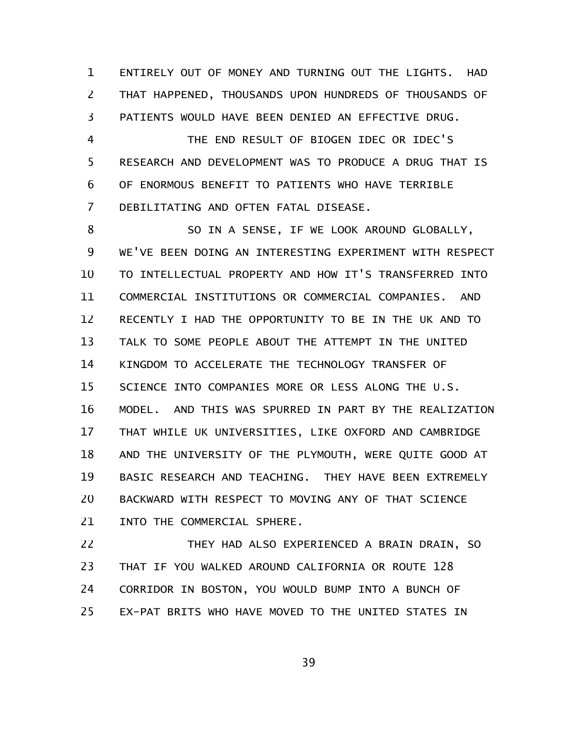ENTIRELY OUT OF MONEY AND TURNING OUT THE LIGHTS. HAD THAT HAPPENED, THOUSANDS UPON HUNDREDS OF THOUSANDS OF PATIENTS WOULD HAVE BEEN DENIED AN EFFECTIVE DRUG. 1 2 3

THE END RESULT OF BIOGEN IDEC OR IDEC'S RESEARCH AND DEVELOPMENT WAS TO PRODUCE A DRUG THAT IS OF ENORMOUS BENEFIT TO PATIENTS WHO HAVE TERRIBLE DEBILITATING AND OFTEN FATAL DISEASE. 4 5 6 7

SO IN A SENSE, IF WE LOOK AROUND GLOBALLY, WE'VE BEEN DOING AN INTERESTING EXPERIMENT WITH RESPECT TO INTELLECTUAL PROPERTY AND HOW IT'S TRANSFERRED INTO COMMERCIAL INSTITUTIONS OR COMMERCIAL COMPANIES. AND RECENTLY I HAD THE OPPORTUNITY TO BE IN THE UK AND TO TALK TO SOME PEOPLE ABOUT THE ATTEMPT IN THE UNITED KINGDOM TO ACCELERATE THE TECHNOLOGY TRANSFER OF SCIENCE INTO COMPANIES MORE OR LESS ALONG THE U.S. MODEL. AND THIS WAS SPURRED IN PART BY THE REALIZATION THAT WHILE UK UNIVERSITIES, LIKE OXFORD AND CAMBRIDGE AND THE UNIVERSITY OF THE PLYMOUTH, WERE QUITE GOOD AT BASIC RESEARCH AND TEACHING. THEY HAVE BEEN EXTREMELY BACKWARD WITH RESPECT TO MOVING ANY OF THAT SCIENCE INTO THE COMMERCIAL SPHERE. 8 9 10 11 12 13 14 15 16 17 18 19 20 21

THEY HAD ALSO EXPERIENCED A BRAIN DRAIN, SO THAT IF YOU WALKED AROUND CALIFORNIA OR ROUTE 128 CORRIDOR IN BOSTON, YOU WOULD BUMP INTO A BUNCH OF EX-PAT BRITS WHO HAVE MOVED TO THE UNITED STATES IN 22 23 24 25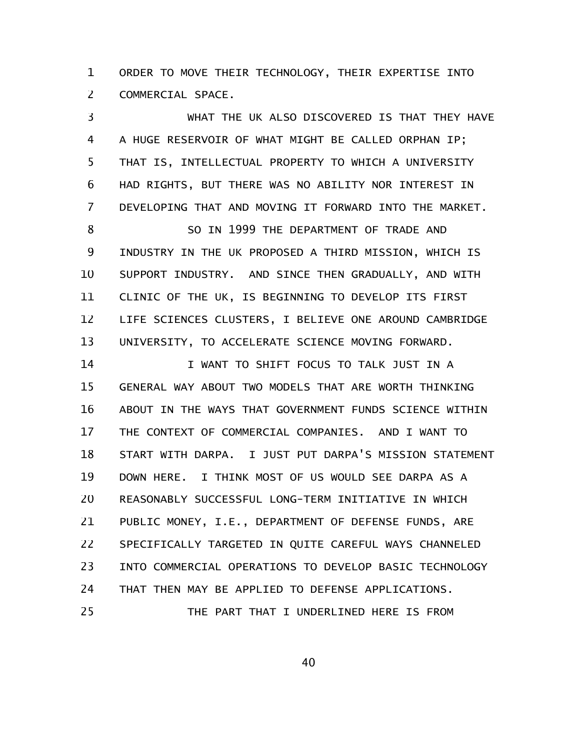ORDER TO MOVE THEIR TECHNOLOGY, THEIR EXPERTISE INTO COMMERCIAL SPACE. 1 2

WHAT THE UK ALSO DISCOVERED IS THAT THEY HAVE A HUGE RESERVOIR OF WHAT MIGHT BE CALLED ORPHAN IP; THAT IS, INTELLECTUAL PROPERTY TO WHICH A UNIVERSITY HAD RIGHTS, BUT THERE WAS NO ABILITY NOR INTEREST IN DEVELOPING THAT AND MOVING IT FORWARD INTO THE MARKET. SO IN 1999 THE DEPARTMENT OF TRADE AND INDUSTRY IN THE UK PROPOSED A THIRD MISSION, WHICH IS SUPPORT INDUSTRY. AND SINCE THEN GRADUALLY, AND WITH CLINIC OF THE UK, IS BEGINNING TO DEVELOP ITS FIRST LIFE SCIENCES CLUSTERS, I BELIEVE ONE AROUND CAMBRIDGE UNIVERSITY, TO ACCELERATE SCIENCE MOVING FORWARD. I WANT TO SHIFT FOCUS TO TALK JUST IN A GENERAL WAY ABOUT TWO MODELS THAT ARE WORTH THINKING ABOUT IN THE WAYS THAT GOVERNMENT FUNDS SCIENCE WITHIN THE CONTEXT OF COMMERCIAL COMPANIES. AND I WANT TO START WITH DARPA. I JUST PUT DARPA'S MISSION STATEMENT DOWN HERE. I THINK MOST OF US WOULD SEE DARPA AS A REASONABLY SUCCESSFUL LONG-TERM INITIATIVE IN WHICH PUBLIC MONEY, I.E., DEPARTMENT OF DEFENSE FUNDS, ARE SPECIFICALLY TARGETED IN QUITE CAREFUL WAYS CHANNELED INTO COMMERCIAL OPERATIONS TO DEVELOP BASIC TECHNOLOGY 3 4 5 6 7 8 9 10 11 12 13 14 15 16 17 18 19 20 21 22 23

THAT THEN MAY BE APPLIED TO DEFENSE APPLICATIONS. 24

THE PART THAT I UNDERLINED HERE IS FROM 25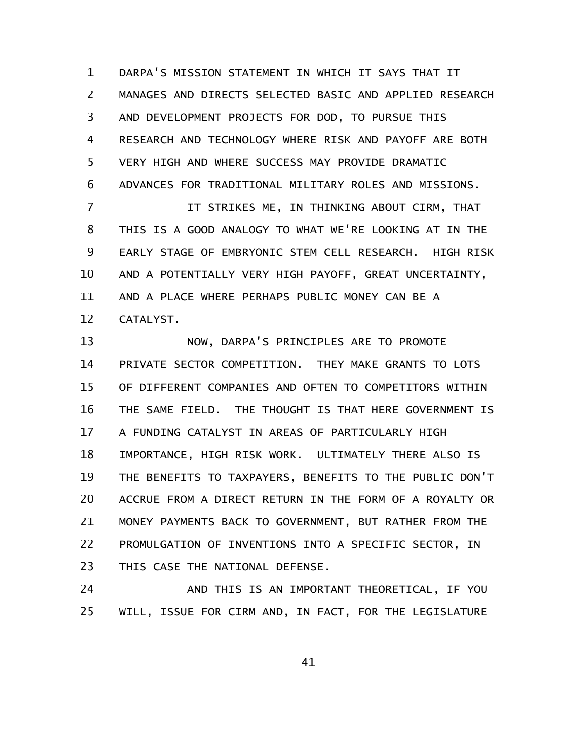DARPA'S MISSION STATEMENT IN WHICH IT SAYS THAT IT MANAGES AND DIRECTS SELECTED BASIC AND APPLIED RESEARCH AND DEVELOPMENT PROJECTS FOR DOD, TO PURSUE THIS RESEARCH AND TECHNOLOGY WHERE RISK AND PAYOFF ARE BOTH VERY HIGH AND WHERE SUCCESS MAY PROVIDE DRAMATIC ADVANCES FOR TRADITIONAL MILITARY ROLES AND MISSIONS. 1 2 3 4 5 6

IT STRIKES ME, IN THINKING ABOUT CIRM, THAT THIS IS A GOOD ANALOGY TO WHAT WE'RE LOOKING AT IN THE EARLY STAGE OF EMBRYONIC STEM CELL RESEARCH. HIGH RISK AND A POTENTIALLY VERY HIGH PAYOFF, GREAT UNCERTAINTY, AND A PLACE WHERE PERHAPS PUBLIC MONEY CAN BE A CATALYST. 7 8 9 10 11 12

NOW, DARPA'S PRINCIPLES ARE TO PROMOTE PRIVATE SECTOR COMPETITION. THEY MAKE GRANTS TO LOTS OF DIFFERENT COMPANIES AND OFTEN TO COMPETITORS WITHIN THE SAME FIELD. THE THOUGHT IS THAT HERE GOVERNMENT IS A FUNDING CATALYST IN AREAS OF PARTICULARLY HIGH IMPORTANCE, HIGH RISK WORK. ULTIMATELY THERE ALSO IS THE BENEFITS TO TAXPAYERS, BENEFITS TO THE PUBLIC DON'T ACCRUE FROM A DIRECT RETURN IN THE FORM OF A ROYALTY OR MONEY PAYMENTS BACK TO GOVERNMENT, BUT RATHER FROM THE PROMULGATION OF INVENTIONS INTO A SPECIFIC SECTOR, IN THIS CASE THE NATIONAL DEFENSE. 13 14 15 16 17 18 19 20 21 22 23

AND THIS IS AN IMPORTANT THEORETICAL, IF YOU WILL, ISSUE FOR CIRM AND, IN FACT, FOR THE LEGISLATURE 24 25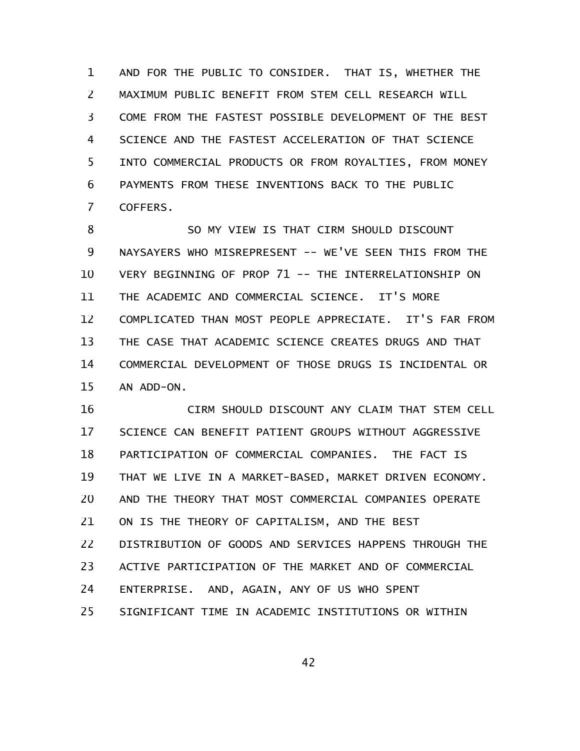AND FOR THE PUBLIC TO CONSIDER. THAT IS, WHETHER THE MAXIMUM PUBLIC BENEFIT FROM STEM CELL RESEARCH WILL COME FROM THE FASTEST POSSIBLE DEVELOPMENT OF THE BEST SCIENCE AND THE FASTEST ACCELERATION OF THAT SCIENCE INTO COMMERCIAL PRODUCTS OR FROM ROYALTIES, FROM MONEY PAYMENTS FROM THESE INVENTIONS BACK TO THE PUBLIC COFFERS. 1 2 3 4 5 6 7

SO MY VIEW IS THAT CIRM SHOULD DISCOUNT NAYSAYERS WHO MISREPRESENT -- WE'VE SEEN THIS FROM THE VERY BEGINNING OF PROP 71 -- THE INTERRELATIONSHIP ON THE ACADEMIC AND COMMERCIAL SCIENCE. IT'S MORE COMPLICATED THAN MOST PEOPLE APPRECIATE. IT'S FAR FROM THE CASE THAT ACADEMIC SCIENCE CREATES DRUGS AND THAT COMMERCIAL DEVELOPMENT OF THOSE DRUGS IS INCIDENTAL OR AN ADD-ON. 8 9 10 11 12 13 14 15

CIRM SHOULD DISCOUNT ANY CLAIM THAT STEM CELL SCIENCE CAN BENEFIT PATIENT GROUPS WITHOUT AGGRESSIVE PARTICIPATION OF COMMERCIAL COMPANIES. THE FACT IS THAT WE LIVE IN A MARKET-BASED, MARKET DRIVEN ECONOMY. AND THE THEORY THAT MOST COMMERCIAL COMPANIES OPERATE ON IS THE THEORY OF CAPITALISM, AND THE BEST DISTRIBUTION OF GOODS AND SERVICES HAPPENS THROUGH THE ACTIVE PARTICIPATION OF THE MARKET AND OF COMMERCIAL ENTERPRISE. AND, AGAIN, ANY OF US WHO SPENT SIGNIFICANT TIME IN ACADEMIC INSTITUTIONS OR WITHIN 16 17 18 19 20 21 22 23 24 25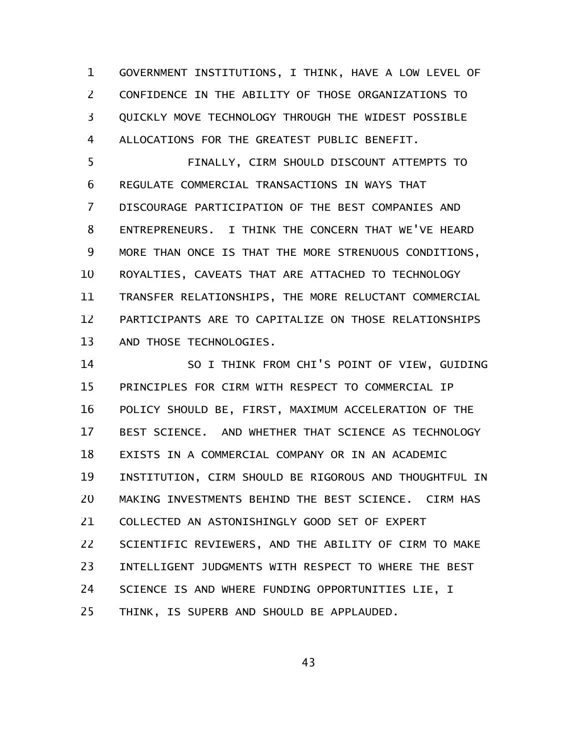GOVERNMENT INSTITUTIONS, I THINK, HAVE A LOW LEVEL OF CONFIDENCE IN THE ABILITY OF THOSE ORGANIZATIONS TO QUICKLY MOVE TECHNOLOGY THROUGH THE WIDEST POSSIBLE ALLOCATIONS FOR THE GREATEST PUBLIC BENEFIT. 1 2 3 4

FINALLY, CIRM SHOULD DISCOUNT ATTEMPTS TO REGULATE COMMERCIAL TRANSACTIONS IN WAYS THAT DISCOURAGE PARTICIPATION OF THE BEST COMPANIES AND ENTREPRENEURS. I THINK THE CONCERN THAT WE'VE HEARD MORE THAN ONCE IS THAT THE MORE STRENUOUS CONDITIONS, ROYALTIES, CAVEATS THAT ARE ATTACHED TO TECHNOLOGY TRANSFER RELATIONSHIPS, THE MORE RELUCTANT COMMERCIAL PARTICIPANTS ARE TO CAPITALIZE ON THOSE RELATIONSHIPS AND THOSE TECHNOLOGIES. 5 6 7 8 9 10 11 12 13

SO I THINK FROM CHI'S POINT OF VIEW, GUIDING PRINCIPLES FOR CIRM WITH RESPECT TO COMMERCIAL IP POLICY SHOULD BE, FIRST, MAXIMUM ACCELERATION OF THE BEST SCIENCE. AND WHETHER THAT SCIENCE AS TECHNOLOGY EXISTS IN A COMMERCIAL COMPANY OR IN AN ACADEMIC INSTITUTION, CIRM SHOULD BE RIGOROUS AND THOUGHTFUL IN MAKING INVESTMENTS BEHIND THE BEST SCIENCE. CIRM HAS COLLECTED AN ASTONISHINGLY GOOD SET OF EXPERT SCIENTIFIC REVIEWERS, AND THE ABILITY OF CIRM TO MAKE INTELLIGENT JUDGMENTS WITH RESPECT TO WHERE THE BEST SCIENCE IS AND WHERE FUNDING OPPORTUNITIES LIE, I THINK, IS SUPERB AND SHOULD BE APPLAUDED. 14 15 16 17 18 19 20 21 22 23 24 25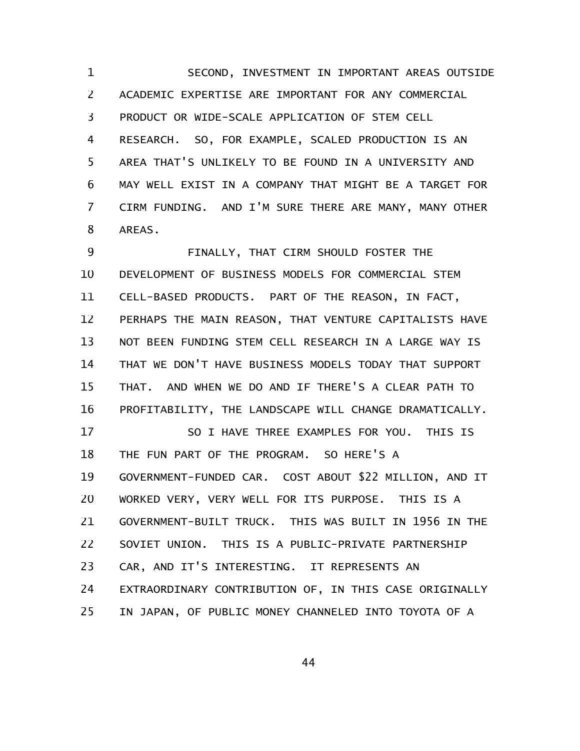SECOND, INVESTMENT IN IMPORTANT AREAS OUTSIDE ACADEMIC EXPERTISE ARE IMPORTANT FOR ANY COMMERCIAL PRODUCT OR WIDE-SCALE APPLICATION OF STEM CELL RESEARCH. SO, FOR EXAMPLE, SCALED PRODUCTION IS AN AREA THAT'S UNLIKELY TO BE FOUND IN A UNIVERSITY AND MAY WELL EXIST IN A COMPANY THAT MIGHT BE A TARGET FOR CIRM FUNDING. AND I'M SURE THERE ARE MANY, MANY OTHER AREAS. 1 2 3 4 5 6 7 8

FINALLY, THAT CIRM SHOULD FOSTER THE DEVELOPMENT OF BUSINESS MODELS FOR COMMERCIAL STEM CELL-BASED PRODUCTS. PART OF THE REASON, IN FACT, PERHAPS THE MAIN REASON, THAT VENTURE CAPITALISTS HAVE NOT BEEN FUNDING STEM CELL RESEARCH IN A LARGE WAY IS THAT WE DON'T HAVE BUSINESS MODELS TODAY THAT SUPPORT THAT. AND WHEN WE DO AND IF THERE'S A CLEAR PATH TO PROFITABILITY, THE LANDSCAPE WILL CHANGE DRAMATICALLY. SO I HAVE THREE EXAMPLES FOR YOU. THIS IS THE FUN PART OF THE PROGRAM. SO HERE'S A GOVERNMENT-FUNDED CAR. COST ABOUT \$22 MILLION, AND IT WORKED VERY, VERY WELL FOR ITS PURPOSE. THIS IS A GOVERNMENT-BUILT TRUCK. THIS WAS BUILT IN 1956 IN THE SOVIET UNION. THIS IS A PUBLIC-PRIVATE PARTNERSHIP CAR, AND IT'S INTERESTING. IT REPRESENTS AN EXTRAORDINARY CONTRIBUTION OF, IN THIS CASE ORIGINALLY IN JAPAN, OF PUBLIC MONEY CHANNELED INTO TOYOTA OF A 9 10 11 12 13 14 15 16 17 18 19 20 21 22 23 24 25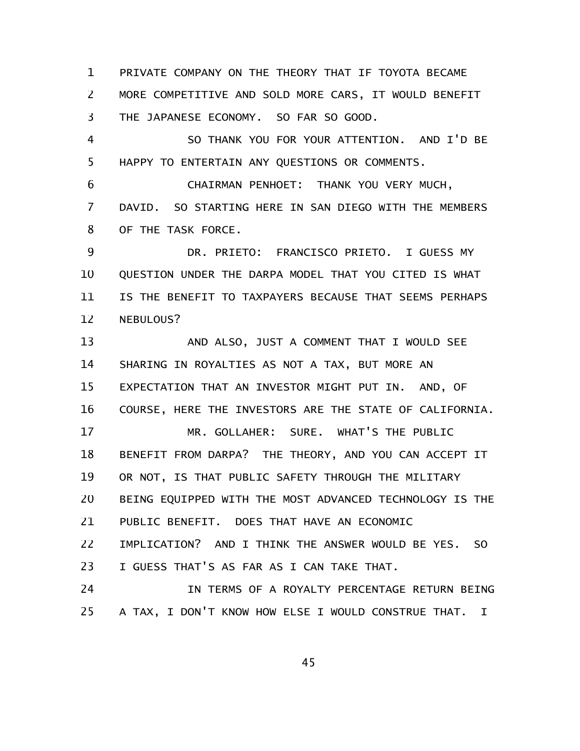PRIVATE COMPANY ON THE THEORY THAT IF TOYOTA BECAME MORE COMPETITIVE AND SOLD MORE CARS, IT WOULD BENEFIT THE JAPANESE ECONOMY. SO FAR SO GOOD. 1 2 3

SO THANK YOU FOR YOUR ATTENTION. AND I'D BE HAPPY TO ENTERTAIN ANY QUESTIONS OR COMMENTS. 4 5

CHAIRMAN PENHOET: THANK YOU VERY MUCH, DAVID. SO STARTING HERE IN SAN DIEGO WITH THE MEMBERS OF THE TASK FORCE. 6 7 8

DR. PRIETO: FRANCISCO PRIETO. I GUESS MY QUESTION UNDER THE DARPA MODEL THAT YOU CITED IS WHAT IS THE BENEFIT TO TAXPAYERS BECAUSE THAT SEEMS PERHAPS NEBULOUS? 9 10 11 12

AND ALSO, JUST A COMMENT THAT I WOULD SEE SHARING IN ROYALTIES AS NOT A TAX, BUT MORE AN EXPECTATION THAT AN INVESTOR MIGHT PUT IN. AND, OF COURSE, HERE THE INVESTORS ARE THE STATE OF CALIFORNIA. MR. GOLLAHER: SURE. WHAT'S THE PUBLIC BENEFIT FROM DARPA? THE THEORY, AND YOU CAN ACCEPT IT OR NOT, IS THAT PUBLIC SAFETY THROUGH THE MILITARY BEING EQUIPPED WITH THE MOST ADVANCED TECHNOLOGY IS THE PUBLIC BENEFIT. DOES THAT HAVE AN ECONOMIC IMPLICATION? AND I THINK THE ANSWER WOULD BE YES. SO I GUESS THAT'S AS FAR AS I CAN TAKE THAT. IN TERMS OF A ROYALTY PERCENTAGE RETURN BEING 13 14 15 16 17 18 19 20 21 22 23 24

A TAX, I DON'T KNOW HOW ELSE I WOULD CONSTRUE THAT. I 25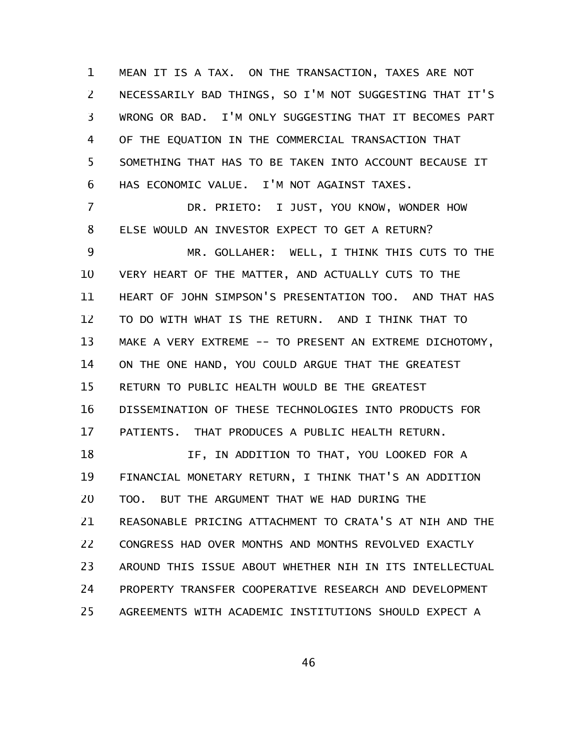MEAN IT IS A TAX. ON THE TRANSACTION, TAXES ARE NOT NECESSARILY BAD THINGS, SO I'M NOT SUGGESTING THAT IT'S WRONG OR BAD. I'M ONLY SUGGESTING THAT IT BECOMES PART OF THE EQUATION IN THE COMMERCIAL TRANSACTION THAT SOMETHING THAT HAS TO BE TAKEN INTO ACCOUNT BECAUSE IT HAS ECONOMIC VALUE. I'M NOT AGAINST TAXES. 1 2 3 4 5 6

DR. PRIETO: I JUST, YOU KNOW, WONDER HOW ELSE WOULD AN INVESTOR EXPECT TO GET A RETURN? MR. GOLLAHER: WELL, I THINK THIS CUTS TO THE VERY HEART OF THE MATTER, AND ACTUALLY CUTS TO THE HEART OF JOHN SIMPSON'S PRESENTATION TOO. AND THAT HAS TO DO WITH WHAT IS THE RETURN. AND I THINK THAT TO MAKE A VERY EXTREME -- TO PRESENT AN EXTREME DICHOTOMY, ON THE ONE HAND, YOU COULD ARGUE THAT THE GREATEST RETURN TO PUBLIC HEALTH WOULD BE THE GREATEST DISSEMINATION OF THESE TECHNOLOGIES INTO PRODUCTS FOR PATIENTS. THAT PRODUCES A PUBLIC HEALTH RETURN. IF, IN ADDITION TO THAT, YOU LOOKED FOR A FINANCIAL MONETARY RETURN, I THINK THAT'S AN ADDITION TOO. BUT THE ARGUMENT THAT WE HAD DURING THE REASONABLE PRICING ATTACHMENT TO CRATA'S AT NIH AND THE CONGRESS HAD OVER MONTHS AND MONTHS REVOLVED EXACTLY AROUND THIS ISSUE ABOUT WHETHER NIH IN ITS INTELLECTUAL PROPERTY TRANSFER COOPERATIVE RESEARCH AND DEVELOPMENT 7 8 9 10 11 12 13 14 15 16 17 18 19 20 21 22 23 24

AGREEMENTS WITH ACADEMIC INSTITUTIONS SHOULD EXPECT A 25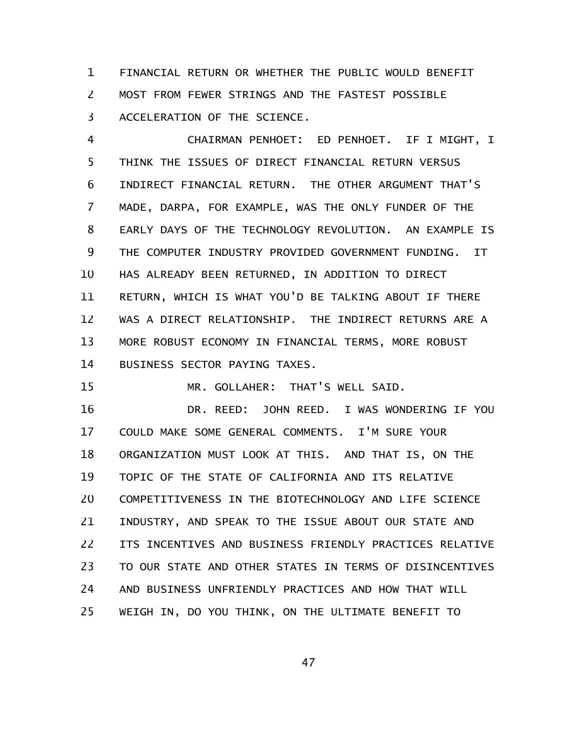FINANCIAL RETURN OR WHETHER THE PUBLIC WOULD BENEFIT MOST FROM FEWER STRINGS AND THE FASTEST POSSIBLE ACCELERATION OF THE SCIENCE. 1 2 3

CHAIRMAN PENHOET: ED PENHOET. IF I MIGHT, I THINK THE ISSUES OF DIRECT FINANCIAL RETURN VERSUS INDIRECT FINANCIAL RETURN. THE OTHER ARGUMENT THAT'S MADE, DARPA, FOR EXAMPLE, WAS THE ONLY FUNDER OF THE EARLY DAYS OF THE TECHNOLOGY REVOLUTION. AN EXAMPLE IS THE COMPUTER INDUSTRY PROVIDED GOVERNMENT FUNDING. IT HAS ALREADY BEEN RETURNED, IN ADDITION TO DIRECT RETURN, WHICH IS WHAT YOU'D BE TALKING ABOUT IF THERE WAS A DIRECT RELATIONSHIP. THE INDIRECT RETURNS ARE A MORE ROBUST ECONOMY IN FINANCIAL TERMS, MORE ROBUST BUSINESS SECTOR PAYING TAXES. 4 5 6 7 8 9 10 11 12 13 14

MR. GOLLAHER: THAT'S WELL SAID. 15

DR. REED: JOHN REED. I WAS WONDERING IF YOU COULD MAKE SOME GENERAL COMMENTS. I'M SURE YOUR ORGANIZATION MUST LOOK AT THIS. AND THAT IS, ON THE TOPIC OF THE STATE OF CALIFORNIA AND ITS RELATIVE COMPETITIVENESS IN THE BIOTECHNOLOGY AND LIFE SCIENCE INDUSTRY, AND SPEAK TO THE ISSUE ABOUT OUR STATE AND ITS INCENTIVES AND BUSINESS FRIENDLY PRACTICES RELATIVE TO OUR STATE AND OTHER STATES IN TERMS OF DISINCENTIVES AND BUSINESS UNFRIENDLY PRACTICES AND HOW THAT WILL WEIGH IN, DO YOU THINK, ON THE ULTIMATE BENEFIT TO 16 17 18 19 20 21 22 23 24 25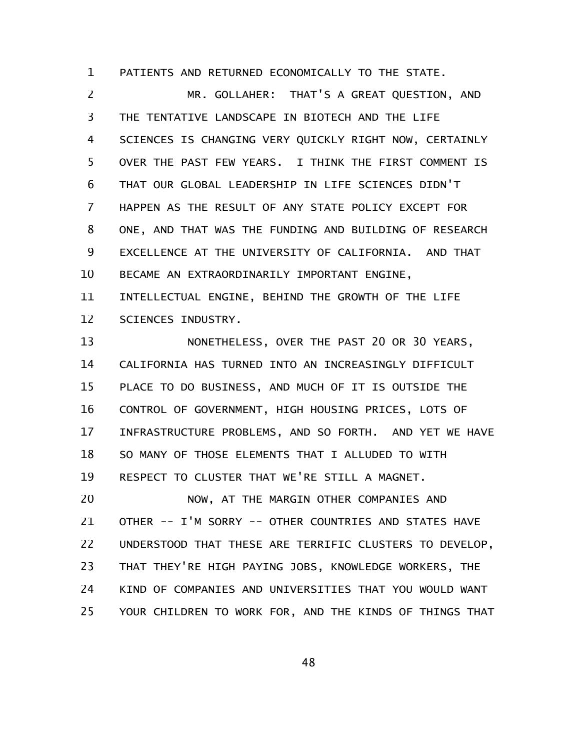PATIENTS AND RETURNED ECONOMICALLY TO THE STATE. 1

MR. GOLLAHER: THAT'S A GREAT QUESTION, AND THE TENTATIVE LANDSCAPE IN BIOTECH AND THE LIFE SCIENCES IS CHANGING VERY QUICKLY RIGHT NOW, CERTAINLY OVER THE PAST FEW YEARS. I THINK THE FIRST COMMENT IS THAT OUR GLOBAL LEADERSHIP IN LIFE SCIENCES DIDN'T HAPPEN AS THE RESULT OF ANY STATE POLICY EXCEPT FOR ONE, AND THAT WAS THE FUNDING AND BUILDING OF RESEARCH EXCELLENCE AT THE UNIVERSITY OF CALIFORNIA. AND THAT BECAME AN EXTRAORDINARILY IMPORTANT ENGINE, INTELLECTUAL ENGINE, BEHIND THE GROWTH OF THE LIFE SCIENCES INDUSTRY. 2 3 4 5 6 7 8 9 10 11 12

NONETHELESS, OVER THE PAST 20 OR 30 YEARS, CALIFORNIA HAS TURNED INTO AN INCREASINGLY DIFFICULT PLACE TO DO BUSINESS, AND MUCH OF IT IS OUTSIDE THE CONTROL OF GOVERNMENT, HIGH HOUSING PRICES, LOTS OF INFRASTRUCTURE PROBLEMS, AND SO FORTH. AND YET WE HAVE SO MANY OF THOSE ELEMENTS THAT I ALLUDED TO WITH RESPECT TO CLUSTER THAT WE'RE STILL A MAGNET. 13 14 15 16 17 18 19

NOW, AT THE MARGIN OTHER COMPANIES AND OTHER -- I'M SORRY -- OTHER COUNTRIES AND STATES HAVE UNDERSTOOD THAT THESE ARE TERRIFIC CLUSTERS TO DEVELOP, THAT THEY'RE HIGH PAYING JOBS, KNOWLEDGE WORKERS, THE KIND OF COMPANIES AND UNIVERSITIES THAT YOU WOULD WANT YOUR CHILDREN TO WORK FOR, AND THE KINDS OF THINGS THAT 20 21 22 23 24 25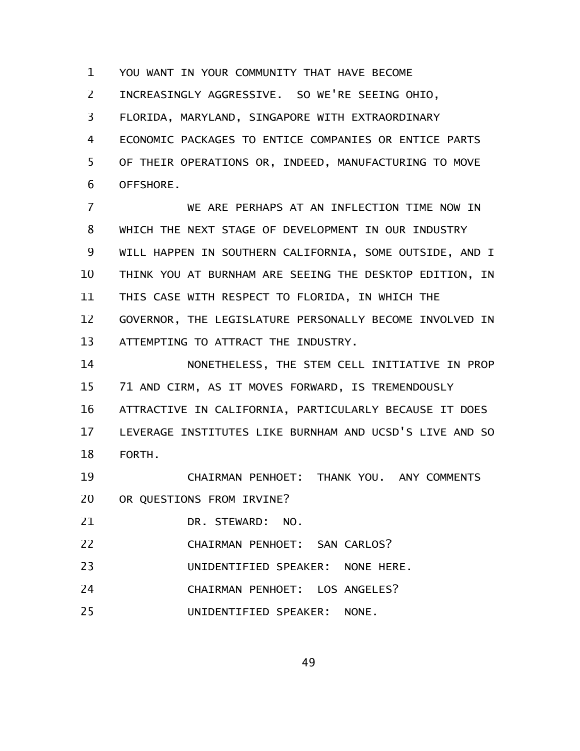YOU WANT IN YOUR COMMUNITY THAT HAVE BECOME 1

INCREASINGLY AGGRESSIVE. SO WE'RE SEEING OHIO, 2

FLORIDA, MARYLAND, SINGAPORE WITH EXTRAORDINARY 3

ECONOMIC PACKAGES TO ENTICE COMPANIES OR ENTICE PARTS OF THEIR OPERATIONS OR, INDEED, MANUFACTURING TO MOVE OFFSHORE. 4 5 6

WE ARE PERHAPS AT AN INFLECTION TIME NOW IN WHICH THE NEXT STAGE OF DEVELOPMENT IN OUR INDUSTRY WILL HAPPEN IN SOUTHERN CALIFORNIA, SOME OUTSIDE, AND I THINK YOU AT BURNHAM ARE SEEING THE DESKTOP EDITION, IN THIS CASE WITH RESPECT TO FLORIDA, IN WHICH THE GOVERNOR, THE LEGISLATURE PERSONALLY BECOME INVOLVED IN ATTEMPTING TO ATTRACT THE INDUSTRY. 7 8 9 10 11 12 13

NONETHELESS, THE STEM CELL INITIATIVE IN PROP 71 AND CIRM, AS IT MOVES FORWARD, IS TREMENDOUSLY ATTRACTIVE IN CALIFORNIA, PARTICULARLY BECAUSE IT DOES LEVERAGE INSTITUTES LIKE BURNHAM AND UCSD'S LIVE AND SO FORTH. 14 15 16 17 18

CHAIRMAN PENHOET: THANK YOU. ANY COMMENTS OR QUESTIONS FROM IRVINE? 19 20

DR. STEWARD: NO. 21

CHAIRMAN PENHOET: SAN CARLOS? 22

UNIDENTIFIED SPEAKER: NONE HERE. 23

CHAIRMAN PENHOET: LOS ANGELES? 24

UNIDENTIFIED SPEAKER: NONE. 25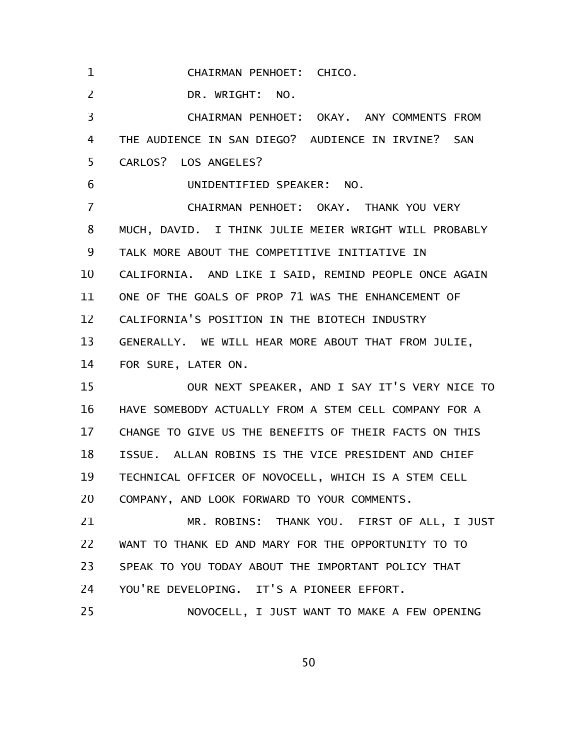CHAIRMAN PENHOET: CHICO. DR. WRIGHT: NO. CHAIRMAN PENHOET: OKAY. ANY COMMENTS FROM THE AUDIENCE IN SAN DIEGO? AUDIENCE IN IRVINE? SAN CARLOS? LOS ANGELES? UNIDENTIFIED SPEAKER: NO. CHAIRMAN PENHOET: OKAY. THANK YOU VERY MUCH, DAVID. I THINK JULIE MEIER WRIGHT WILL PROBABLY TALK MORE ABOUT THE COMPETITIVE INITIATIVE IN CALIFORNIA. AND LIKE I SAID, REMIND PEOPLE ONCE AGAIN ONE OF THE GOALS OF PROP 71 WAS THE ENHANCEMENT OF CALIFORNIA'S POSITION IN THE BIOTECH INDUSTRY GENERALLY. WE WILL HEAR MORE ABOUT THAT FROM JULIE, FOR SURE, LATER ON. OUR NEXT SPEAKER, AND I SAY IT'S VERY NICE TO HAVE SOMEBODY ACTUALLY FROM A STEM CELL COMPANY FOR A CHANGE TO GIVE US THE BENEFITS OF THEIR FACTS ON THIS ISSUE. ALLAN ROBINS IS THE VICE PRESIDENT AND CHIEF TECHNICAL OFFICER OF NOVOCELL, WHICH IS A STEM CELL COMPANY, AND LOOK FORWARD TO YOUR COMMENTS. MR. ROBINS: THANK YOU. FIRST OF ALL, I JUST WANT TO THANK ED AND MARY FOR THE OPPORTUNITY TO TO SPEAK TO YOU TODAY ABOUT THE IMPORTANT POLICY THAT YOU'RE DEVELOPING. IT'S A PIONEER EFFORT. NOVOCELL, I JUST WANT TO MAKE A FEW OPENING 1 2 3 4 5 6 7 8 9 10 11 12 13 14 15 16 17 18 19 20 21 22 23 24 25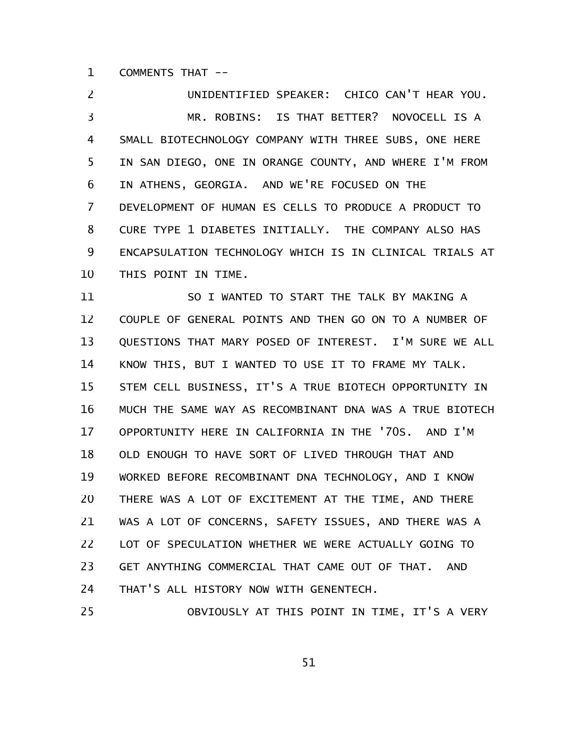COMMENTS THAT -- 1

UNIDENTIFIED SPEAKER: CHICO CAN'T HEAR YOU. MR. ROBINS: IS THAT BETTER? NOVOCELL IS A SMALL BIOTECHNOLOGY COMPANY WITH THREE SUBS, ONE HERE IN SAN DIEGO, ONE IN ORANGE COUNTY, AND WHERE I'M FROM IN ATHENS, GEORGIA. AND WE'RE FOCUSED ON THE DEVELOPMENT OF HUMAN ES CELLS TO PRODUCE A PRODUCT TO CURE TYPE 1 DIABETES INITIALLY. THE COMPANY ALSO HAS ENCAPSULATION TECHNOLOGY WHICH IS IN CLINICAL TRIALS AT THIS POINT IN TIME. 2 3 4 5 6 7 8 9 10

SO I WANTED TO START THE TALK BY MAKING A COUPLE OF GENERAL POINTS AND THEN GO ON TO A NUMBER OF QUESTIONS THAT MARY POSED OF INTEREST. I'M SURE WE ALL KNOW THIS, BUT I WANTED TO USE IT TO FRAME MY TALK. STEM CELL BUSINESS, IT'S A TRUE BIOTECH OPPORTUNITY IN MUCH THE SAME WAY AS RECOMBINANT DNA WAS A TRUE BIOTECH OPPORTUNITY HERE IN CALIFORNIA IN THE '70S. AND I'M OLD ENOUGH TO HAVE SORT OF LIVED THROUGH THAT AND WORKED BEFORE RECOMBINANT DNA TECHNOLOGY, AND I KNOW THERE WAS A LOT OF EXCITEMENT AT THE TIME, AND THERE WAS A LOT OF CONCERNS, SAFETY ISSUES, AND THERE WAS A LOT OF SPECULATION WHETHER WE WERE ACTUALLY GOING TO GET ANYTHING COMMERCIAL THAT CAME OUT OF THAT. AND THAT'S ALL HISTORY NOW WITH GENENTECH. 11 12 13 14 15 16 17 18 19 20 21 22 23 24

OBVIOUSLY AT THIS POINT IN TIME, IT'S A VERY 25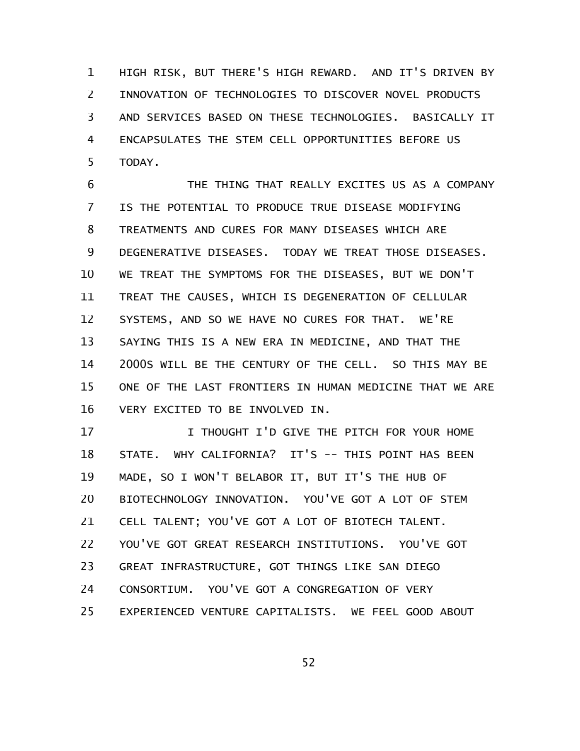HIGH RISK, BUT THERE'S HIGH REWARD. AND IT'S DRIVEN BY INNOVATION OF TECHNOLOGIES TO DISCOVER NOVEL PRODUCTS AND SERVICES BASED ON THESE TECHNOLOGIES. BASICALLY IT ENCAPSULATES THE STEM CELL OPPORTUNITIES BEFORE US TODAY. 1 2 3 4 5

THE THING THAT REALLY EXCITES US AS A COMPANY IS THE POTENTIAL TO PRODUCE TRUE DISEASE MODIFYING TREATMENTS AND CURES FOR MANY DISEASES WHICH ARE DEGENERATIVE DISEASES. TODAY WE TREAT THOSE DISEASES. WE TREAT THE SYMPTOMS FOR THE DISEASES, BUT WE DON'T TREAT THE CAUSES, WHICH IS DEGENERATION OF CELLULAR SYSTEMS, AND SO WE HAVE NO CURES FOR THAT. WE'RE SAYING THIS IS A NEW ERA IN MEDICINE, AND THAT THE 2000S WILL BE THE CENTURY OF THE CELL. SO THIS MAY BE ONE OF THE LAST FRONTIERS IN HUMAN MEDICINE THAT WE ARE VERY EXCITED TO BE INVOLVED IN. 6 7 8 9 10 11 12 13 14 15 16

I THOUGHT I'D GIVE THE PITCH FOR YOUR HOME STATE. WHY CALIFORNIA? IT'S -- THIS POINT HAS BEEN MADE, SO I WON'T BELABOR IT, BUT IT'S THE HUB OF BIOTECHNOLOGY INNOVATION. YOU'VE GOT A LOT OF STEM CELL TALENT; YOU'VE GOT A LOT OF BIOTECH TALENT. YOU'VE GOT GREAT RESEARCH INSTITUTIONS. YOU'VE GOT GREAT INFRASTRUCTURE, GOT THINGS LIKE SAN DIEGO CONSORTIUM. YOU'VE GOT A CONGREGATION OF VERY EXPERIENCED VENTURE CAPITALISTS. WE FEEL GOOD ABOUT 17 18 19 20 21 22 23 24 25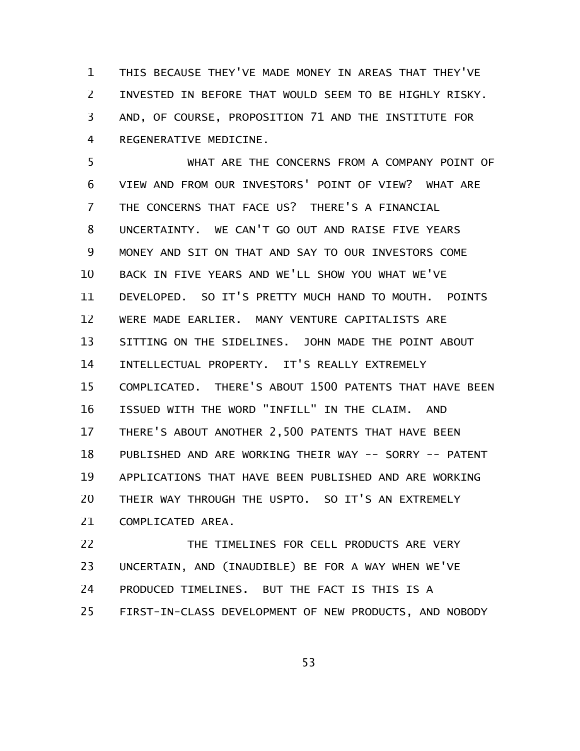THIS BECAUSE THEY'VE MADE MONEY IN AREAS THAT THEY'VE INVESTED IN BEFORE THAT WOULD SEEM TO BE HIGHLY RISKY. AND, OF COURSE, PROPOSITION 71 AND THE INSTITUTE FOR REGENERATIVE MEDICINE. 1 2 3 4

WHAT ARE THE CONCERNS FROM A COMPANY POINT OF VIEW AND FROM OUR INVESTORS' POINT OF VIEW? WHAT ARE THE CONCERNS THAT FACE US? THERE'S A FINANCIAL UNCERTAINTY. WE CAN'T GO OUT AND RAISE FIVE YEARS MONEY AND SIT ON THAT AND SAY TO OUR INVESTORS COME BACK IN FIVE YEARS AND WE'LL SHOW YOU WHAT WE'VE DEVELOPED. SO IT'S PRETTY MUCH HAND TO MOUTH. POINTS WERE MADE EARLIER. MANY VENTURE CAPITALISTS ARE SITTING ON THE SIDELINES. JOHN MADE THE POINT ABOUT INTELLECTUAL PROPERTY. IT'S REALLY EXTREMELY COMPLICATED. THERE'S ABOUT 1500 PATENTS THAT HAVE BEEN ISSUED WITH THE WORD "INFILL" IN THE CLAIM. AND THERE'S ABOUT ANOTHER 2,500 PATENTS THAT HAVE BEEN PUBLISHED AND ARE WORKING THEIR WAY -- SORRY -- PATENT APPLICATIONS THAT HAVE BEEN PUBLISHED AND ARE WORKING THEIR WAY THROUGH THE USPTO. SO IT'S AN EXTREMELY COMPLICATED AREA. 5 6 7 8 9 10 11 12 13 14 15 16 17 18 19 20 21

THE TIMELINES FOR CELL PRODUCTS ARE VERY UNCERTAIN, AND (INAUDIBLE) BE FOR A WAY WHEN WE'VE PRODUCED TIMELINES. BUT THE FACT IS THIS IS A FIRST-IN-CLASS DEVELOPMENT OF NEW PRODUCTS, AND NOBODY 22 23 24 25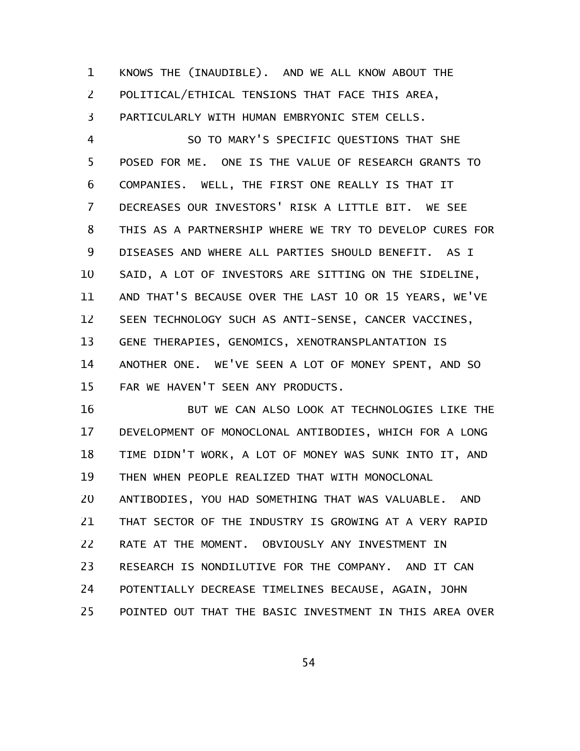KNOWS THE (INAUDIBLE). AND WE ALL KNOW ABOUT THE POLITICAL/ETHICAL TENSIONS THAT FACE THIS AREA, PARTICULARLY WITH HUMAN EMBRYONIC STEM CELLS. 1 2 3

SO TO MARY'S SPECIFIC QUESTIONS THAT SHE POSED FOR ME. ONE IS THE VALUE OF RESEARCH GRANTS TO COMPANIES. WELL, THE FIRST ONE REALLY IS THAT IT DECREASES OUR INVESTORS' RISK A LITTLE BIT. WE SEE THIS AS A PARTNERSHIP WHERE WE TRY TO DEVELOP CURES FOR DISEASES AND WHERE ALL PARTIES SHOULD BENEFIT. AS I SAID, A LOT OF INVESTORS ARE SITTING ON THE SIDELINE, AND THAT'S BECAUSE OVER THE LAST 10 OR 15 YEARS, WE'VE SEEN TECHNOLOGY SUCH AS ANTI-SENSE, CANCER VACCINES, GENE THERAPIES, GENOMICS, XENOTRANSPLANTATION IS ANOTHER ONE. WE'VE SEEN A LOT OF MONEY SPENT, AND SO FAR WE HAVEN'T SEEN ANY PRODUCTS. 4 5 6 7 8 9 10 11 12 13 14 15

BUT WE CAN ALSO LOOK AT TECHNOLOGIES LIKE THE DEVELOPMENT OF MONOCLONAL ANTIBODIES, WHICH FOR A LONG TIME DIDN'T WORK, A LOT OF MONEY WAS SUNK INTO IT, AND THEN WHEN PEOPLE REALIZED THAT WITH MONOCLONAL ANTIBODIES, YOU HAD SOMETHING THAT WAS VALUABLE. AND THAT SECTOR OF THE INDUSTRY IS GROWING AT A VERY RAPID RATE AT THE MOMENT. OBVIOUSLY ANY INVESTMENT IN RESEARCH IS NONDILUTIVE FOR THE COMPANY. AND IT CAN POTENTIALLY DECREASE TIMELINES BECAUSE, AGAIN, JOHN POINTED OUT THAT THE BASIC INVESTMENT IN THIS AREA OVER 16 17 18 19 20 21 22 23 24 25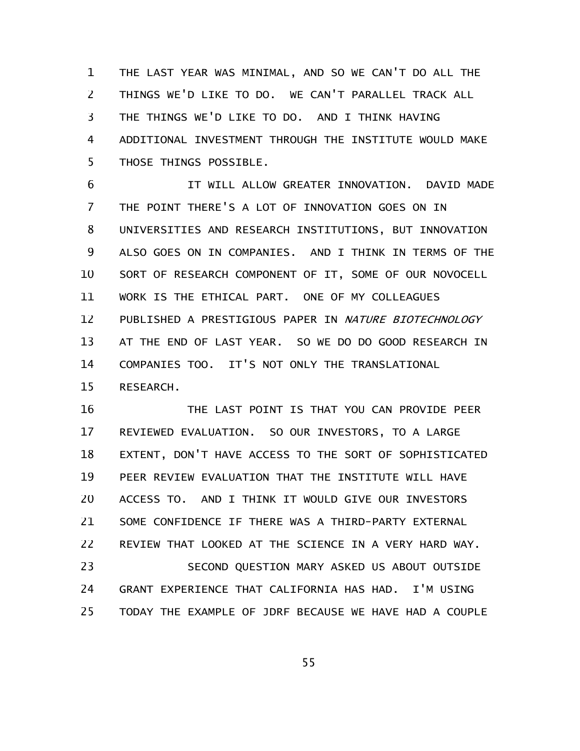THE LAST YEAR WAS MINIMAL, AND SO WE CAN'T DO ALL THE THINGS WE'D LIKE TO DO. WE CAN'T PARALLEL TRACK ALL THE THINGS WE'D LIKE TO DO. AND I THINK HAVING ADDITIONAL INVESTMENT THROUGH THE INSTITUTE WOULD MAKE THOSE THINGS POSSIBLE. 1 2 3 4 5

IT WILL ALLOW GREATER INNOVATION. DAVID MADE THE POINT THERE'S A LOT OF INNOVATION GOES ON IN UNIVERSITIES AND RESEARCH INSTITUTIONS, BUT INNOVATION ALSO GOES ON IN COMPANIES. AND I THINK IN TERMS OF THE SORT OF RESEARCH COMPONENT OF IT, SOME OF OUR NOVOCELL WORK IS THE ETHICAL PART. ONE OF MY COLLEAGUES PUBLISHED A PRESTIGIOUS PAPER IN NATURE BIOTECHNOLOGY AT THE END OF LAST YEAR. SO WE DO DO GOOD RESEARCH IN COMPANIES TOO. IT'S NOT ONLY THE TRANSLATIONAL RESEARCH. 6 7 8 9 10 11 12 13 14 15

THE LAST POINT IS THAT YOU CAN PROVIDE PEER REVIEWED EVALUATION. SO OUR INVESTORS, TO A LARGE EXTENT, DON'T HAVE ACCESS TO THE SORT OF SOPHISTICATED PEER REVIEW EVALUATION THAT THE INSTITUTE WILL HAVE ACCESS TO. AND I THINK IT WOULD GIVE OUR INVESTORS SOME CONFIDENCE IF THERE WAS A THIRD-PARTY EXTERNAL REVIEW THAT LOOKED AT THE SCIENCE IN A VERY HARD WAY. SECOND QUESTION MARY ASKED US ABOUT OUTSIDE GRANT EXPERIENCE THAT CALIFORNIA HAS HAD. I'M USING TODAY THE EXAMPLE OF JDRF BECAUSE WE HAVE HAD A COUPLE 16 17 18 19 20 21 22 23 24 25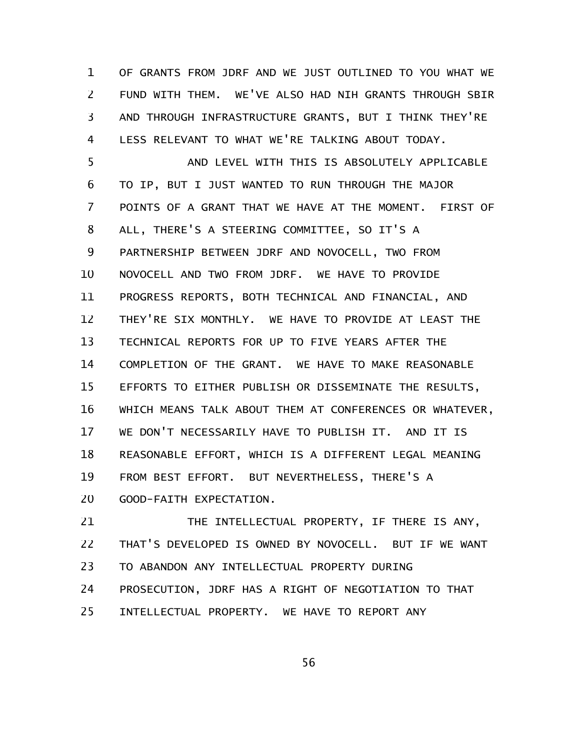OF GRANTS FROM JDRF AND WE JUST OUTLINED TO YOU WHAT WE FUND WITH THEM. WE'VE ALSO HAD NIH GRANTS THROUGH SBIR AND THROUGH INFRASTRUCTURE GRANTS, BUT I THINK THEY'RE LESS RELEVANT TO WHAT WE'RE TALKING ABOUT TODAY. 1 2 3 4

AND LEVEL WITH THIS IS ABSOLUTELY APPLICABLE TO IP, BUT I JUST WANTED TO RUN THROUGH THE MAJOR POINTS OF A GRANT THAT WE HAVE AT THE MOMENT. FIRST OF ALL, THERE'S A STEERING COMMITTEE, SO IT'S A PARTNERSHIP BETWEEN JDRF AND NOVOCELL, TWO FROM NOVOCELL AND TWO FROM JDRF. WE HAVE TO PROVIDE PROGRESS REPORTS, BOTH TECHNICAL AND FINANCIAL, AND THEY'RE SIX MONTHLY. WE HAVE TO PROVIDE AT LEAST THE TECHNICAL REPORTS FOR UP TO FIVE YEARS AFTER THE COMPLETION OF THE GRANT. WE HAVE TO MAKE REASONABLE EFFORTS TO EITHER PUBLISH OR DISSEMINATE THE RESULTS, WHICH MEANS TALK ABOUT THEM AT CONFERENCES OR WHATEVER, WE DON'T NECESSARILY HAVE TO PUBLISH IT. AND IT IS REASONABLE EFFORT, WHICH IS A DIFFERENT LEGAL MEANING FROM BEST EFFORT. BUT NEVERTHELESS, THERE'S A GOOD-FAITH EXPECTATION. 5 6 7 8 9 10 11 12 13 14 15 16 17 18 19 20

THE INTELLECTUAL PROPERTY, IF THERE IS ANY, THAT'S DEVELOPED IS OWNED BY NOVOCELL. BUT IF WE WANT TO ABANDON ANY INTELLECTUAL PROPERTY DURING PROSECUTION, JDRF HAS A RIGHT OF NEGOTIATION TO THAT INTELLECTUAL PROPERTY. WE HAVE TO REPORT ANY 21 22 23 24 25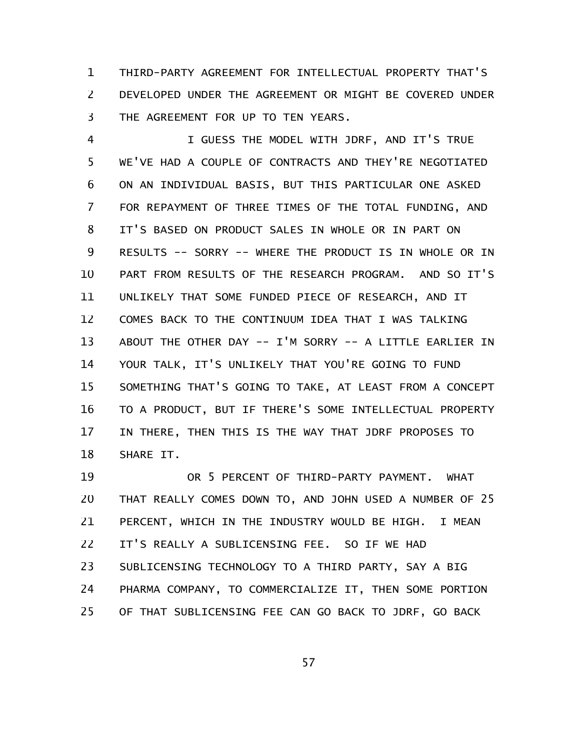THIRD-PARTY AGREEMENT FOR INTELLECTUAL PROPERTY THAT'S DEVELOPED UNDER THE AGREEMENT OR MIGHT BE COVERED UNDER THE AGREEMENT FOR UP TO TEN YEARS. 1 2 3

I GUESS THE MODEL WITH JDRF, AND IT'S TRUE WE'VE HAD A COUPLE OF CONTRACTS AND THEY'RE NEGOTIATED ON AN INDIVIDUAL BASIS, BUT THIS PARTICULAR ONE ASKED FOR REPAYMENT OF THREE TIMES OF THE TOTAL FUNDING, AND IT'S BASED ON PRODUCT SALES IN WHOLE OR IN PART ON RESULTS -- SORRY -- WHERE THE PRODUCT IS IN WHOLE OR IN PART FROM RESULTS OF THE RESEARCH PROGRAM. AND SO IT'S UNLIKELY THAT SOME FUNDED PIECE OF RESEARCH, AND IT COMES BACK TO THE CONTINUUM IDEA THAT I WAS TALKING ABOUT THE OTHER DAY -- I'M SORRY -- A LITTLE EARLIER IN YOUR TALK, IT'S UNLIKELY THAT YOU'RE GOING TO FUND SOMETHING THAT'S GOING TO TAKE, AT LEAST FROM A CONCEPT TO A PRODUCT, BUT IF THERE'S SOME INTELLECTUAL PROPERTY IN THERE, THEN THIS IS THE WAY THAT JDRF PROPOSES TO SHARE IT. 4 5 6 7 8 9 10 11 12 13 14 15 16 17 18

OR 5 PERCENT OF THIRD-PARTY PAYMENT. WHAT THAT REALLY COMES DOWN TO, AND JOHN USED A NUMBER OF 25 PERCENT, WHICH IN THE INDUSTRY WOULD BE HIGH. I MEAN IT'S REALLY A SUBLICENSING FEE. SO IF WE HAD SUBLICENSING TECHNOLOGY TO A THIRD PARTY, SAY A BIG PHARMA COMPANY, TO COMMERCIALIZE IT, THEN SOME PORTION OF THAT SUBLICENSING FEE CAN GO BACK TO JDRF, GO BACK 19 20 21 22 23 24 25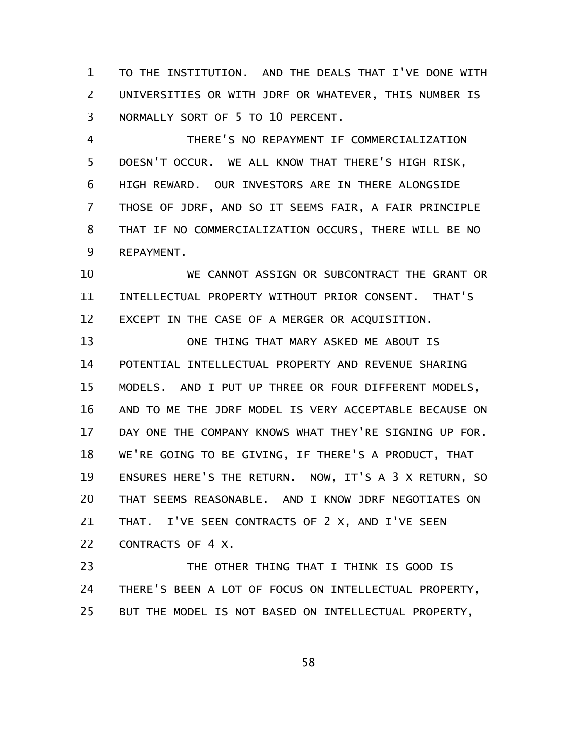TO THE INSTITUTION. AND THE DEALS THAT I'VE DONE WITH UNIVERSITIES OR WITH JDRF OR WHATEVER, THIS NUMBER IS NORMALLY SORT OF 5 TO 10 PERCENT. 1 2 3

THERE'S NO REPAYMENT IF COMMERCIALIZATION DOESN'T OCCUR. WE ALL KNOW THAT THERE'S HIGH RISK, HIGH REWARD. OUR INVESTORS ARE IN THERE ALONGSIDE THOSE OF JDRF, AND SO IT SEEMS FAIR, A FAIR PRINCIPLE THAT IF NO COMMERCIALIZATION OCCURS, THERE WILL BE NO REPAYMENT. 4 5 6 7 8 9

WE CANNOT ASSIGN OR SUBCONTRACT THE GRANT OR INTELLECTUAL PROPERTY WITHOUT PRIOR CONSENT. THAT'S EXCEPT IN THE CASE OF A MERGER OR ACQUISITION. 10 11 12

ONE THING THAT MARY ASKED ME ABOUT IS POTENTIAL INTELLECTUAL PROPERTY AND REVENUE SHARING MODELS. AND I PUT UP THREE OR FOUR DIFFERENT MODELS, AND TO ME THE JDRF MODEL IS VERY ACCEPTABLE BECAUSE ON DAY ONE THE COMPANY KNOWS WHAT THEY'RE SIGNING UP FOR. WE'RE GOING TO BE GIVING, IF THERE'S A PRODUCT, THAT ENSURES HERE'S THE RETURN. NOW, IT'S A 3 X RETURN, SO THAT SEEMS REASONABLE. AND I KNOW JDRF NEGOTIATES ON THAT. I'VE SEEN CONTRACTS OF 2 X, AND I'VE SEEN CONTRACTS OF 4 X. 13 14 15 16 17 18 19 20 21 22

THE OTHER THING THAT I THINK IS GOOD IS THERE'S BEEN A LOT OF FOCUS ON INTELLECTUAL PROPERTY, BUT THE MODEL IS NOT BASED ON INTELLECTUAL PROPERTY, 23 24 25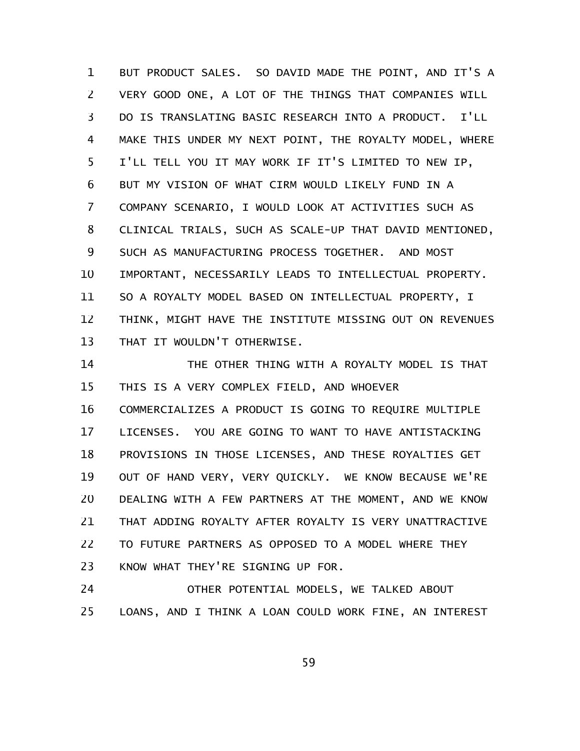BUT PRODUCT SALES. SO DAVID MADE THE POINT, AND IT'S A VERY GOOD ONE, A LOT OF THE THINGS THAT COMPANIES WILL DO IS TRANSLATING BASIC RESEARCH INTO A PRODUCT. I'LL MAKE THIS UNDER MY NEXT POINT, THE ROYALTY MODEL, WHERE I'LL TELL YOU IT MAY WORK IF IT'S LIMITED TO NEW IP, BUT MY VISION OF WHAT CIRM WOULD LIKELY FUND IN A COMPANY SCENARIO, I WOULD LOOK AT ACTIVITIES SUCH AS CLINICAL TRIALS, SUCH AS SCALE-UP THAT DAVID MENTIONED, SUCH AS MANUFACTURING PROCESS TOGETHER. AND MOST IMPORTANT, NECESSARILY LEADS TO INTELLECTUAL PROPERTY. SO A ROYALTY MODEL BASED ON INTELLECTUAL PROPERTY, I THINK, MIGHT HAVE THE INSTITUTE MISSING OUT ON REVENUES THAT IT WOULDN'T OTHERWISE. 1 2 3 4 5 6 7 8 9 10 11 12 13

THE OTHER THING WITH A ROYALTY MODEL IS THAT THIS IS A VERY COMPLEX FIELD, AND WHOEVER 14 15

COMMERCIALIZES A PRODUCT IS GOING TO REQUIRE MULTIPLE LICENSES. YOU ARE GOING TO WANT TO HAVE ANTISTACKING PROVISIONS IN THOSE LICENSES, AND THESE ROYALTIES GET OUT OF HAND VERY, VERY QUICKLY. WE KNOW BECAUSE WE'RE DEALING WITH A FEW PARTNERS AT THE MOMENT, AND WE KNOW THAT ADDING ROYALTY AFTER ROYALTY IS VERY UNATTRACTIVE TO FUTURE PARTNERS AS OPPOSED TO A MODEL WHERE THEY KNOW WHAT THEY'RE SIGNING UP FOR. 16 17 18 19 20 21 22 23

OTHER POTENTIAL MODELS, WE TALKED ABOUT LOANS, AND I THINK A LOAN COULD WORK FINE, AN INTEREST 24 25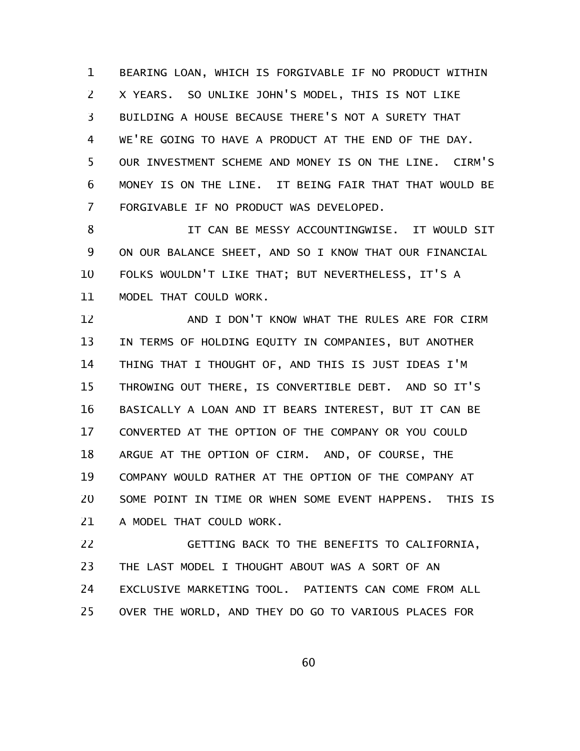BEARING LOAN, WHICH IS FORGIVABLE IF NO PRODUCT WITHIN X YEARS. SO UNLIKE JOHN'S MODEL, THIS IS NOT LIKE BUILDING A HOUSE BECAUSE THERE'S NOT A SURETY THAT WE'RE GOING TO HAVE A PRODUCT AT THE END OF THE DAY. OUR INVESTMENT SCHEME AND MONEY IS ON THE LINE. CIRM'S MONEY IS ON THE LINE. IT BEING FAIR THAT THAT WOULD BE FORGIVABLE IF NO PRODUCT WAS DEVELOPED. 1 2 3 4 5 6 7

IT CAN BE MESSY ACCOUNTINGWISE. IT WOULD SIT ON OUR BALANCE SHEET, AND SO I KNOW THAT OUR FINANCIAL FOLKS WOULDN'T LIKE THAT; BUT NEVERTHELESS, IT'S A MODEL THAT COULD WORK. 8 9 10 11

AND I DON'T KNOW WHAT THE RULES ARE FOR CIRM IN TERMS OF HOLDING EQUITY IN COMPANIES, BUT ANOTHER THING THAT I THOUGHT OF, AND THIS IS JUST IDEAS I'M THROWING OUT THERE, IS CONVERTIBLE DEBT. AND SO IT'S BASICALLY A LOAN AND IT BEARS INTEREST, BUT IT CAN BE CONVERTED AT THE OPTION OF THE COMPANY OR YOU COULD ARGUE AT THE OPTION OF CIRM. AND, OF COURSE, THE COMPANY WOULD RATHER AT THE OPTION OF THE COMPANY AT SOME POINT IN TIME OR WHEN SOME EVENT HAPPENS. THIS IS A MODEL THAT COULD WORK. 12 13 14 15 16 17 18 19 20 21

GETTING BACK TO THE BENEFITS TO CALIFORNIA, THE LAST MODEL I THOUGHT ABOUT WAS A SORT OF AN EXCLUSIVE MARKETING TOOL. PATIENTS CAN COME FROM ALL OVER THE WORLD, AND THEY DO GO TO VARIOUS PLACES FOR 22 23 24 25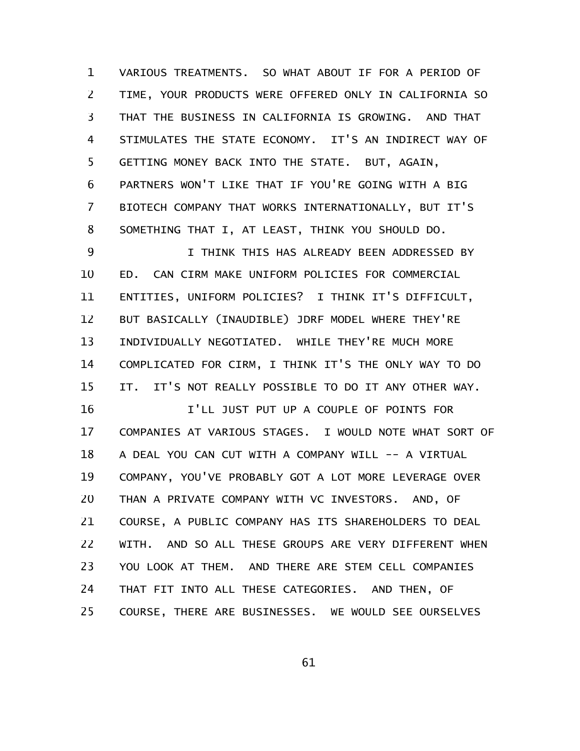VARIOUS TREATMENTS. SO WHAT ABOUT IF FOR A PERIOD OF TIME, YOUR PRODUCTS WERE OFFERED ONLY IN CALIFORNIA SO THAT THE BUSINESS IN CALIFORNIA IS GROWING. AND THAT STIMULATES THE STATE ECONOMY. IT'S AN INDIRECT WAY OF GETTING MONEY BACK INTO THE STATE. BUT, AGAIN, PARTNERS WON'T LIKE THAT IF YOU'RE GOING WITH A BIG BIOTECH COMPANY THAT WORKS INTERNATIONALLY, BUT IT'S SOMETHING THAT I, AT LEAST, THINK YOU SHOULD DO. 1 2 3 4 5 6 7 8

I THINK THIS HAS ALREADY BEEN ADDRESSED BY ED. CAN CIRM MAKE UNIFORM POLICIES FOR COMMERCIAL ENTITIES, UNIFORM POLICIES? I THINK IT'S DIFFICULT, BUT BASICALLY (INAUDIBLE) JDRF MODEL WHERE THEY'RE INDIVIDUALLY NEGOTIATED. WHILE THEY'RE MUCH MORE COMPLICATED FOR CIRM, I THINK IT'S THE ONLY WAY TO DO IT. IT'S NOT REALLY POSSIBLE TO DO IT ANY OTHER WAY. 9 10 11 12 13 14 15

I'LL JUST PUT UP A COUPLE OF POINTS FOR COMPANIES AT VARIOUS STAGES. I WOULD NOTE WHAT SORT OF A DEAL YOU CAN CUT WITH A COMPANY WILL -- A VIRTUAL COMPANY, YOU'VE PROBABLY GOT A LOT MORE LEVERAGE OVER THAN A PRIVATE COMPANY WITH VC INVESTORS. AND, OF COURSE, A PUBLIC COMPANY HAS ITS SHAREHOLDERS TO DEAL WITH. AND SO ALL THESE GROUPS ARE VERY DIFFERENT WHEN YOU LOOK AT THEM. AND THERE ARE STEM CELL COMPANIES THAT FIT INTO ALL THESE CATEGORIES. AND THEN, OF COURSE, THERE ARE BUSINESSES. WE WOULD SEE OURSELVES 16 17 18 19 20 21 22 23 24 25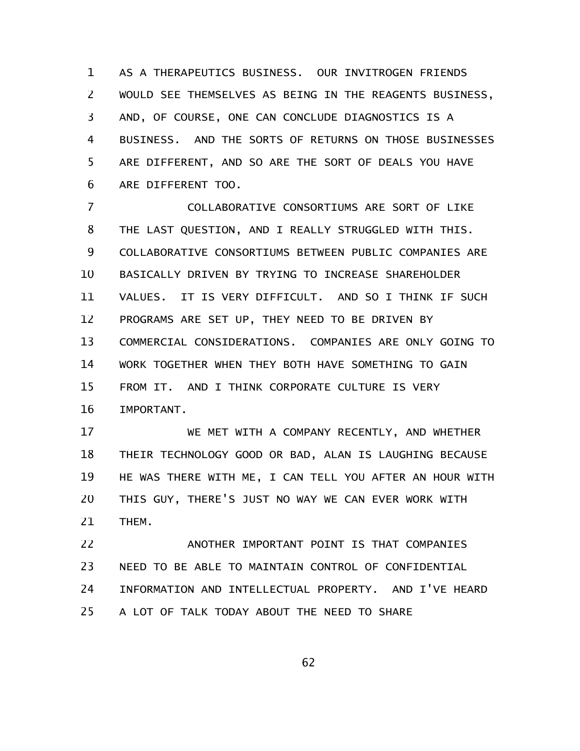AS A THERAPEUTICS BUSINESS. OUR INVITROGEN FRIENDS WOULD SEE THEMSELVES AS BEING IN THE REAGENTS BUSINESS, AND, OF COURSE, ONE CAN CONCLUDE DIAGNOSTICS IS A BUSINESS. AND THE SORTS OF RETURNS ON THOSE BUSINESSES ARE DIFFERENT, AND SO ARE THE SORT OF DEALS YOU HAVE ARE DIFFERENT TOO. 1 2 3 4 5 6

COLLABORATIVE CONSORTIUMS ARE SORT OF LIKE THE LAST QUESTION, AND I REALLY STRUGGLED WITH THIS. COLLABORATIVE CONSORTIUMS BETWEEN PUBLIC COMPANIES ARE BASICALLY DRIVEN BY TRYING TO INCREASE SHAREHOLDER VALUES. IT IS VERY DIFFICULT. AND SO I THINK IF SUCH PROGRAMS ARE SET UP, THEY NEED TO BE DRIVEN BY COMMERCIAL CONSIDERATIONS. COMPANIES ARE ONLY GOING TO WORK TOGETHER WHEN THEY BOTH HAVE SOMETHING TO GAIN FROM IT. AND I THINK CORPORATE CULTURE IS VERY IMPORTANT. 7 8 9 10 11 12 13 14 15 16

WE MET WITH A COMPANY RECENTLY, AND WHETHER THEIR TECHNOLOGY GOOD OR BAD, ALAN IS LAUGHING BECAUSE HE WAS THERE WITH ME, I CAN TELL YOU AFTER AN HOUR WITH THIS GUY, THERE'S JUST NO WAY WE CAN EVER WORK WITH THEM. 17 18 19 20 21

ANOTHER IMPORTANT POINT IS THAT COMPANIES NEED TO BE ABLE TO MAINTAIN CONTROL OF CONFIDENTIAL INFORMATION AND INTELLECTUAL PROPERTY. AND I'VE HEARD A LOT OF TALK TODAY ABOUT THE NEED TO SHARE 22 23 24 25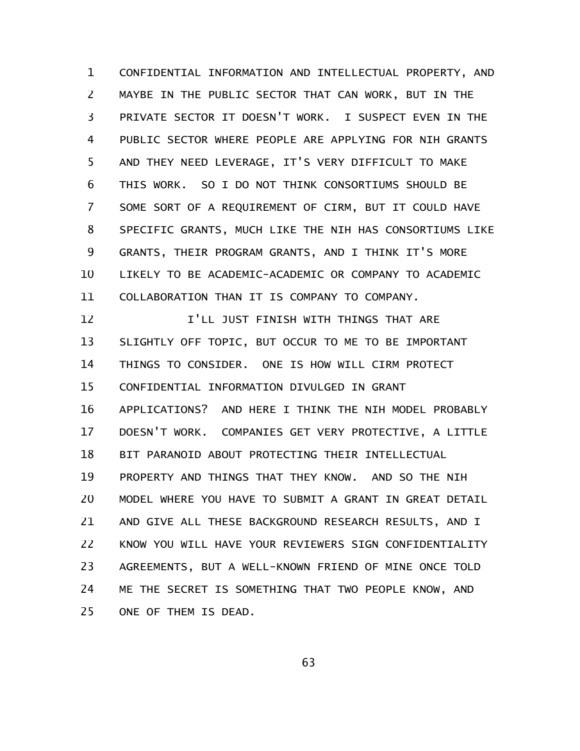CONFIDENTIAL INFORMATION AND INTELLECTUAL PROPERTY, AND MAYBE IN THE PUBLIC SECTOR THAT CAN WORK, BUT IN THE PRIVATE SECTOR IT DOESN'T WORK. I SUSPECT EVEN IN THE PUBLIC SECTOR WHERE PEOPLE ARE APPLYING FOR NIH GRANTS AND THEY NEED LEVERAGE, IT'S VERY DIFFICULT TO MAKE THIS WORK. SO I DO NOT THINK CONSORTIUMS SHOULD BE SOME SORT OF A REQUIREMENT OF CIRM, BUT IT COULD HAVE SPECIFIC GRANTS, MUCH LIKE THE NIH HAS CONSORTIUMS LIKE GRANTS, THEIR PROGRAM GRANTS, AND I THINK IT'S MORE LIKELY TO BE ACADEMIC-ACADEMIC OR COMPANY TO ACADEMIC COLLABORATION THAN IT IS COMPANY TO COMPANY. 1 2 3 4 5 6 7 8 9 10 11

I'LL JUST FINISH WITH THINGS THAT ARE SLIGHTLY OFF TOPIC, BUT OCCUR TO ME TO BE IMPORTANT THINGS TO CONSIDER. ONE IS HOW WILL CIRM PROTECT CONFIDENTIAL INFORMATION DIVULGED IN GRANT APPLICATIONS? AND HERE I THINK THE NIH MODEL PROBABLY DOESN'T WORK. COMPANIES GET VERY PROTECTIVE, A LITTLE BIT PARANOID ABOUT PROTECTING THEIR INTELLECTUAL PROPERTY AND THINGS THAT THEY KNOW. AND SO THE NIH MODEL WHERE YOU HAVE TO SUBMIT A GRANT IN GREAT DETAIL AND GIVE ALL THESE BACKGROUND RESEARCH RESULTS, AND I KNOW YOU WILL HAVE YOUR REVIEWERS SIGN CONFIDENTIALITY AGREEMENTS, BUT A WELL-KNOWN FRIEND OF MINE ONCE TOLD ME THE SECRET IS SOMETHING THAT TWO PEOPLE KNOW, AND ONE OF THEM IS DEAD. 12 13 14 15 16 17 18 19 20 21 22 23 24 25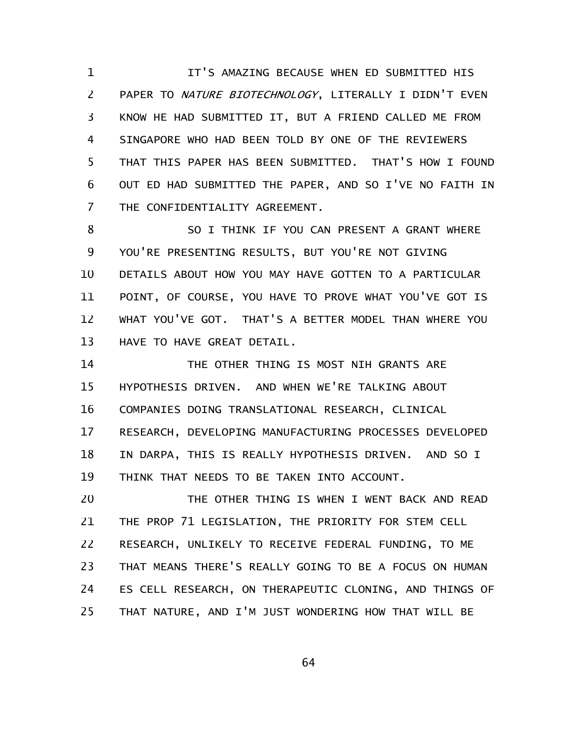IT'S AMAZING BECAUSE WHEN ED SUBMITTED HIS PAPER TO NATURE BIOTECHNOLOGY, LITERALLY I DIDN'T EVEN KNOW HE HAD SUBMITTED IT, BUT A FRIEND CALLED ME FROM SINGAPORE WHO HAD BEEN TOLD BY ONE OF THE REVIEWERS THAT THIS PAPER HAS BEEN SUBMITTED. THAT'S HOW I FOUND OUT ED HAD SUBMITTED THE PAPER, AND SO I'VE NO FAITH IN THE CONFIDENTIALITY AGREEMENT. 1 2 3 4 5 6 7

SO I THINK IF YOU CAN PRESENT A GRANT WHERE YOU'RE PRESENTING RESULTS, BUT YOU'RE NOT GIVING DETAILS ABOUT HOW YOU MAY HAVE GOTTEN TO A PARTICULAR POINT, OF COURSE, YOU HAVE TO PROVE WHAT YOU'VE GOT IS WHAT YOU'VE GOT. THAT'S A BETTER MODEL THAN WHERE YOU HAVE TO HAVE GREAT DETAIL. 8 9 10 11 12 13

THE OTHER THING IS MOST NIH GRANTS ARE HYPOTHESIS DRIVEN. AND WHEN WE'RE TALKING ABOUT COMPANIES DOING TRANSLATIONAL RESEARCH, CLINICAL RESEARCH, DEVELOPING MANUFACTURING PROCESSES DEVELOPED IN DARPA, THIS IS REALLY HYPOTHESIS DRIVEN. AND SO I THINK THAT NEEDS TO BE TAKEN INTO ACCOUNT. 14 15 16 17 18 19

THE OTHER THING IS WHEN I WENT BACK AND READ THE PROP 71 LEGISLATION, THE PRIORITY FOR STEM CELL RESEARCH, UNLIKELY TO RECEIVE FEDERAL FUNDING, TO ME THAT MEANS THERE'S REALLY GOING TO BE A FOCUS ON HUMAN ES CELL RESEARCH, ON THERAPEUTIC CLONING, AND THINGS OF THAT NATURE, AND I'M JUST WONDERING HOW THAT WILL BE 20 21 22 23 24 25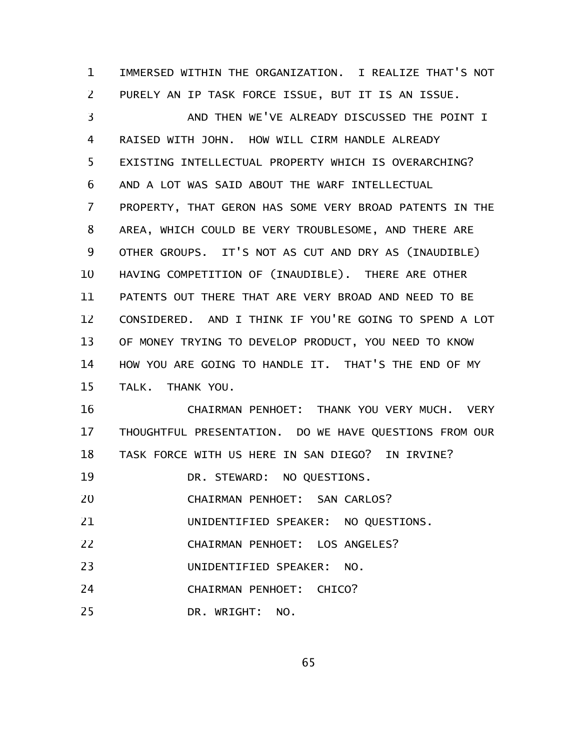IMMERSED WITHIN THE ORGANIZATION. I REALIZE THAT'S NOT PURELY AN IP TASK FORCE ISSUE, BUT IT IS AN ISSUE. 1 2

AND THEN WE'VE ALREADY DISCUSSED THE POINT I RAISED WITH JOHN. HOW WILL CIRM HANDLE ALREADY EXISTING INTELLECTUAL PROPERTY WHICH IS OVERARCHING? AND A LOT WAS SAID ABOUT THE WARF INTELLECTUAL PROPERTY, THAT GERON HAS SOME VERY BROAD PATENTS IN THE AREA, WHICH COULD BE VERY TROUBLESOME, AND THERE ARE OTHER GROUPS. IT'S NOT AS CUT AND DRY AS (INAUDIBLE) HAVING COMPETITION OF (INAUDIBLE). THERE ARE OTHER PATENTS OUT THERE THAT ARE VERY BROAD AND NEED TO BE CONSIDERED. AND I THINK IF YOU'RE GOING TO SPEND A LOT OF MONEY TRYING TO DEVELOP PRODUCT, YOU NEED TO KNOW HOW YOU ARE GOING TO HANDLE IT. THAT'S THE END OF MY TALK. THANK YOU. 3 4 5 6 7 8 9 10 11 12 13 14 15

CHAIRMAN PENHOET: THANK YOU VERY MUCH. VERY THOUGHTFUL PRESENTATION. DO WE HAVE QUESTIONS FROM OUR TASK FORCE WITH US HERE IN SAN DIEGO? IN IRVINE? 16 17 18

DR. STEWARD: NO QUESTIONS. 19

CHAIRMAN PENHOET: SAN CARLOS? 20

UNIDENTIFIED SPEAKER: NO QUESTIONS. 21

CHAIRMAN PENHOET: LOS ANGELES? 22

UNIDENTIFIED SPEAKER: NO. 23

CHAIRMAN PENHOET: CHICO? 24

DR. WRIGHT: NO. 25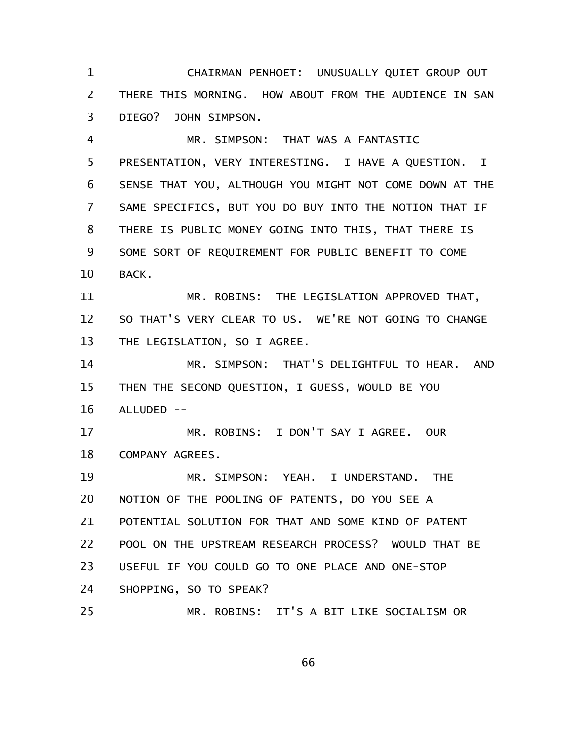CHAIRMAN PENHOET: UNUSUALLY QUIET GROUP OUT THERE THIS MORNING. HOW ABOUT FROM THE AUDIENCE IN SAN DIEGO? JOHN SIMPSON. 1 2 3

MR. SIMPSON: THAT WAS A FANTASTIC PRESENTATION, VERY INTERESTING. I HAVE A QUESTION. I SENSE THAT YOU, ALTHOUGH YOU MIGHT NOT COME DOWN AT THE SAME SPECIFICS, BUT YOU DO BUY INTO THE NOTION THAT IF THERE IS PUBLIC MONEY GOING INTO THIS, THAT THERE IS SOME SORT OF REQUIREMENT FOR PUBLIC BENEFIT TO COME BACK. 4 5 6 7 8 9 10

MR. ROBINS: THE LEGISLATION APPROVED THAT, SO THAT'S VERY CLEAR TO US. WE'RE NOT GOING TO CHANGE THE LEGISLATION, SO I AGREE. 11 12 13

MR. SIMPSON: THAT'S DELIGHTFUL TO HEAR. AND THEN THE SECOND QUESTION, I GUESS, WOULD BE YOU ALLUDED -- 14 15 16

MR. ROBINS: I DON'T SAY I AGREE. OUR COMPANY AGREES. 17 18

MR. SIMPSON: YEAH. I UNDERSTAND. THE NOTION OF THE POOLING OF PATENTS, DO YOU SEE A POTENTIAL SOLUTION FOR THAT AND SOME KIND OF PATENT POOL ON THE UPSTREAM RESEARCH PROCESS? WOULD THAT BE USEFUL IF YOU COULD GO TO ONE PLACE AND ONE-STOP SHOPPING, SO TO SPEAK? MR. ROBINS: IT'S A BIT LIKE SOCIALISM OR 19 20 21 22 23 24 25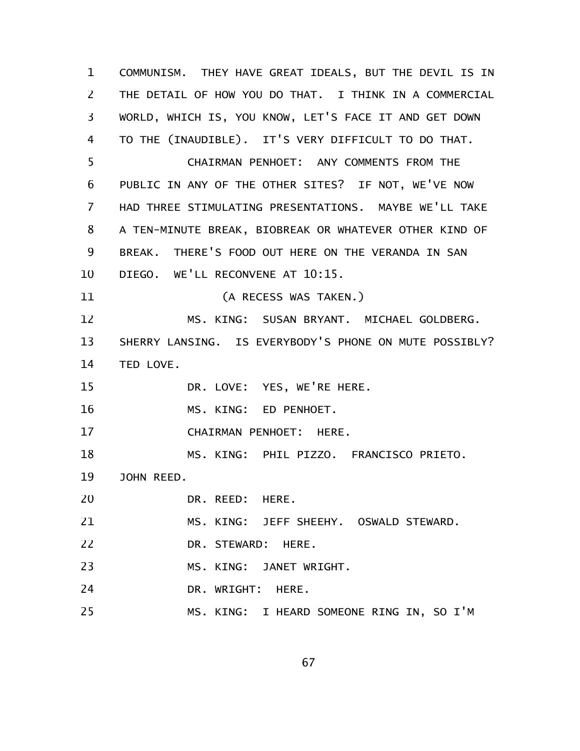COMMUNISM. THEY HAVE GREAT IDEALS, BUT THE DEVIL IS IN THE DETAIL OF HOW YOU DO THAT. I THINK IN A COMMERCIAL WORLD, WHICH IS, YOU KNOW, LET'S FACE IT AND GET DOWN TO THE (INAUDIBLE). IT'S VERY DIFFICULT TO DO THAT. CHAIRMAN PENHOET: ANY COMMENTS FROM THE PUBLIC IN ANY OF THE OTHER SITES? IF NOT, WE'VE NOW HAD THREE STIMULATING PRESENTATIONS. MAYBE WE'LL TAKE A TEN-MINUTE BREAK, BIOBREAK OR WHATEVER OTHER KIND OF BREAK. THERE'S FOOD OUT HERE ON THE VERANDA IN SAN DIEGO. WE'LL RECONVENE AT 10:15. (A RECESS WAS TAKEN.) MS. KING: SUSAN BRYANT. MICHAEL GOLDBERG. SHERRY LANSING. IS EVERYBODY'S PHONE ON MUTE POSSIBLY? TED LOVE. DR. LOVE: YES, WE'RE HERE. MS. KING: ED PENHOET. CHAIRMAN PENHOET: HERE. MS. KING: PHIL PIZZO. FRANCISCO PRIETO. JOHN REED. DR. REED: HERE. MS. KING: JEFF SHEEHY. OSWALD STEWARD. DR. STEWARD: HERE. MS. KING: JANET WRIGHT. DR. WRIGHT: HERE. MS. KING: I HEARD SOMEONE RING IN, SO I'M 1 2 3 4 5 6 7 8 9 10 11 12 13 14 15 16 17 18 19 20 21 22 23 24 25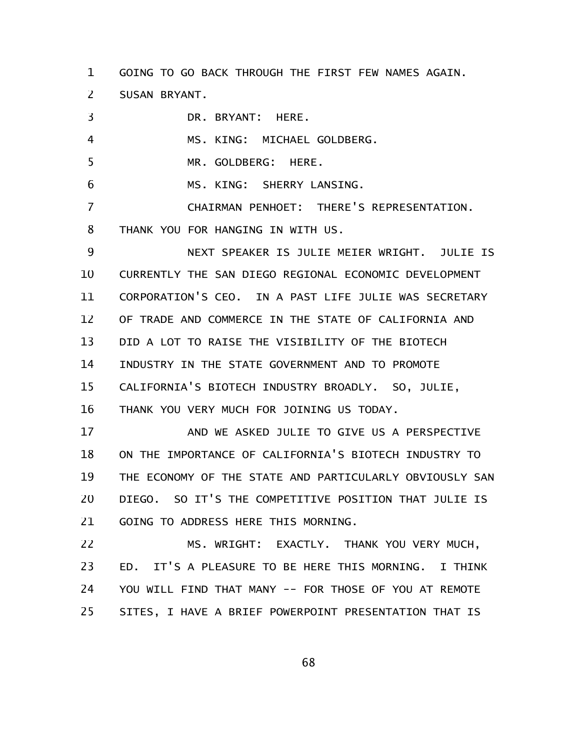GOING TO GO BACK THROUGH THE FIRST FEW NAMES AGAIN. 1

SUSAN BRYANT. 2

DR. BRYANT: HERE. MS. KING: MICHAEL GOLDBERG. MR. GOLDBERG: HERE. MS. KING: SHERRY LANSING. CHAIRMAN PENHOET: THERE'S REPRESENTATION. THANK YOU FOR HANGING IN WITH US. NEXT SPEAKER IS JULIE MEIER WRIGHT. JULIE IS CURRENTLY THE SAN DIEGO REGIONAL ECONOMIC DEVELOPMENT CORPORATION'S CEO. IN A PAST LIFE JULIE WAS SECRETARY OF TRADE AND COMMERCE IN THE STATE OF CALIFORNIA AND DID A LOT TO RAISE THE VISIBILITY OF THE BIOTECH INDUSTRY IN THE STATE GOVERNMENT AND TO PROMOTE CALIFORNIA'S BIOTECH INDUSTRY BROADLY. SO, JULIE, THANK YOU VERY MUCH FOR JOINING US TODAY. AND WE ASKED JULIE TO GIVE US A PERSPECTIVE ON THE IMPORTANCE OF CALIFORNIA'S BIOTECH INDUSTRY TO THE ECONOMY OF THE STATE AND PARTICULARLY OBVIOUSLY SAN DIEGO. SO IT'S THE COMPETITIVE POSITION THAT JULIE IS GOING TO ADDRESS HERE THIS MORNING. MS. WRIGHT: EXACTLY. THANK YOU VERY MUCH, ED. IT'S A PLEASURE TO BE HERE THIS MORNING. I THINK 3 4 5 6 7 8 9 10 11 12 13 14 15 16 17 18 19 20 21 22 23

YOU WILL FIND THAT MANY -- FOR THOSE OF YOU AT REMOTE SITES, I HAVE A BRIEF POWERPOINT PRESENTATION THAT IS 24 25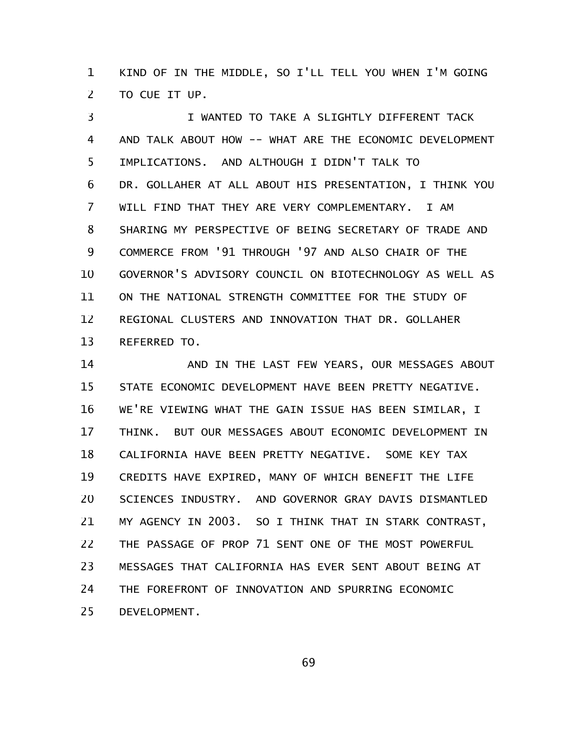KIND OF IN THE MIDDLE, SO I'LL TELL YOU WHEN I'M GOING TO CUE IT UP. 1 2

I WANTED TO TAKE A SLIGHTLY DIFFERENT TACK AND TALK ABOUT HOW -- WHAT ARE THE ECONOMIC DEVELOPMENT IMPLICATIONS. AND ALTHOUGH I DIDN'T TALK TO DR. GOLLAHER AT ALL ABOUT HIS PRESENTATION, I THINK YOU WILL FIND THAT THEY ARE VERY COMPLEMENTARY. I AM SHARING MY PERSPECTIVE OF BEING SECRETARY OF TRADE AND COMMERCE FROM '91 THROUGH '97 AND ALSO CHAIR OF THE GOVERNOR'S ADVISORY COUNCIL ON BIOTECHNOLOGY AS WELL AS ON THE NATIONAL STRENGTH COMMITTEE FOR THE STUDY OF REGIONAL CLUSTERS AND INNOVATION THAT DR. GOLLAHER REFERRED TO. 3 4 5 6 7 8 9 10 11 12 13

AND IN THE LAST FEW YEARS, OUR MESSAGES ABOUT STATE ECONOMIC DEVELOPMENT HAVE BEEN PRETTY NEGATIVE. WE'RE VIEWING WHAT THE GAIN ISSUE HAS BEEN SIMILAR, I THINK. BUT OUR MESSAGES ABOUT ECONOMIC DEVELOPMENT IN CALIFORNIA HAVE BEEN PRETTY NEGATIVE. SOME KEY TAX CREDITS HAVE EXPIRED, MANY OF WHICH BENEFIT THE LIFE SCIENCES INDUSTRY. AND GOVERNOR GRAY DAVIS DISMANTLED MY AGENCY IN 2003. SO I THINK THAT IN STARK CONTRAST, THE PASSAGE OF PROP 71 SENT ONE OF THE MOST POWERFUL MESSAGES THAT CALIFORNIA HAS EVER SENT ABOUT BEING AT THE FOREFRONT OF INNOVATION AND SPURRING ECONOMIC DEVELOPMENT. 14 15 16 17 18 19 20 21 22 23 24 25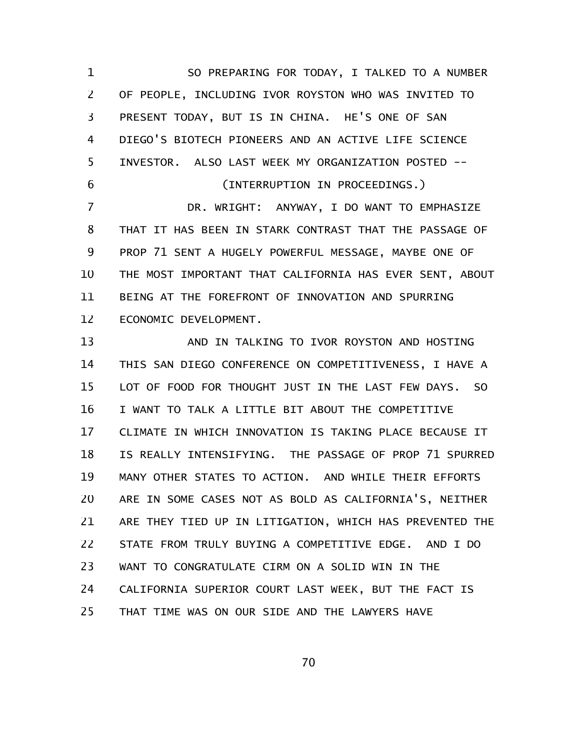SO PREPARING FOR TODAY, I TALKED TO A NUMBER OF PEOPLE, INCLUDING IVOR ROYSTON WHO WAS INVITED TO PRESENT TODAY, BUT IS IN CHINA. HE'S ONE OF SAN DIEGO'S BIOTECH PIONEERS AND AN ACTIVE LIFE SCIENCE INVESTOR. ALSO LAST WEEK MY ORGANIZATION POSTED -- (INTERRUPTION IN PROCEEDINGS.) DR. WRIGHT: ANYWAY, I DO WANT TO EMPHASIZE THAT IT HAS BEEN IN STARK CONTRAST THAT THE PASSAGE OF PROP 71 SENT A HUGELY POWERFUL MESSAGE, MAYBE ONE OF THE MOST IMPORTANT THAT CALIFORNIA HAS EVER SENT, ABOUT BEING AT THE FOREFRONT OF INNOVATION AND SPURRING ECONOMIC DEVELOPMENT. 1 2 3 4 5 6 7 8 9 10 11 12

AND IN TALKING TO IVOR ROYSTON AND HOSTING THIS SAN DIEGO CONFERENCE ON COMPETITIVENESS, I HAVE A LOT OF FOOD FOR THOUGHT JUST IN THE LAST FEW DAYS. SO I WANT TO TALK A LITTLE BIT ABOUT THE COMPETITIVE CLIMATE IN WHICH INNOVATION IS TAKING PLACE BECAUSE IT IS REALLY INTENSIFYING. THE PASSAGE OF PROP 71 SPURRED MANY OTHER STATES TO ACTION. AND WHILE THEIR EFFORTS ARE IN SOME CASES NOT AS BOLD AS CALIFORNIA'S, NEITHER ARE THEY TIED UP IN LITIGATION, WHICH HAS PREVENTED THE STATE FROM TRULY BUYING A COMPETITIVE EDGE. AND I DO WANT TO CONGRATULATE CIRM ON A SOLID WIN IN THE CALIFORNIA SUPERIOR COURT LAST WEEK, BUT THE FACT IS THAT TIME WAS ON OUR SIDE AND THE LAWYERS HAVE 13 14 15 16 17 18 19 20 21 22 23 24 25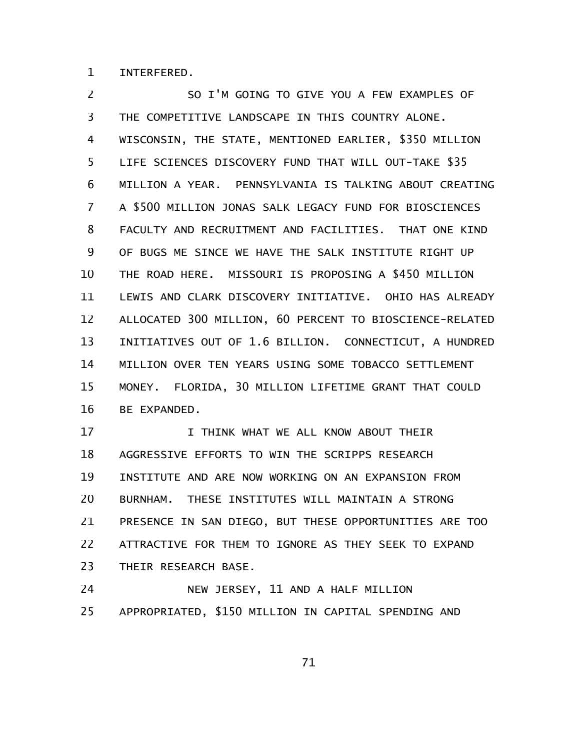INTERFERED. 1

SO I'M GOING TO GIVE YOU A FEW EXAMPLES OF THE COMPETITIVE LANDSCAPE IN THIS COUNTRY ALONE. WISCONSIN, THE STATE, MENTIONED EARLIER, \$350 MILLION LIFE SCIENCES DISCOVERY FUND THAT WILL OUT-TAKE \$35 MILLION A YEAR. PENNSYLVANIA IS TALKING ABOUT CREATING A \$500 MILLION JONAS SALK LEGACY FUND FOR BIOSCIENCES FACULTY AND RECRUITMENT AND FACILITIES. THAT ONE KIND OF BUGS ME SINCE WE HAVE THE SALK INSTITUTE RIGHT UP THE ROAD HERE. MISSOURI IS PROPOSING A \$450 MILLION LEWIS AND CLARK DISCOVERY INITIATIVE. OHIO HAS ALREADY ALLOCATED 300 MILLION, 60 PERCENT TO BIOSCIENCE-RELATED INITIATIVES OUT OF 1.6 BILLION. CONNECTICUT, A HUNDRED MILLION OVER TEN YEARS USING SOME TOBACCO SETTLEMENT MONEY. FLORIDA, 30 MILLION LIFETIME GRANT THAT COULD BE EXPANDED. 2 3 4 5 6 7 8 9 10 11 12 13 14 15 16

I THINK WHAT WE ALL KNOW ABOUT THEIR AGGRESSIVE EFFORTS TO WIN THE SCRIPPS RESEARCH INSTITUTE AND ARE NOW WORKING ON AN EXPANSION FROM BURNHAM. THESE INSTITUTES WILL MAINTAIN A STRONG PRESENCE IN SAN DIEGO, BUT THESE OPPORTUNITIES ARE TOO ATTRACTIVE FOR THEM TO IGNORE AS THEY SEEK TO EXPAND THEIR RESEARCH BASE. 17 18 19 20 21 22 23

NEW JERSEY, 11 AND A HALF MILLION APPROPRIATED, \$150 MILLION IN CAPITAL SPENDING AND 24 25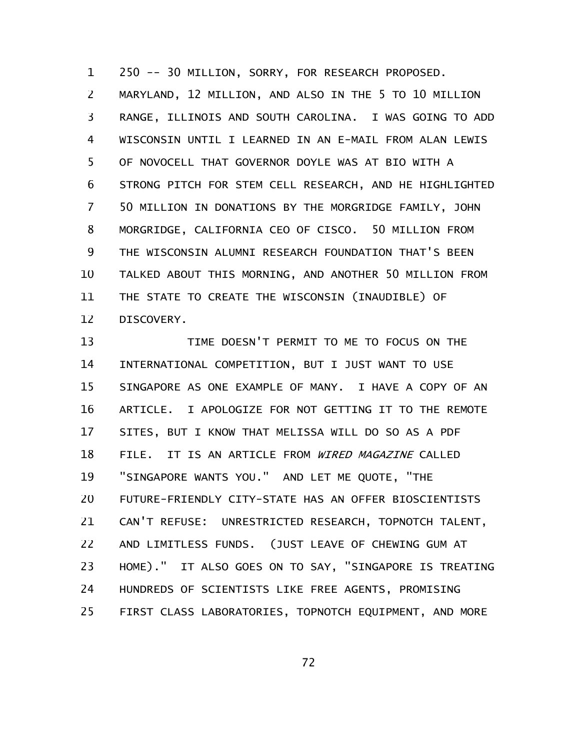250 -- 30 MILLION, SORRY, FOR RESEARCH PROPOSED. MARYLAND, 12 MILLION, AND ALSO IN THE 5 TO 10 MILLION RANGE, ILLINOIS AND SOUTH CAROLINA. I WAS GOING TO ADD WISCONSIN UNTIL I LEARNED IN AN E-MAIL FROM ALAN LEWIS OF NOVOCELL THAT GOVERNOR DOYLE WAS AT BIO WITH A STRONG PITCH FOR STEM CELL RESEARCH, AND HE HIGHLIGHTED 50 MILLION IN DONATIONS BY THE MORGRIDGE FAMILY, JOHN MORGRIDGE, CALIFORNIA CEO OF CISCO. 50 MILLION FROM THE WISCONSIN ALUMNI RESEARCH FOUNDATION THAT'S BEEN TALKED ABOUT THIS MORNING, AND ANOTHER 50 MILLION FROM THE STATE TO CREATE THE WISCONSIN (INAUDIBLE) OF DISCOVERY. 1 2 3 4 5 6 7 8 9 10 11 12

TIME DOESN'T PERMIT TO ME TO FOCUS ON THE INTERNATIONAL COMPETITION, BUT I JUST WANT TO USE SINGAPORE AS ONE EXAMPLE OF MANY. I HAVE A COPY OF AN ARTICLE. I APOLOGIZE FOR NOT GETTING IT TO THE REMOTE SITES, BUT I KNOW THAT MELISSA WILL DO SO AS A PDF FILE. IT IS AN ARTICLE FROM WIRED MAGAZINE CALLED "SINGAPORE WANTS YOU." AND LET ME QUOTE, "THE FUTURE-FRIENDLY CITY-STATE HAS AN OFFER BIOSCIENTISTS CAN'T REFUSE: UNRESTRICTED RESEARCH, TOPNOTCH TALENT, AND LIMITLESS FUNDS. (JUST LEAVE OF CHEWING GUM AT HOME)." IT ALSO GOES ON TO SAY, "SINGAPORE IS TREATING HUNDREDS OF SCIENTISTS LIKE FREE AGENTS, PROMISING FIRST CLASS LABORATORIES, TOPNOTCH EQUIPMENT, AND MORE 13 14 15 16 17 18 19 20 21 22 23 24 25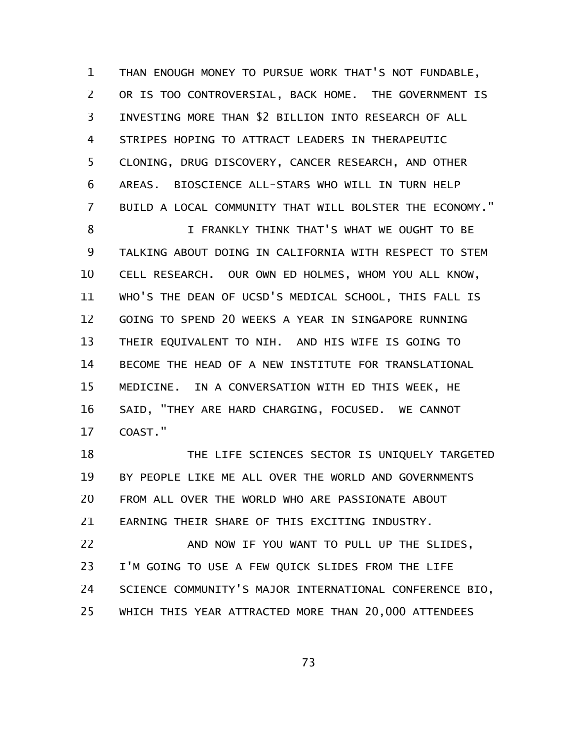THAN ENOUGH MONEY TO PURSUE WORK THAT'S NOT FUNDABLE, OR IS TOO CONTROVERSIAL, BACK HOME. THE GOVERNMENT IS INVESTING MORE THAN \$2 BILLION INTO RESEARCH OF ALL STRIPES HOPING TO ATTRACT LEADERS IN THERAPEUTIC CLONING, DRUG DISCOVERY, CANCER RESEARCH, AND OTHER AREAS. BIOSCIENCE ALL-STARS WHO WILL IN TURN HELP BUILD A LOCAL COMMUNITY THAT WILL BOLSTER THE ECONOMY." I FRANKLY THINK THAT'S WHAT WE OUGHT TO BE TALKING ABOUT DOING IN CALIFORNIA WITH RESPECT TO STEM CELL RESEARCH. OUR OWN ED HOLMES, WHOM YOU ALL KNOW, WHO'S THE DEAN OF UCSD'S MEDICAL SCHOOL, THIS FALL IS 1 2 3 4 5 6 7 8 9 10 11

GOING TO SPEND 20 WEEKS A YEAR IN SINGAPORE RUNNING THEIR EQUIVALENT TO NIH. AND HIS WIFE IS GOING TO BECOME THE HEAD OF A NEW INSTITUTE FOR TRANSLATIONAL MEDICINE. IN A CONVERSATION WITH ED THIS WEEK, HE SAID, "THEY ARE HARD CHARGING, FOCUSED. WE CANNOT COAST." 12 13 14 15 16 17

THE LIFE SCIENCES SECTOR IS UNIQUELY TARGETED BY PEOPLE LIKE ME ALL OVER THE WORLD AND GOVERNMENTS FROM ALL OVER THE WORLD WHO ARE PASSIONATE ABOUT EARNING THEIR SHARE OF THIS EXCITING INDUSTRY. 18 19 20 21

AND NOW IF YOU WANT TO PULL UP THE SLIDES, I'M GOING TO USE A FEW QUICK SLIDES FROM THE LIFE SCIENCE COMMUNITY'S MAJOR INTERNATIONAL CONFERENCE BIO, WHICH THIS YEAR ATTRACTED MORE THAN 20,000 ATTENDEES 22 23 24 25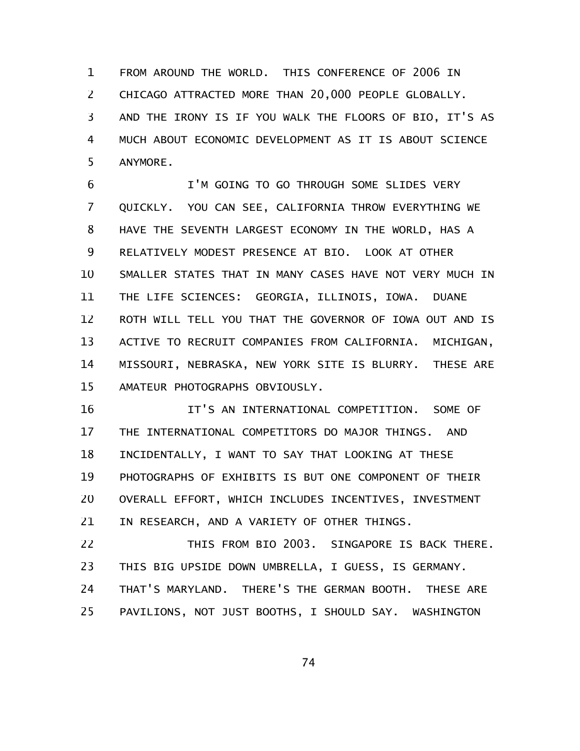FROM AROUND THE WORLD. THIS CONFERENCE OF 2006 IN CHICAGO ATTRACTED MORE THAN 20,000 PEOPLE GLOBALLY. AND THE IRONY IS IF YOU WALK THE FLOORS OF BIO, IT'S AS MUCH ABOUT ECONOMIC DEVELOPMENT AS IT IS ABOUT SCIENCE ANYMORE. 1 2 3 4 5

I'M GOING TO GO THROUGH SOME SLIDES VERY QUICKLY. YOU CAN SEE, CALIFORNIA THROW EVERYTHING WE HAVE THE SEVENTH LARGEST ECONOMY IN THE WORLD, HAS A RELATIVELY MODEST PRESENCE AT BIO. LOOK AT OTHER SMALLER STATES THAT IN MANY CASES HAVE NOT VERY MUCH IN THE LIFE SCIENCES: GEORGIA, ILLINOIS, IOWA. DUANE ROTH WILL TELL YOU THAT THE GOVERNOR OF IOWA OUT AND IS ACTIVE TO RECRUIT COMPANIES FROM CALIFORNIA. MICHIGAN, MISSOURI, NEBRASKA, NEW YORK SITE IS BLURRY. THESE ARE AMATEUR PHOTOGRAPHS OBVIOUSLY. 6 7 8 9 10 11 12 13 14 15

IT'S AN INTERNATIONAL COMPETITION. SOME OF THE INTERNATIONAL COMPETITORS DO MAJOR THINGS. AND INCIDENTALLY, I WANT TO SAY THAT LOOKING AT THESE PHOTOGRAPHS OF EXHIBITS IS BUT ONE COMPONENT OF THEIR OVERALL EFFORT, WHICH INCLUDES INCENTIVES, INVESTMENT IN RESEARCH, AND A VARIETY OF OTHER THINGS. 16 17 18 19 20 21

THIS FROM BIO 2003. SINGAPORE IS BACK THERE. THIS BIG UPSIDE DOWN UMBRELLA, I GUESS, IS GERMANY. THAT'S MARYLAND. THERE'S THE GERMAN BOOTH. THESE ARE PAVILIONS, NOT JUST BOOTHS, I SHOULD SAY. WASHINGTON 22 23 24 25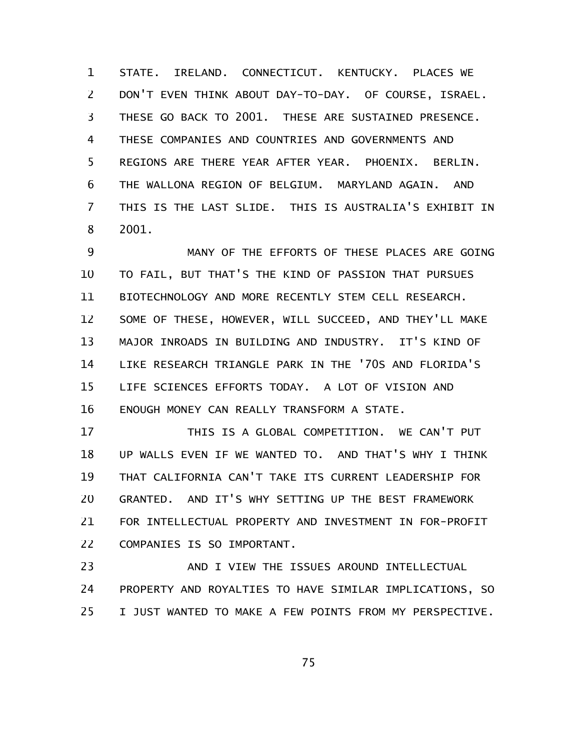STATE. IRELAND. CONNECTICUT. KENTUCKY. PLACES WE DON'T EVEN THINK ABOUT DAY-TO-DAY. OF COURSE, ISRAEL. THESE GO BACK TO 2001. THESE ARE SUSTAINED PRESENCE. THESE COMPANIES AND COUNTRIES AND GOVERNMENTS AND REGIONS ARE THERE YEAR AFTER YEAR. PHOENIX. BERLIN. THE WALLONA REGION OF BELGIUM. MARYLAND AGAIN. AND THIS IS THE LAST SLIDE. THIS IS AUSTRALIA'S EXHIBIT IN 2001. 1 2 3 4 5 6 7 8

MANY OF THE EFFORTS OF THESE PLACES ARE GOING TO FAIL, BUT THAT'S THE KIND OF PASSION THAT PURSUES BIOTECHNOLOGY AND MORE RECENTLY STEM CELL RESEARCH. SOME OF THESE, HOWEVER, WILL SUCCEED, AND THEY'LL MAKE MAJOR INROADS IN BUILDING AND INDUSTRY. IT'S KIND OF LIKE RESEARCH TRIANGLE PARK IN THE '70S AND FLORIDA'S LIFE SCIENCES EFFORTS TODAY. A LOT OF VISION AND ENOUGH MONEY CAN REALLY TRANSFORM A STATE. 9 10 11 12 13 14 15 16

THIS IS A GLOBAL COMPETITION. WE CAN'T PUT UP WALLS EVEN IF WE WANTED TO. AND THAT'S WHY I THINK THAT CALIFORNIA CAN'T TAKE ITS CURRENT LEADERSHIP FOR GRANTED. AND IT'S WHY SETTING UP THE BEST FRAMEWORK FOR INTELLECTUAL PROPERTY AND INVESTMENT IN FOR-PROFIT COMPANIES IS SO IMPORTANT. 17 18 19 20 21 22

AND I VIEW THE ISSUES AROUND INTELLECTUAL PROPERTY AND ROYALTIES TO HAVE SIMILAR IMPLICATIONS, SO I JUST WANTED TO MAKE A FEW POINTS FROM MY PERSPECTIVE. 23 24 25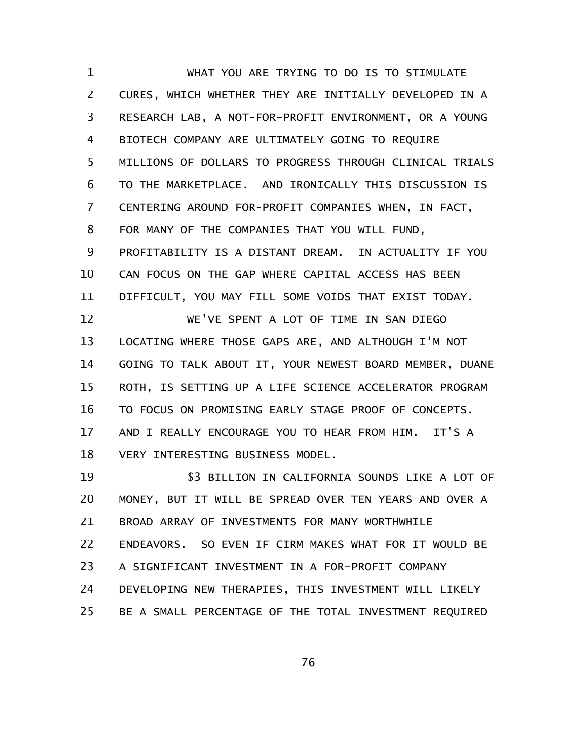WHAT YOU ARE TRYING TO DO IS TO STIMULATE CURES, WHICH WHETHER THEY ARE INITIALLY DEVELOPED IN A RESEARCH LAB, A NOT-FOR-PROFIT ENVIRONMENT, OR A YOUNG BIOTECH COMPANY ARE ULTIMATELY GOING TO REQUIRE MILLIONS OF DOLLARS TO PROGRESS THROUGH CLINICAL TRIALS TO THE MARKETPLACE. AND IRONICALLY THIS DISCUSSION IS CENTERING AROUND FOR-PROFIT COMPANIES WHEN, IN FACT, FOR MANY OF THE COMPANIES THAT YOU WILL FUND, PROFITABILITY IS A DISTANT DREAM. IN ACTUALITY IF YOU CAN FOCUS ON THE GAP WHERE CAPITAL ACCESS HAS BEEN DIFFICULT, YOU MAY FILL SOME VOIDS THAT EXIST TODAY. WE'VE SPENT A LOT OF TIME IN SAN DIEGO LOCATING WHERE THOSE GAPS ARE, AND ALTHOUGH I'M NOT GOING TO TALK ABOUT IT, YOUR NEWEST BOARD MEMBER, DUANE ROTH, IS SETTING UP A LIFE SCIENCE ACCELERATOR PROGRAM TO FOCUS ON PROMISING EARLY STAGE PROOF OF CONCEPTS. AND I REALLY ENCOURAGE YOU TO HEAR FROM HIM. IT'S A VERY INTERESTING BUSINESS MODEL. \$3 BILLION IN CALIFORNIA SOUNDS LIKE A LOT OF MONEY, BUT IT WILL BE SPREAD OVER TEN YEARS AND OVER A BROAD ARRAY OF INVESTMENTS FOR MANY WORTHWHILE 1 2 3 4 5 6 7 8 9 10 11 12 13 14 15 16 17 18 19 20 21

ENDEAVORS. SO EVEN IF CIRM MAKES WHAT FOR IT WOULD BE 22

A SIGNIFICANT INVESTMENT IN A FOR-PROFIT COMPANY 23

DEVELOPING NEW THERAPIES, THIS INVESTMENT WILL LIKELY 24

BE A SMALL PERCENTAGE OF THE TOTAL INVESTMENT REQUIRED 25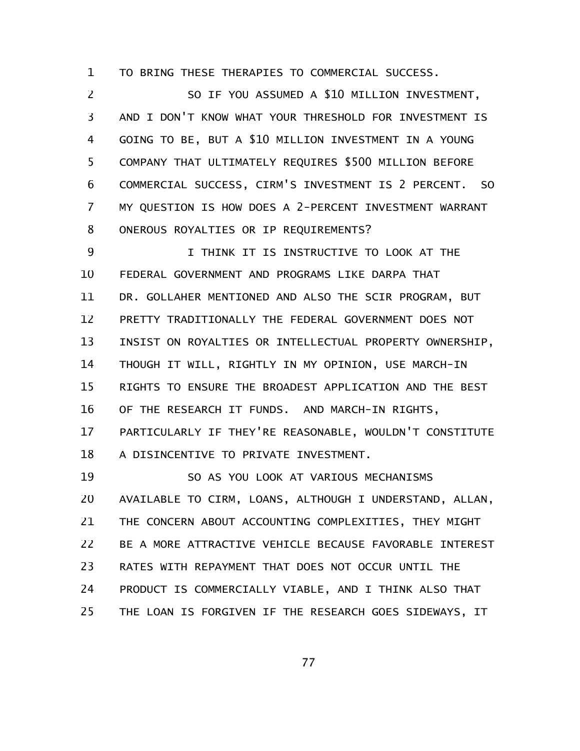TO BRING THESE THERAPIES TO COMMERCIAL SUCCESS. 1

SO IF YOU ASSUMED A \$10 MILLION INVESTMENT, AND I DON'T KNOW WHAT YOUR THRESHOLD FOR INVESTMENT IS GOING TO BE, BUT A \$10 MILLION INVESTMENT IN A YOUNG COMPANY THAT ULTIMATELY REQUIRES \$500 MILLION BEFORE COMMERCIAL SUCCESS, CIRM'S INVESTMENT IS 2 PERCENT. SO MY QUESTION IS HOW DOES A 2-PERCENT INVESTMENT WARRANT ONEROUS ROYALTIES OR IP REQUIREMENTS? 2 3 4 5 6 7 8

I THINK IT IS INSTRUCTIVE TO LOOK AT THE FEDERAL GOVERNMENT AND PROGRAMS LIKE DARPA THAT DR. GOLLAHER MENTIONED AND ALSO THE SCIR PROGRAM, BUT PRETTY TRADITIONALLY THE FEDERAL GOVERNMENT DOES NOT INSIST ON ROYALTIES OR INTELLECTUAL PROPERTY OWNERSHIP, THOUGH IT WILL, RIGHTLY IN MY OPINION, USE MARCH-IN RIGHTS TO ENSURE THE BROADEST APPLICATION AND THE BEST OF THE RESEARCH IT FUNDS. AND MARCH-IN RIGHTS, PARTICULARLY IF THEY'RE REASONABLE, WOULDN'T CONSTITUTE A DISINCENTIVE TO PRIVATE INVESTMENT. 9 10 11 12 13 14 15 16 17 18

SO AS YOU LOOK AT VARIOUS MECHANISMS AVAILABLE TO CIRM, LOANS, ALTHOUGH I UNDERSTAND, ALLAN, THE CONCERN ABOUT ACCOUNTING COMPLEXITIES, THEY MIGHT BE A MORE ATTRACTIVE VEHICLE BECAUSE FAVORABLE INTEREST RATES WITH REPAYMENT THAT DOES NOT OCCUR UNTIL THE PRODUCT IS COMMERCIALLY VIABLE, AND I THINK ALSO THAT THE LOAN IS FORGIVEN IF THE RESEARCH GOES SIDEWAYS, IT 19 20 21 22 23 24 25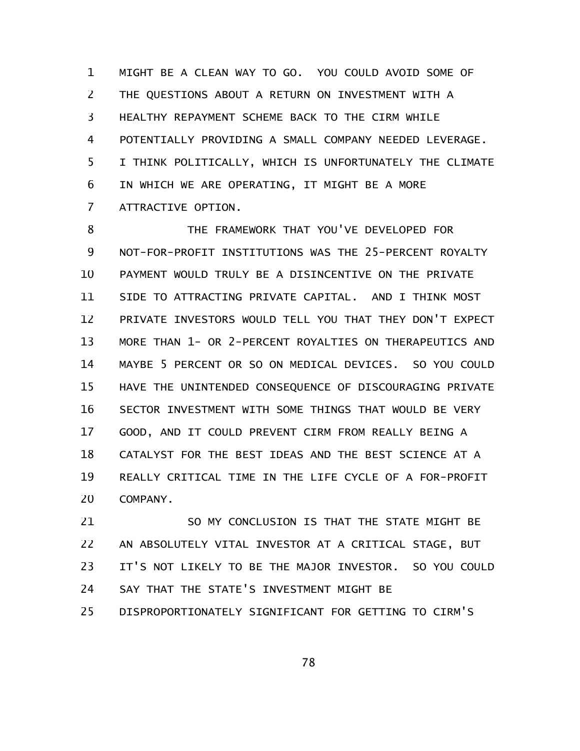MIGHT BE A CLEAN WAY TO GO. YOU COULD AVOID SOME OF THE QUESTIONS ABOUT A RETURN ON INVESTMENT WITH A HEALTHY REPAYMENT SCHEME BACK TO THE CIRM WHILE POTENTIALLY PROVIDING A SMALL COMPANY NEEDED LEVERAGE. I THINK POLITICALLY, WHICH IS UNFORTUNATELY THE CLIMATE IN WHICH WE ARE OPERATING, IT MIGHT BE A MORE ATTRACTIVE OPTION. 1 2 3 4 5 6 7

THE FRAMEWORK THAT YOU'VE DEVELOPED FOR NOT-FOR-PROFIT INSTITUTIONS WAS THE 25-PERCENT ROYALTY PAYMENT WOULD TRULY BE A DISINCENTIVE ON THE PRIVATE SIDE TO ATTRACTING PRIVATE CAPITAL. AND I THINK MOST PRIVATE INVESTORS WOULD TELL YOU THAT THEY DON'T EXPECT MORE THAN 1- OR 2-PERCENT ROYALTIES ON THERAPEUTICS AND MAYBE 5 PERCENT OR SO ON MEDICAL DEVICES. SO YOU COULD HAVE THE UNINTENDED CONSEQUENCE OF DISCOURAGING PRIVATE SECTOR INVESTMENT WITH SOME THINGS THAT WOULD BE VERY GOOD, AND IT COULD PREVENT CIRM FROM REALLY BEING A CATALYST FOR THE BEST IDEAS AND THE BEST SCIENCE AT A REALLY CRITICAL TIME IN THE LIFE CYCLE OF A FOR-PROFIT COMPANY. 8 9 10 11 12 13 14 15 16 17 18 19 20

SO MY CONCLUSION IS THAT THE STATE MIGHT BE AN ABSOLUTELY VITAL INVESTOR AT A CRITICAL STAGE, BUT IT'S NOT LIKELY TO BE THE MAJOR INVESTOR. SO YOU COULD SAY THAT THE STATE'S INVESTMENT MIGHT BE DISPROPORTIONATELY SIGNIFICANT FOR GETTING TO CIRM'S 21 22 23 24 25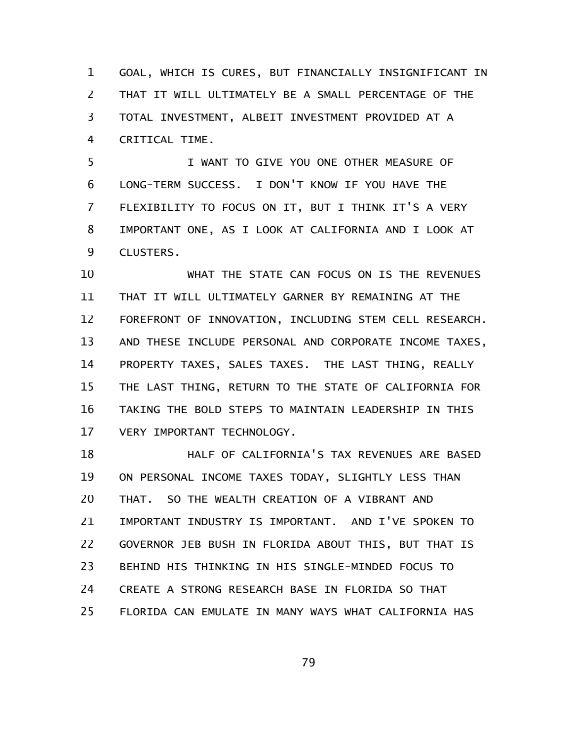GOAL, WHICH IS CURES, BUT FINANCIALLY INSIGNIFICANT IN THAT IT WILL ULTIMATELY BE A SMALL PERCENTAGE OF THE TOTAL INVESTMENT, ALBEIT INVESTMENT PROVIDED AT A CRITICAL TIME. 1 2 3 4

I WANT TO GIVE YOU ONE OTHER MEASURE OF LONG-TERM SUCCESS. I DON'T KNOW IF YOU HAVE THE FLEXIBILITY TO FOCUS ON IT, BUT I THINK IT'S A VERY IMPORTANT ONE, AS I LOOK AT CALIFORNIA AND I LOOK AT CLUSTERS. 5 6 7 8 9

WHAT THE STATE CAN FOCUS ON IS THE REVENUES THAT IT WILL ULTIMATELY GARNER BY REMAINING AT THE FOREFRONT OF INNOVATION, INCLUDING STEM CELL RESEARCH. AND THESE INCLUDE PERSONAL AND CORPORATE INCOME TAXES, PROPERTY TAXES, SALES TAXES. THE LAST THING, REALLY THE LAST THING, RETURN TO THE STATE OF CALIFORNIA FOR TAKING THE BOLD STEPS TO MAINTAIN LEADERSHIP IN THIS VERY IMPORTANT TECHNOLOGY. 10 11 12 13 14 15 16 17

HALF OF CALIFORNIA'S TAX REVENUES ARE BASED ON PERSONAL INCOME TAXES TODAY, SLIGHTLY LESS THAN THAT. SO THE WEALTH CREATION OF A VIBRANT AND IMPORTANT INDUSTRY IS IMPORTANT. AND I'VE SPOKEN TO GOVERNOR JEB BUSH IN FLORIDA ABOUT THIS, BUT THAT IS BEHIND HIS THINKING IN HIS SINGLE-MINDED FOCUS TO CREATE A STRONG RESEARCH BASE IN FLORIDA SO THAT FLORIDA CAN EMULATE IN MANY WAYS WHAT CALIFORNIA HAS 18 19 20 21 22 23 24 25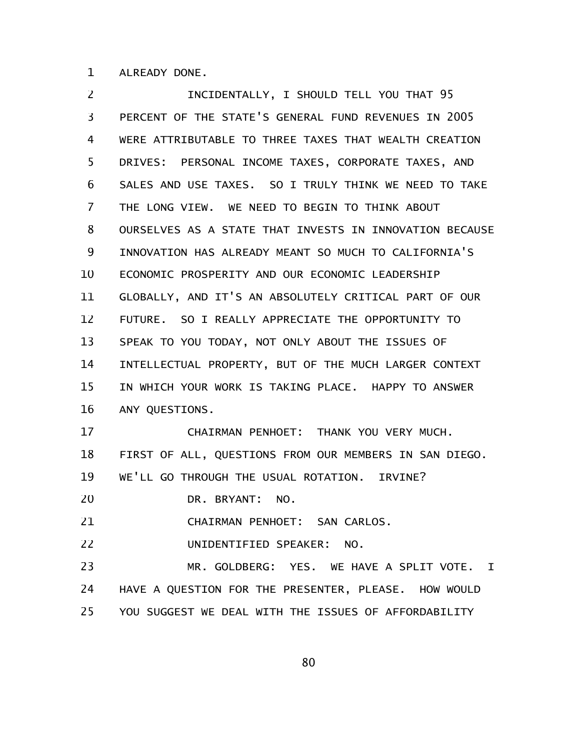ALREADY DONE. 1

INCIDENTALLY, I SHOULD TELL YOU THAT 95 PERCENT OF THE STATE'S GENERAL FUND REVENUES IN 2005 WERE ATTRIBUTABLE TO THREE TAXES THAT WEALTH CREATION DRIVES: PERSONAL INCOME TAXES, CORPORATE TAXES, AND SALES AND USE TAXES. SO I TRULY THINK WE NEED TO TAKE THE LONG VIEW. WE NEED TO BEGIN TO THINK ABOUT OURSELVES AS A STATE THAT INVESTS IN INNOVATION BECAUSE INNOVATION HAS ALREADY MEANT SO MUCH TO CALIFORNIA'S ECONOMIC PROSPERITY AND OUR ECONOMIC LEADERSHIP GLOBALLY, AND IT'S AN ABSOLUTELY CRITICAL PART OF OUR FUTURE. SO I REALLY APPRECIATE THE OPPORTUNITY TO SPEAK TO YOU TODAY, NOT ONLY ABOUT THE ISSUES OF INTELLECTUAL PROPERTY, BUT OF THE MUCH LARGER CONTEXT IN WHICH YOUR WORK IS TAKING PLACE. HAPPY TO ANSWER ANY QUESTIONS. CHAIRMAN PENHOET: THANK YOU VERY MUCH. FIRST OF ALL, QUESTIONS FROM OUR MEMBERS IN SAN DIEGO. WE'LL GO THROUGH THE USUAL ROTATION. IRVINE? DR. BRYANT: NO. CHAIRMAN PENHOET: SAN CARLOS. UNIDENTIFIED SPEAKER: NO. MR. GOLDBERG: YES. WE HAVE A SPLIT VOTE. I HAVE A QUESTION FOR THE PRESENTER, PLEASE. HOW WOULD 2 3 4 5 6 7 8 9 10 11 12 13 14 15 16 17 18 19 20 21 22 23 24

YOU SUGGEST WE DEAL WITH THE ISSUES OF AFFORDABILITY 25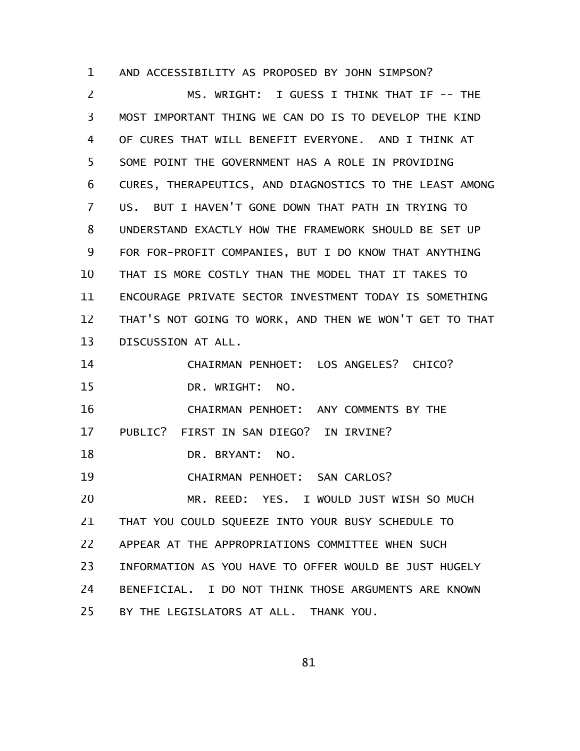AND ACCESSIBILITY AS PROPOSED BY JOHN SIMPSON? MS. WRIGHT: I GUESS I THINK THAT IF -- THE MOST IMPORTANT THING WE CAN DO IS TO DEVELOP THE KIND OF CURES THAT WILL BENEFIT EVERYONE. AND I THINK AT SOME POINT THE GOVERNMENT HAS A ROLE IN PROVIDING CURES, THERAPEUTICS, AND DIAGNOSTICS TO THE LEAST AMONG US. BUT I HAVEN'T GONE DOWN THAT PATH IN TRYING TO UNDERSTAND EXACTLY HOW THE FRAMEWORK SHOULD BE SET UP FOR FOR-PROFIT COMPANIES, BUT I DO KNOW THAT ANYTHING THAT IS MORE COSTLY THAN THE MODEL THAT IT TAKES TO ENCOURAGE PRIVATE SECTOR INVESTMENT TODAY IS SOMETHING THAT'S NOT GOING TO WORK, AND THEN WE WON'T GET TO THAT DISCUSSION AT ALL. CHAIRMAN PENHOET: LOS ANGELES? CHICO? DR. WRIGHT: NO. CHAIRMAN PENHOET: ANY COMMENTS BY THE PUBLIC? FIRST IN SAN DIEGO? IN IRVINE? DR. BRYANT: NO. CHAIRMAN PENHOET: SAN CARLOS? MR. REED: YES. I WOULD JUST WISH SO MUCH THAT YOU COULD SQUEEZE INTO YOUR BUSY SCHEDULE TO APPEAR AT THE APPROPRIATIONS COMMITTEE WHEN SUCH INFORMATION AS YOU HAVE TO OFFER WOULD BE JUST HUGELY BENEFICIAL. I DO NOT THINK THOSE ARGUMENTS ARE KNOWN BY THE LEGISLATORS AT ALL. THANK YOU. 1 2 3 4 5 6 7 8 9 10 11 12 13 14 15 16 17 18 19 20 21 22 23 24 25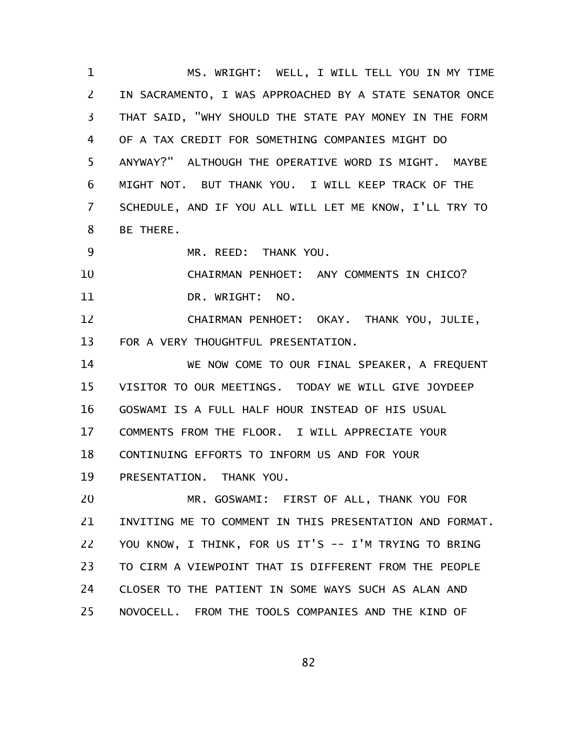MS. WRIGHT: WELL, I WILL TELL YOU IN MY TIME IN SACRAMENTO, I WAS APPROACHED BY A STATE SENATOR ONCE THAT SAID, "WHY SHOULD THE STATE PAY MONEY IN THE FORM OF A TAX CREDIT FOR SOMETHING COMPANIES MIGHT DO ANYWAY?" ALTHOUGH THE OPERATIVE WORD IS MIGHT. MAYBE MIGHT NOT. BUT THANK YOU. I WILL KEEP TRACK OF THE SCHEDULE, AND IF YOU ALL WILL LET ME KNOW, I'LL TRY TO BE THERE. 1 2 3 4 5 6 7 8

MR. REED: THANK YOU. 9

CHAIRMAN PENHOET: ANY COMMENTS IN CHICO? DR. WRIGHT: NO. 10 11

CHAIRMAN PENHOET: OKAY. THANK YOU, JULIE, FOR A VERY THOUGHTFUL PRESENTATION. 12 13

WE NOW COME TO OUR FINAL SPEAKER, A FREQUENT VISITOR TO OUR MEETINGS. TODAY WE WILL GIVE JOYDEEP GOSWAMI IS A FULL HALF HOUR INSTEAD OF HIS USUAL COMMENTS FROM THE FLOOR. I WILL APPRECIATE YOUR CONTINUING EFFORTS TO INFORM US AND FOR YOUR PRESENTATION. THANK YOU. 14 15 16 17 18 19

MR. GOSWAMI: FIRST OF ALL, THANK YOU FOR INVITING ME TO COMMENT IN THIS PRESENTATION AND FORMAT. YOU KNOW, I THINK, FOR US IT'S -- I'M TRYING TO BRING TO CIRM A VIEWPOINT THAT IS DIFFERENT FROM THE PEOPLE CLOSER TO THE PATIENT IN SOME WAYS SUCH AS ALAN AND NOVOCELL. FROM THE TOOLS COMPANIES AND THE KIND OF 20 21 22 23 24 25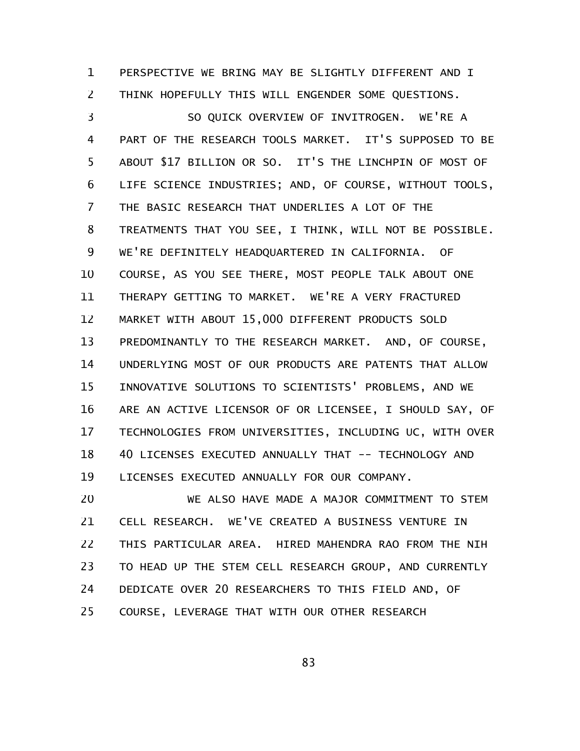PERSPECTIVE WE BRING MAY BE SLIGHTLY DIFFERENT AND I THINK HOPEFULLY THIS WILL ENGENDER SOME QUESTIONS. 1 2

SO QUICK OVERVIEW OF INVITROGEN. WE'RE A PART OF THE RESEARCH TOOLS MARKET. IT'S SUPPOSED TO BE ABOUT \$17 BILLION OR SO. IT'S THE LINCHPIN OF MOST OF LIFE SCIENCE INDUSTRIES; AND, OF COURSE, WITHOUT TOOLS, THE BASIC RESEARCH THAT UNDERLIES A LOT OF THE TREATMENTS THAT YOU SEE, I THINK, WILL NOT BE POSSIBLE. WE'RE DEFINITELY HEADQUARTERED IN CALIFORNIA. OF COURSE, AS YOU SEE THERE, MOST PEOPLE TALK ABOUT ONE THERAPY GETTING TO MARKET. WE'RE A VERY FRACTURED MARKET WITH ABOUT 15,000 DIFFERENT PRODUCTS SOLD PREDOMINANTLY TO THE RESEARCH MARKET. AND, OF COURSE, UNDERLYING MOST OF OUR PRODUCTS ARE PATENTS THAT ALLOW INNOVATIVE SOLUTIONS TO SCIENTISTS' PROBLEMS, AND WE ARE AN ACTIVE LICENSOR OF OR LICENSEE, I SHOULD SAY, OF TECHNOLOGIES FROM UNIVERSITIES, INCLUDING UC, WITH OVER 40 LICENSES EXECUTED ANNUALLY THAT -- TECHNOLOGY AND LICENSES EXECUTED ANNUALLY FOR OUR COMPANY. 3 4 5 6 7 8 9 10 11 12 13 14 15 16 17 18 19

WE ALSO HAVE MADE A MAJOR COMMITMENT TO STEM CELL RESEARCH. WE'VE CREATED A BUSINESS VENTURE IN THIS PARTICULAR AREA. HIRED MAHENDRA RAO FROM THE NIH TO HEAD UP THE STEM CELL RESEARCH GROUP, AND CURRENTLY DEDICATE OVER 20 RESEARCHERS TO THIS FIELD AND, OF COURSE, LEVERAGE THAT WITH OUR OTHER RESEARCH 20 21 22 23 24 25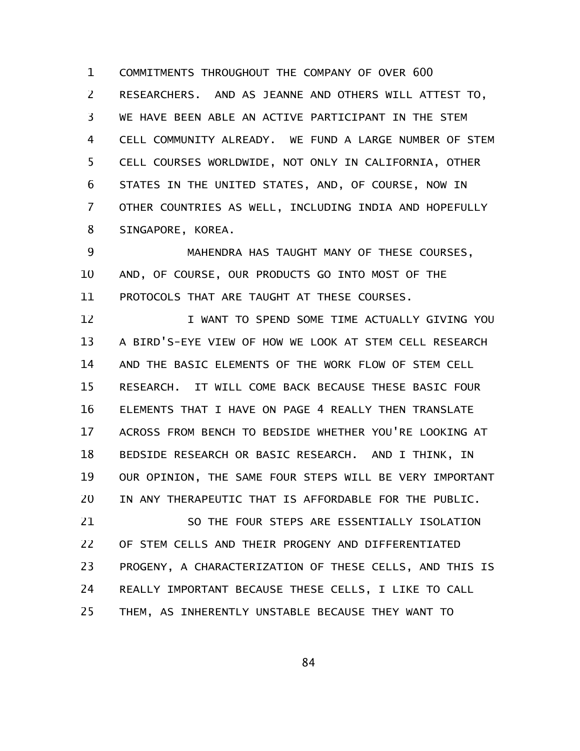COMMITMENTS THROUGHOUT THE COMPANY OF OVER 600 RESEARCHERS. AND AS JEANNE AND OTHERS WILL ATTEST TO, WE HAVE BEEN ABLE AN ACTIVE PARTICIPANT IN THE STEM CELL COMMUNITY ALREADY. WE FUND A LARGE NUMBER OF STEM CELL COURSES WORLDWIDE, NOT ONLY IN CALIFORNIA, OTHER STATES IN THE UNITED STATES, AND, OF COURSE, NOW IN OTHER COUNTRIES AS WELL, INCLUDING INDIA AND HOPEFULLY SINGAPORE, KOREA. 1 2 3 4 5 6 7 8

MAHENDRA HAS TAUGHT MANY OF THESE COURSES, AND, OF COURSE, OUR PRODUCTS GO INTO MOST OF THE PROTOCOLS THAT ARE TAUGHT AT THESE COURSES. 9 10 11

I WANT TO SPEND SOME TIME ACTUALLY GIVING YOU A BIRD'S-EYE VIEW OF HOW WE LOOK AT STEM CELL RESEARCH AND THE BASIC ELEMENTS OF THE WORK FLOW OF STEM CELL RESEARCH. IT WILL COME BACK BECAUSE THESE BASIC FOUR ELEMENTS THAT I HAVE ON PAGE 4 REALLY THEN TRANSLATE ACROSS FROM BENCH TO BEDSIDE WHETHER YOU'RE LOOKING AT BEDSIDE RESEARCH OR BASIC RESEARCH. AND I THINK, IN OUR OPINION, THE SAME FOUR STEPS WILL BE VERY IMPORTANT IN ANY THERAPEUTIC THAT IS AFFORDABLE FOR THE PUBLIC. 12 13 14 15 16 17 18 19 20

SO THE FOUR STEPS ARE ESSENTIALLY ISOLATION OF STEM CELLS AND THEIR PROGENY AND DIFFERENTIATED PROGENY, A CHARACTERIZATION OF THESE CELLS, AND THIS IS REALLY IMPORTANT BECAUSE THESE CELLS, I LIKE TO CALL THEM, AS INHERENTLY UNSTABLE BECAUSE THEY WANT TO 21 22 23 24 25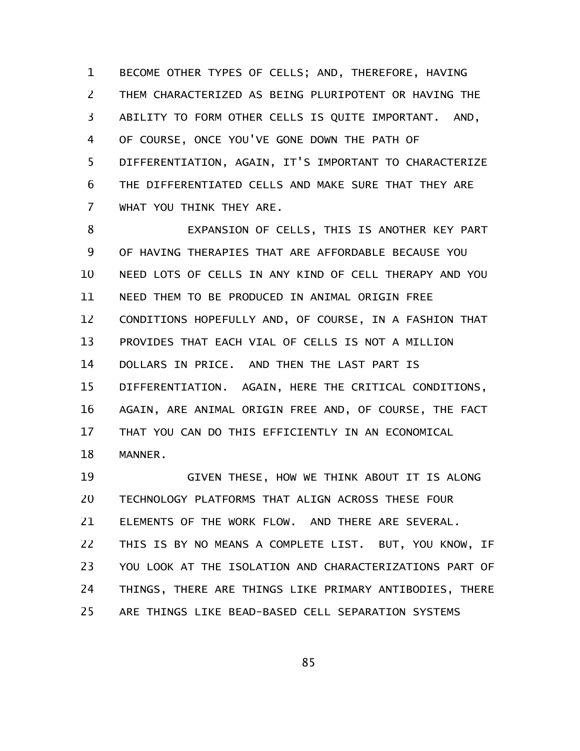BECOME OTHER TYPES OF CELLS; AND, THEREFORE, HAVING THEM CHARACTERIZED AS BEING PLURIPOTENT OR HAVING THE ABILITY TO FORM OTHER CELLS IS QUITE IMPORTANT. AND, OF COURSE, ONCE YOU'VE GONE DOWN THE PATH OF DIFFERENTIATION, AGAIN, IT'S IMPORTANT TO CHARACTERIZE THE DIFFERENTIATED CELLS AND MAKE SURE THAT THEY ARE WHAT YOU THINK THEY ARE. 1 2 3 4 5 6 7

EXPANSION OF CELLS, THIS IS ANOTHER KEY PART OF HAVING THERAPIES THAT ARE AFFORDABLE BECAUSE YOU NEED LOTS OF CELLS IN ANY KIND OF CELL THERAPY AND YOU NEED THEM TO BE PRODUCED IN ANIMAL ORIGIN FREE CONDITIONS HOPEFULLY AND, OF COURSE, IN A FASHION THAT PROVIDES THAT EACH VIAL OF CELLS IS NOT A MILLION DOLLARS IN PRICE. AND THEN THE LAST PART IS DIFFERENTIATION. AGAIN, HERE THE CRITICAL CONDITIONS, AGAIN, ARE ANIMAL ORIGIN FREE AND, OF COURSE, THE FACT THAT YOU CAN DO THIS EFFICIENTLY IN AN ECONOMICAL MANNER. 8 9 10 11 12 13 14 15 16 17 18

GIVEN THESE, HOW WE THINK ABOUT IT IS ALONG TECHNOLOGY PLATFORMS THAT ALIGN ACROSS THESE FOUR ELEMENTS OF THE WORK FLOW. AND THERE ARE SEVERAL. THIS IS BY NO MEANS A COMPLETE LIST. BUT, YOU KNOW, IF YOU LOOK AT THE ISOLATION AND CHARACTERIZATIONS PART OF THINGS, THERE ARE THINGS LIKE PRIMARY ANTIBODIES, THERE ARE THINGS LIKE BEAD-BASED CELL SEPARATION SYSTEMS 19 20 21 22 23 24 25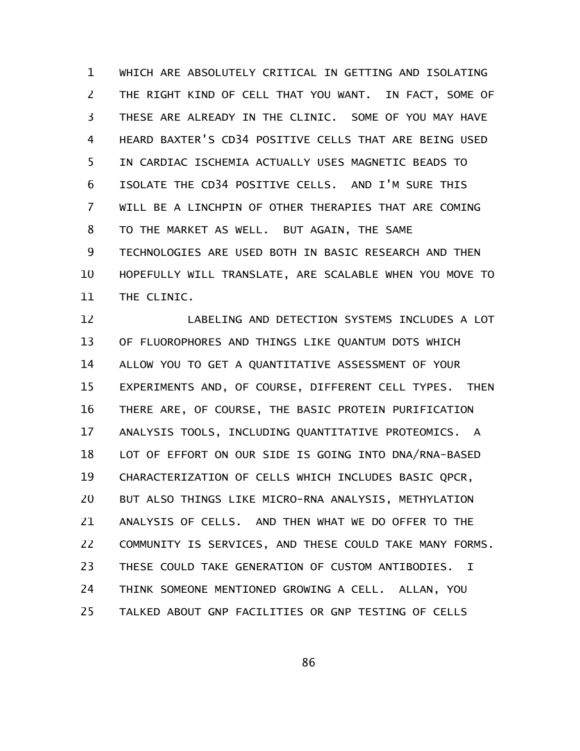WHICH ARE ABSOLUTELY CRITICAL IN GETTING AND ISOLATING THE RIGHT KIND OF CELL THAT YOU WANT. IN FACT, SOME OF THESE ARE ALREADY IN THE CLINIC. SOME OF YOU MAY HAVE HEARD BAXTER'S CD34 POSITIVE CELLS THAT ARE BEING USED IN CARDIAC ISCHEMIA ACTUALLY USES MAGNETIC BEADS TO ISOLATE THE CD34 POSITIVE CELLS. AND I'M SURE THIS WILL BE A LINCHPIN OF OTHER THERAPIES THAT ARE COMING TO THE MARKET AS WELL. BUT AGAIN, THE SAME TECHNOLOGIES ARE USED BOTH IN BASIC RESEARCH AND THEN HOPEFULLY WILL TRANSLATE, ARE SCALABLE WHEN YOU MOVE TO THE CLINIC. 1 2 3 4 5 6 7 8 9 10 11

LABELING AND DETECTION SYSTEMS INCLUDES A LOT OF FLUOROPHORES AND THINGS LIKE QUANTUM DOTS WHICH ALLOW YOU TO GET A QUANTITATIVE ASSESSMENT OF YOUR EXPERIMENTS AND, OF COURSE, DIFFERENT CELL TYPES. THEN THERE ARE, OF COURSE, THE BASIC PROTEIN PURIFICATION ANALYSIS TOOLS, INCLUDING QUANTITATIVE PROTEOMICS. A LOT OF EFFORT ON OUR SIDE IS GOING INTO DNA/RNA-BASED CHARACTERIZATION OF CELLS WHICH INCLUDES BASIC QPCR, BUT ALSO THINGS LIKE MICRO-RNA ANALYSIS, METHYLATION ANALYSIS OF CELLS. AND THEN WHAT WE DO OFFER TO THE COMMUNITY IS SERVICES, AND THESE COULD TAKE MANY FORMS. THESE COULD TAKE GENERATION OF CUSTOM ANTIBODIES. I THINK SOMEONE MENTIONED GROWING A CELL. ALLAN, YOU TALKED ABOUT GNP FACILITIES OR GNP TESTING OF CELLS 12 13 14 15 16 17 18 19 20 21 22 23 24 25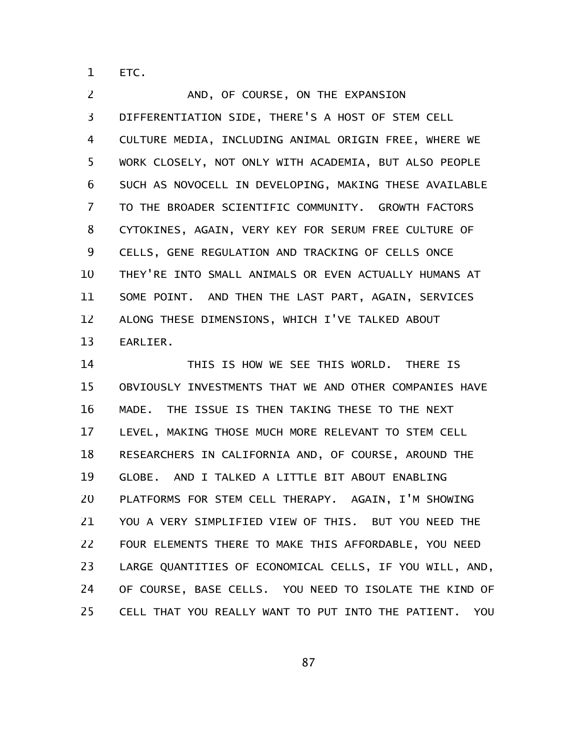ETC. 1

AND, OF COURSE, ON THE EXPANSION DIFFERENTIATION SIDE, THERE'S A HOST OF STEM CELL CULTURE MEDIA, INCLUDING ANIMAL ORIGIN FREE, WHERE WE WORK CLOSELY, NOT ONLY WITH ACADEMIA, BUT ALSO PEOPLE SUCH AS NOVOCELL IN DEVELOPING, MAKING THESE AVAILABLE TO THE BROADER SCIENTIFIC COMMUNITY. GROWTH FACTORS CYTOKINES, AGAIN, VERY KEY FOR SERUM FREE CULTURE OF CELLS, GENE REGULATION AND TRACKING OF CELLS ONCE THEY'RE INTO SMALL ANIMALS OR EVEN ACTUALLY HUMANS AT SOME POINT. AND THEN THE LAST PART, AGAIN, SERVICES ALONG THESE DIMENSIONS, WHICH I'VE TALKED ABOUT EARLIER. 2 3 4 5 6 7 8 9 10 11 12 13

THIS IS HOW WE SEE THIS WORLD. THERE IS OBVIOUSLY INVESTMENTS THAT WE AND OTHER COMPANIES HAVE MADE. THE ISSUE IS THEN TAKING THESE TO THE NEXT LEVEL, MAKING THOSE MUCH MORE RELEVANT TO STEM CELL RESEARCHERS IN CALIFORNIA AND, OF COURSE, AROUND THE GLOBE. AND I TALKED A LITTLE BIT ABOUT ENABLING PLATFORMS FOR STEM CELL THERAPY. AGAIN, I'M SHOWING YOU A VERY SIMPLIFIED VIEW OF THIS. BUT YOU NEED THE FOUR ELEMENTS THERE TO MAKE THIS AFFORDABLE, YOU NEED LARGE QUANTITIES OF ECONOMICAL CELLS, IF YOU WILL, AND, OF COURSE, BASE CELLS. YOU NEED TO ISOLATE THE KIND OF CELL THAT YOU REALLY WANT TO PUT INTO THE PATIENT. YOU 14 15 16 17 18 19 20 21 22 23 24 25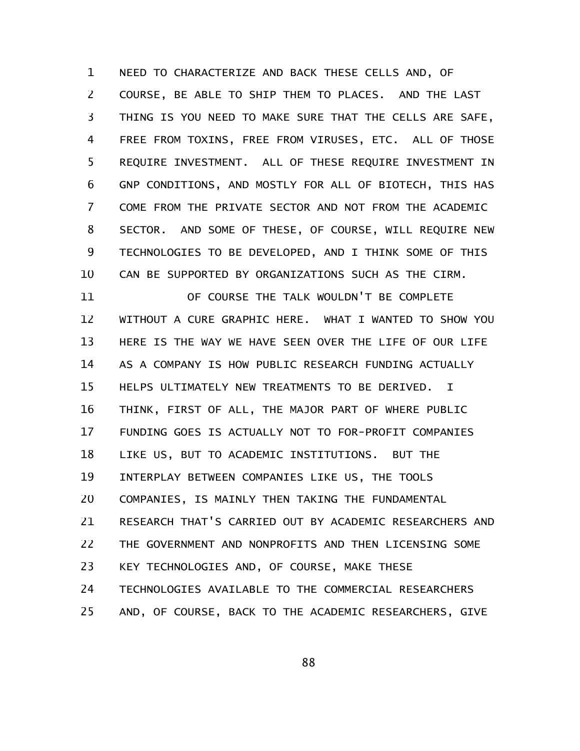NEED TO CHARACTERIZE AND BACK THESE CELLS AND, OF COURSE, BE ABLE TO SHIP THEM TO PLACES. AND THE LAST THING IS YOU NEED TO MAKE SURE THAT THE CELLS ARE SAFE, FREE FROM TOXINS, FREE FROM VIRUSES, ETC. ALL OF THOSE REQUIRE INVESTMENT. ALL OF THESE REQUIRE INVESTMENT IN GNP CONDITIONS, AND MOSTLY FOR ALL OF BIOTECH, THIS HAS COME FROM THE PRIVATE SECTOR AND NOT FROM THE ACADEMIC SECTOR. AND SOME OF THESE, OF COURSE, WILL REQUIRE NEW TECHNOLOGIES TO BE DEVELOPED, AND I THINK SOME OF THIS CAN BE SUPPORTED BY ORGANIZATIONS SUCH AS THE CIRM. 1 2 3 4 5 6 7 8 9 10

OF COURSE THE TALK WOULDN'T BE COMPLETE WITHOUT A CURE GRAPHIC HERE. WHAT I WANTED TO SHOW YOU HERE IS THE WAY WE HAVE SEEN OVER THE LIFE OF OUR LIFE AS A COMPANY IS HOW PUBLIC RESEARCH FUNDING ACTUALLY HELPS ULTIMATELY NEW TREATMENTS TO BE DERIVED. I THINK, FIRST OF ALL, THE MAJOR PART OF WHERE PUBLIC FUNDING GOES IS ACTUALLY NOT TO FOR-PROFIT COMPANIES LIKE US, BUT TO ACADEMIC INSTITUTIONS. BUT THE INTERPLAY BETWEEN COMPANIES LIKE US, THE TOOLS COMPANIES, IS MAINLY THEN TAKING THE FUNDAMENTAL RESEARCH THAT'S CARRIED OUT BY ACADEMIC RESEARCHERS AND THE GOVERNMENT AND NONPROFITS AND THEN LICENSING SOME KEY TECHNOLOGIES AND, OF COURSE, MAKE THESE TECHNOLOGIES AVAILABLE TO THE COMMERCIAL RESEARCHERS AND, OF COURSE, BACK TO THE ACADEMIC RESEARCHERS, GIVE 11 12 13 14 15 16 17 18 19 20 21 22 23 24 25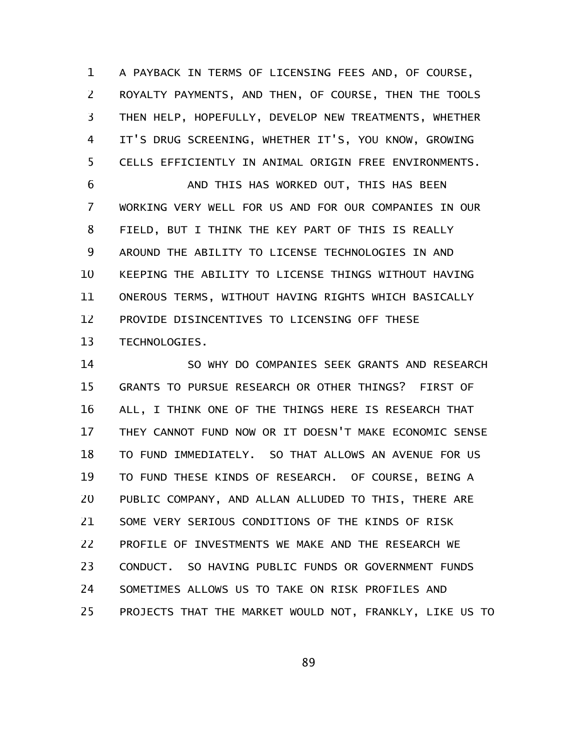A PAYBACK IN TERMS OF LICENSING FEES AND, OF COURSE, ROYALTY PAYMENTS, AND THEN, OF COURSE, THEN THE TOOLS THEN HELP, HOPEFULLY, DEVELOP NEW TREATMENTS, WHETHER IT'S DRUG SCREENING, WHETHER IT'S, YOU KNOW, GROWING CELLS EFFICIENTLY IN ANIMAL ORIGIN FREE ENVIRONMENTS. 1 2 3 4 5

AND THIS HAS WORKED OUT, THIS HAS BEEN WORKING VERY WELL FOR US AND FOR OUR COMPANIES IN OUR FIELD, BUT I THINK THE KEY PART OF THIS IS REALLY AROUND THE ABILITY TO LICENSE TECHNOLOGIES IN AND KEEPING THE ABILITY TO LICENSE THINGS WITHOUT HAVING ONEROUS TERMS, WITHOUT HAVING RIGHTS WHICH BASICALLY PROVIDE DISINCENTIVES TO LICENSING OFF THESE TECHNOLOGIES. 6 7 8 9 10 11 12 13

SO WHY DO COMPANIES SEEK GRANTS AND RESEARCH GRANTS TO PURSUE RESEARCH OR OTHER THINGS? FIRST OF ALL, I THINK ONE OF THE THINGS HERE IS RESEARCH THAT THEY CANNOT FUND NOW OR IT DOESN'T MAKE ECONOMIC SENSE TO FUND IMMEDIATELY. SO THAT ALLOWS AN AVENUE FOR US TO FUND THESE KINDS OF RESEARCH. OF COURSE, BEING A PUBLIC COMPANY, AND ALLAN ALLUDED TO THIS, THERE ARE SOME VERY SERIOUS CONDITIONS OF THE KINDS OF RISK PROFILE OF INVESTMENTS WE MAKE AND THE RESEARCH WE CONDUCT. SO HAVING PUBLIC FUNDS OR GOVERNMENT FUNDS SOMETIMES ALLOWS US TO TAKE ON RISK PROFILES AND PROJECTS THAT THE MARKET WOULD NOT, FRANKLY, LIKE US TO 14 15 16 17 18 19 20 21 22 23 24 25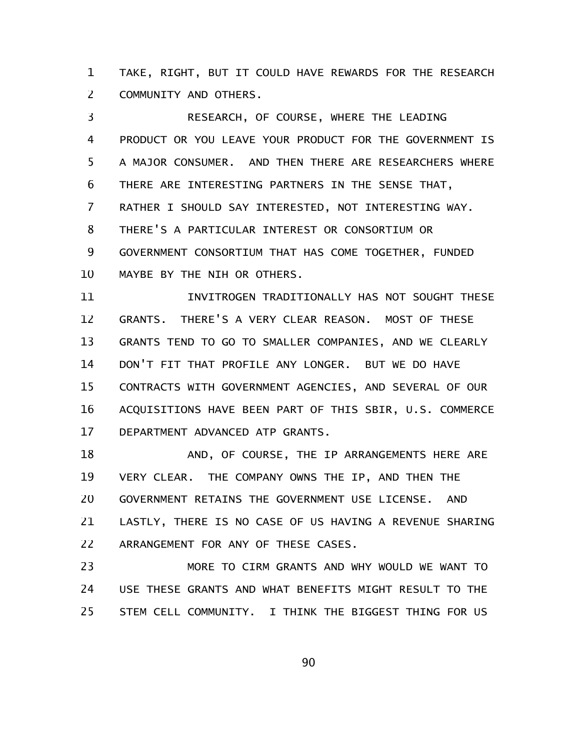TAKE, RIGHT, BUT IT COULD HAVE REWARDS FOR THE RESEARCH COMMUNITY AND OTHERS. 1 2

RESEARCH, OF COURSE, WHERE THE LEADING PRODUCT OR YOU LEAVE YOUR PRODUCT FOR THE GOVERNMENT IS A MAJOR CONSUMER. AND THEN THERE ARE RESEARCHERS WHERE THERE ARE INTERESTING PARTNERS IN THE SENSE THAT, RATHER I SHOULD SAY INTERESTED, NOT INTERESTING WAY. THERE'S A PARTICULAR INTEREST OR CONSORTIUM OR GOVERNMENT CONSORTIUM THAT HAS COME TOGETHER, FUNDED MAYBE BY THE NIH OR OTHERS. 3 4 5 6 7 8 9 10

INVITROGEN TRADITIONALLY HAS NOT SOUGHT THESE GRANTS. THERE'S A VERY CLEAR REASON. MOST OF THESE GRANTS TEND TO GO TO SMALLER COMPANIES, AND WE CLEARLY DON'T FIT THAT PROFILE ANY LONGER. BUT WE DO HAVE CONTRACTS WITH GOVERNMENT AGENCIES, AND SEVERAL OF OUR ACQUISITIONS HAVE BEEN PART OF THIS SBIR, U.S. COMMERCE DEPARTMENT ADVANCED ATP GRANTS. 11 12 13 14 15 16 17

AND, OF COURSE, THE IP ARRANGEMENTS HERE ARE VERY CLEAR. THE COMPANY OWNS THE IP, AND THEN THE GOVERNMENT RETAINS THE GOVERNMENT USE LICENSE. AND LASTLY, THERE IS NO CASE OF US HAVING A REVENUE SHARING ARRANGEMENT FOR ANY OF THESE CASES. 18 19 20 21 22

MORE TO CIRM GRANTS AND WHY WOULD WE WANT TO USE THESE GRANTS AND WHAT BENEFITS MIGHT RESULT TO THE STEM CELL COMMUNITY. I THINK THE BIGGEST THING FOR US 23 24 25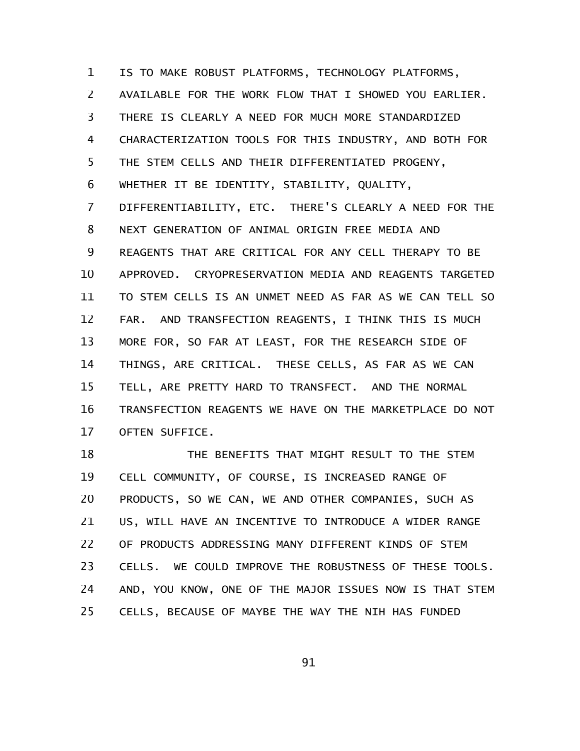IS TO MAKE ROBUST PLATFORMS, TECHNOLOGY PLATFORMS, AVAILABLE FOR THE WORK FLOW THAT I SHOWED YOU EARLIER. THERE IS CLEARLY A NEED FOR MUCH MORE STANDARDIZED CHARACTERIZATION TOOLS FOR THIS INDUSTRY, AND BOTH FOR THE STEM CELLS AND THEIR DIFFERENTIATED PROGENY, WHETHER IT BE IDENTITY, STABILITY, QUALITY, DIFFERENTIABILITY, ETC. THERE'S CLEARLY A NEED FOR THE NEXT GENERATION OF ANIMAL ORIGIN FREE MEDIA AND REAGENTS THAT ARE CRITICAL FOR ANY CELL THERAPY TO BE APPROVED. CRYOPRESERVATION MEDIA AND REAGENTS TARGETED TO STEM CELLS IS AN UNMET NEED AS FAR AS WE CAN TELL SO FAR. AND TRANSFECTION REAGENTS, I THINK THIS IS MUCH MORE FOR, SO FAR AT LEAST, FOR THE RESEARCH SIDE OF THINGS, ARE CRITICAL. THESE CELLS, AS FAR AS WE CAN TELL, ARE PRETTY HARD TO TRANSFECT. AND THE NORMAL TRANSFECTION REAGENTS WE HAVE ON THE MARKETPLACE DO NOT OFTEN SUFFICE. 1 2 3 4 5 6 7 8 9 10 11 12 13 14 15 16 17

THE BENEFITS THAT MIGHT RESULT TO THE STEM CELL COMMUNITY, OF COURSE, IS INCREASED RANGE OF PRODUCTS, SO WE CAN, WE AND OTHER COMPANIES, SUCH AS US, WILL HAVE AN INCENTIVE TO INTRODUCE A WIDER RANGE OF PRODUCTS ADDRESSING MANY DIFFERENT KINDS OF STEM CELLS. WE COULD IMPROVE THE ROBUSTNESS OF THESE TOOLS. AND, YOU KNOW, ONE OF THE MAJOR ISSUES NOW IS THAT STEM CELLS, BECAUSE OF MAYBE THE WAY THE NIH HAS FUNDED 18 19 20 21 22 23 24 25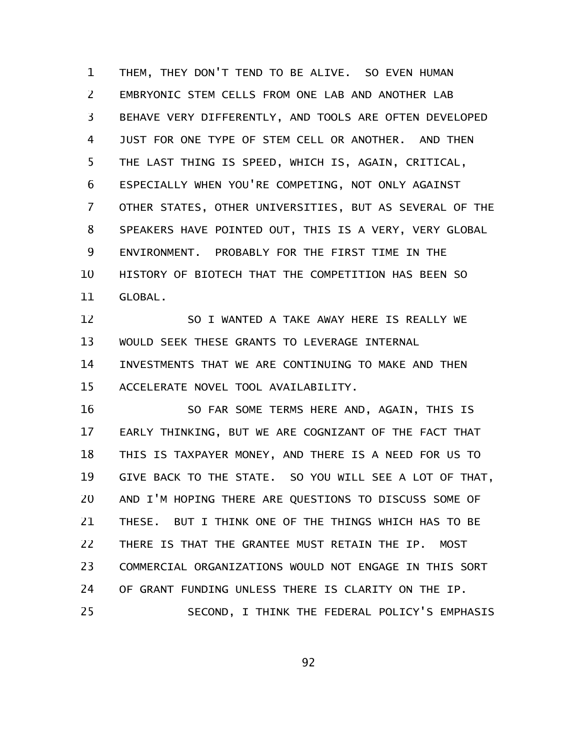THEM, THEY DON'T TEND TO BE ALIVE. SO EVEN HUMAN EMBRYONIC STEM CELLS FROM ONE LAB AND ANOTHER LAB BEHAVE VERY DIFFERENTLY, AND TOOLS ARE OFTEN DEVELOPED JUST FOR ONE TYPE OF STEM CELL OR ANOTHER. AND THEN THE LAST THING IS SPEED, WHICH IS, AGAIN, CRITICAL, ESPECIALLY WHEN YOU'RE COMPETING, NOT ONLY AGAINST OTHER STATES, OTHER UNIVERSITIES, BUT AS SEVERAL OF THE SPEAKERS HAVE POINTED OUT, THIS IS A VERY, VERY GLOBAL ENVIRONMENT. PROBABLY FOR THE FIRST TIME IN THE HISTORY OF BIOTECH THAT THE COMPETITION HAS BEEN SO GLOBAL. 1 2 3 4 5 6 7 8 9 10 11

SO I WANTED A TAKE AWAY HERE IS REALLY WE WOULD SEEK THESE GRANTS TO LEVERAGE INTERNAL INVESTMENTS THAT WE ARE CONTINUING TO MAKE AND THEN ACCELERATE NOVEL TOOL AVAILABILITY. 12 13 14 15

SO FAR SOME TERMS HERE AND, AGAIN, THIS IS EARLY THINKING, BUT WE ARE COGNIZANT OF THE FACT THAT THIS IS TAXPAYER MONEY, AND THERE IS A NEED FOR US TO GIVE BACK TO THE STATE. SO YOU WILL SEE A LOT OF THAT, AND I'M HOPING THERE ARE QUESTIONS TO DISCUSS SOME OF THESE. BUT I THINK ONE OF THE THINGS WHICH HAS TO BE THERE IS THAT THE GRANTEE MUST RETAIN THE IP. MOST COMMERCIAL ORGANIZATIONS WOULD NOT ENGAGE IN THIS SORT OF GRANT FUNDING UNLESS THERE IS CLARITY ON THE IP. SECOND, I THINK THE FEDERAL POLICY'S EMPHASIS 16 17 18 19 20 21 22 23 24 25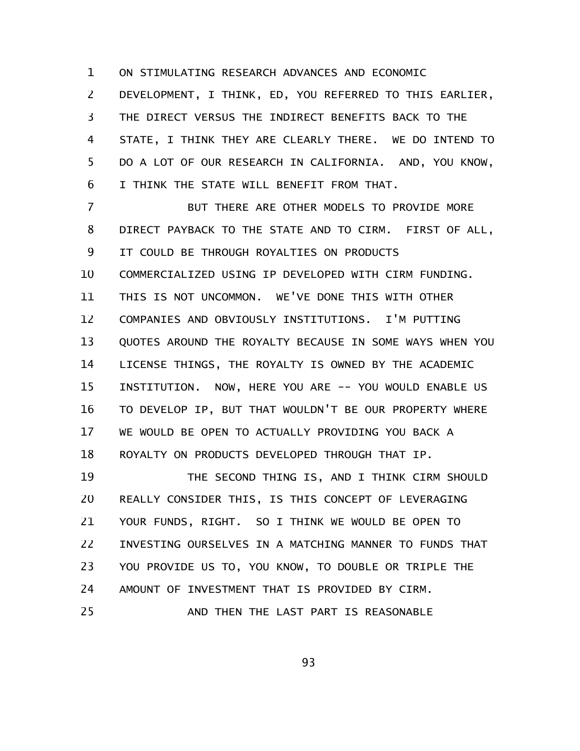ON STIMULATING RESEARCH ADVANCES AND ECONOMIC 1

DEVELOPMENT, I THINK, ED, YOU REFERRED TO THIS EARLIER, THE DIRECT VERSUS THE INDIRECT BENEFITS BACK TO THE STATE, I THINK THEY ARE CLEARLY THERE. WE DO INTEND TO DO A LOT OF OUR RESEARCH IN CALIFORNIA. AND, YOU KNOW, I THINK THE STATE WILL BENEFIT FROM THAT. 2 3 4 5 6

BUT THERE ARE OTHER MODELS TO PROVIDE MORE DIRECT PAYBACK TO THE STATE AND TO CIRM. FIRST OF ALL, IT COULD BE THROUGH ROYALTIES ON PRODUCTS COMMERCIALIZED USING IP DEVELOPED WITH CIRM FUNDING. THIS IS NOT UNCOMMON. WE'VE DONE THIS WITH OTHER COMPANIES AND OBVIOUSLY INSTITUTIONS. I'M PUTTING QUOTES AROUND THE ROYALTY BECAUSE IN SOME WAYS WHEN YOU LICENSE THINGS, THE ROYALTY IS OWNED BY THE ACADEMIC INSTITUTION. NOW, HERE YOU ARE -- YOU WOULD ENABLE US TO DEVELOP IP, BUT THAT WOULDN'T BE OUR PROPERTY WHERE WE WOULD BE OPEN TO ACTUALLY PROVIDING YOU BACK A ROYALTY ON PRODUCTS DEVELOPED THROUGH THAT IP. THE SECOND THING IS, AND I THINK CIRM SHOULD 7 8 9 10 11 12 13 14 15 16 17 18 19

REALLY CONSIDER THIS, IS THIS CONCEPT OF LEVERAGING YOUR FUNDS, RIGHT. SO I THINK WE WOULD BE OPEN TO INVESTING OURSELVES IN A MATCHING MANNER TO FUNDS THAT YOU PROVIDE US TO, YOU KNOW, TO DOUBLE OR TRIPLE THE AMOUNT OF INVESTMENT THAT IS PROVIDED BY CIRM. AND THEN THE LAST PART IS REASONABLE 20 21 22 23 24 25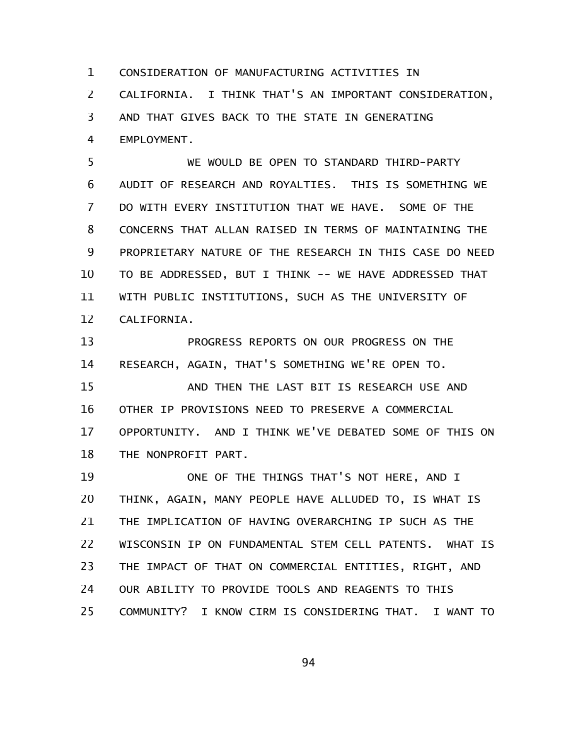CONSIDERATION OF MANUFACTURING ACTIVITIES IN 1

CALIFORNIA. I THINK THAT'S AN IMPORTANT CONSIDERATION, 2

AND THAT GIVES BACK TO THE STATE IN GENERATING 3

EMPLOYMENT. 4

WE WOULD BE OPEN TO STANDARD THIRD-PARTY AUDIT OF RESEARCH AND ROYALTIES. THIS IS SOMETHING WE DO WITH EVERY INSTITUTION THAT WE HAVE. SOME OF THE CONCERNS THAT ALLAN RAISED IN TERMS OF MAINTAINING THE PROPRIETARY NATURE OF THE RESEARCH IN THIS CASE DO NEED TO BE ADDRESSED, BUT I THINK -- WE HAVE ADDRESSED THAT WITH PUBLIC INSTITUTIONS, SUCH AS THE UNIVERSITY OF CALIFORNIA. 5 6 7 8 9 10 11 12

PROGRESS REPORTS ON OUR PROGRESS ON THE RESEARCH, AGAIN, THAT'S SOMETHING WE'RE OPEN TO. AND THEN THE LAST BIT IS RESEARCH USE AND OTHER IP PROVISIONS NEED TO PRESERVE A COMMERCIAL OPPORTUNITY. AND I THINK WE'VE DEBATED SOME OF THIS ON THE NONPROFIT PART. 13 14 15 16 17 18

ONE OF THE THINGS THAT'S NOT HERE, AND I THINK, AGAIN, MANY PEOPLE HAVE ALLUDED TO, IS WHAT IS THE IMPLICATION OF HAVING OVERARCHING IP SUCH AS THE WISCONSIN IP ON FUNDAMENTAL STEM CELL PATENTS. WHAT IS THE IMPACT OF THAT ON COMMERCIAL ENTITIES, RIGHT, AND OUR ABILITY TO PROVIDE TOOLS AND REAGENTS TO THIS COMMUNITY? I KNOW CIRM IS CONSIDERING THAT. I WANT TO 19 20 21 22 23 24 25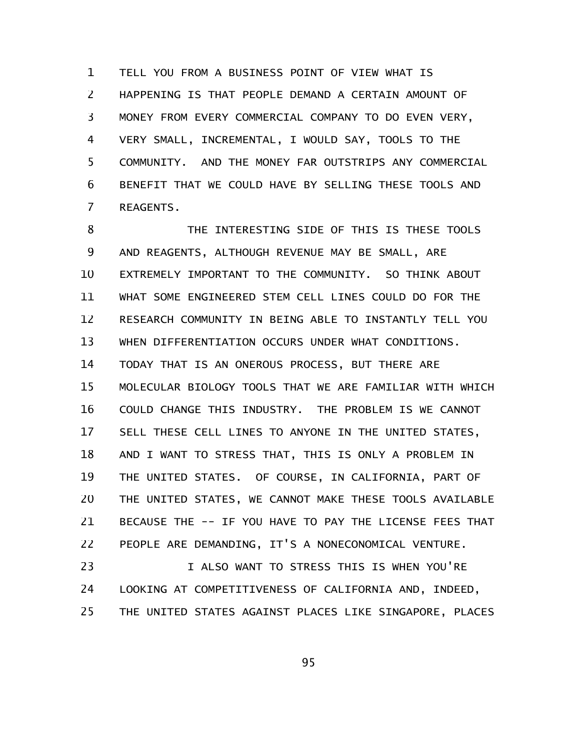TELL YOU FROM A BUSINESS POINT OF VIEW WHAT IS HAPPENING IS THAT PEOPLE DEMAND A CERTAIN AMOUNT OF MONEY FROM EVERY COMMERCIAL COMPANY TO DO EVEN VERY, VERY SMALL, INCREMENTAL, I WOULD SAY, TOOLS TO THE COMMUNITY. AND THE MONEY FAR OUTSTRIPS ANY COMMERCIAL BENEFIT THAT WE COULD HAVE BY SELLING THESE TOOLS AND REAGENTS. 1 2 3 4 5 6 7

THE INTERESTING SIDE OF THIS IS THESE TOOLS AND REAGENTS, ALTHOUGH REVENUE MAY BE SMALL, ARE EXTREMELY IMPORTANT TO THE COMMUNITY. SO THINK ABOUT WHAT SOME ENGINEERED STEM CELL LINES COULD DO FOR THE RESEARCH COMMUNITY IN BEING ABLE TO INSTANTLY TELL YOU WHEN DIFFERENTIATION OCCURS UNDER WHAT CONDITIONS. TODAY THAT IS AN ONEROUS PROCESS, BUT THERE ARE MOLECULAR BIOLOGY TOOLS THAT WE ARE FAMILIAR WITH WHICH COULD CHANGE THIS INDUSTRY. THE PROBLEM IS WE CANNOT SELL THESE CELL LINES TO ANYONE IN THE UNITED STATES, AND I WANT TO STRESS THAT, THIS IS ONLY A PROBLEM IN THE UNITED STATES. OF COURSE, IN CALIFORNIA, PART OF THE UNITED STATES, WE CANNOT MAKE THESE TOOLS AVAILABLE BECAUSE THE -- IF YOU HAVE TO PAY THE LICENSE FEES THAT PEOPLE ARE DEMANDING, IT'S A NONECONOMICAL VENTURE. I ALSO WANT TO STRESS THIS IS WHEN YOU'RE 8 9 10 11 12 13 14 15 16 17 18 19 20 21 22 23

LOOKING AT COMPETITIVENESS OF CALIFORNIA AND, INDEED, THE UNITED STATES AGAINST PLACES LIKE SINGAPORE, PLACES 24 25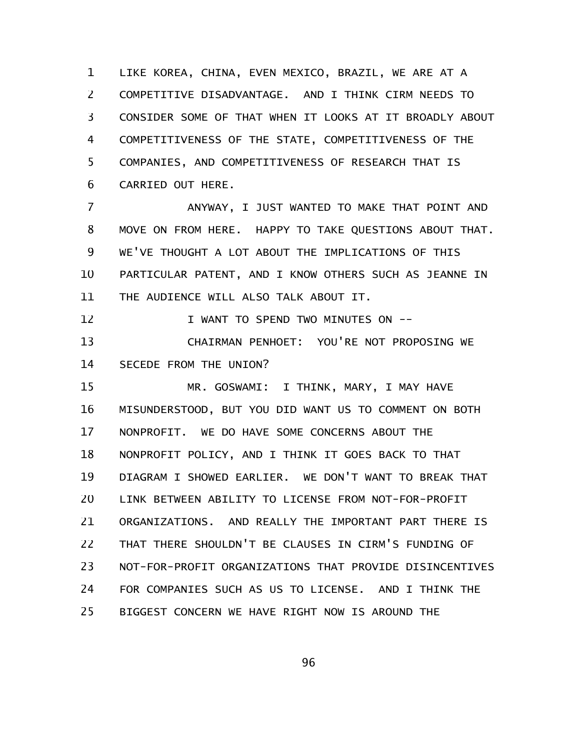LIKE KOREA, CHINA, EVEN MEXICO, BRAZIL, WE ARE AT A COMPETITIVE DISADVANTAGE. AND I THINK CIRM NEEDS TO CONSIDER SOME OF THAT WHEN IT LOOKS AT IT BROADLY ABOUT COMPETITIVENESS OF THE STATE, COMPETITIVENESS OF THE COMPANIES, AND COMPETITIVENESS OF RESEARCH THAT IS CARRIED OUT HERE. 1 2 3 4 5 6

ANYWAY, I JUST WANTED TO MAKE THAT POINT AND MOVE ON FROM HERE. HAPPY TO TAKE QUESTIONS ABOUT THAT. WE'VE THOUGHT A LOT ABOUT THE IMPLICATIONS OF THIS PARTICULAR PATENT, AND I KNOW OTHERS SUCH AS JEANNE IN THE AUDIENCE WILL ALSO TALK ABOUT IT. 7 8 9 10 11

I WANT TO SPEND TWO MINUTES ON -- CHAIRMAN PENHOET: YOU'RE NOT PROPOSING WE 12 13

SECEDE FROM THE UNION? 14

MR. GOSWAMI: I THINK, MARY, I MAY HAVE MISUNDERSTOOD, BUT YOU DID WANT US TO COMMENT ON BOTH NONPROFIT. WE DO HAVE SOME CONCERNS ABOUT THE NONPROFIT POLICY, AND I THINK IT GOES BACK TO THAT DIAGRAM I SHOWED EARLIER. WE DON'T WANT TO BREAK THAT LINK BETWEEN ABILITY TO LICENSE FROM NOT-FOR-PROFIT ORGANIZATIONS. AND REALLY THE IMPORTANT PART THERE IS THAT THERE SHOULDN'T BE CLAUSES IN CIRM'S FUNDING OF NOT-FOR-PROFIT ORGANIZATIONS THAT PROVIDE DISINCENTIVES FOR COMPANIES SUCH AS US TO LICENSE. AND I THINK THE BIGGEST CONCERN WE HAVE RIGHT NOW IS AROUND THE 15 16 17 18 19 20 21 22 23 24 25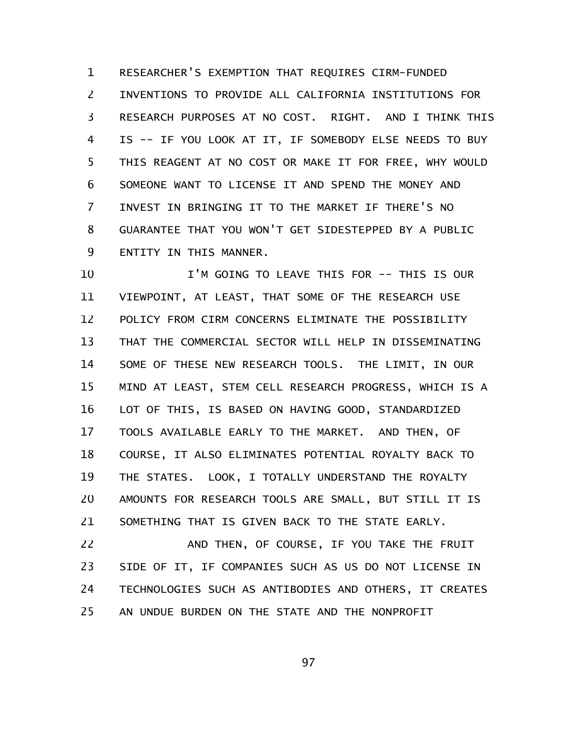RESEARCHER'S EXEMPTION THAT REQUIRES CIRM-FUNDED INVENTIONS TO PROVIDE ALL CALIFORNIA INSTITUTIONS FOR RESEARCH PURPOSES AT NO COST. RIGHT. AND I THINK THIS IS -- IF YOU LOOK AT IT, IF SOMEBODY ELSE NEEDS TO BUY THIS REAGENT AT NO COST OR MAKE IT FOR FREE, WHY WOULD SOMEONE WANT TO LICENSE IT AND SPEND THE MONEY AND INVEST IN BRINGING IT TO THE MARKET IF THERE'S NO GUARANTEE THAT YOU WON'T GET SIDESTEPPED BY A PUBLIC ENTITY IN THIS MANNER. 1 2 3 4 5 6 7 8 9

I'M GOING TO LEAVE THIS FOR -- THIS IS OUR VIEWPOINT, AT LEAST, THAT SOME OF THE RESEARCH USE POLICY FROM CIRM CONCERNS ELIMINATE THE POSSIBILITY THAT THE COMMERCIAL SECTOR WILL HELP IN DISSEMINATING SOME OF THESE NEW RESEARCH TOOLS. THE LIMIT, IN OUR MIND AT LEAST, STEM CELL RESEARCH PROGRESS, WHICH IS A LOT OF THIS, IS BASED ON HAVING GOOD, STANDARDIZED TOOLS AVAILABLE EARLY TO THE MARKET. AND THEN, OF COURSE, IT ALSO ELIMINATES POTENTIAL ROYALTY BACK TO THE STATES. LOOK, I TOTALLY UNDERSTAND THE ROYALTY AMOUNTS FOR RESEARCH TOOLS ARE SMALL, BUT STILL IT IS SOMETHING THAT IS GIVEN BACK TO THE STATE EARLY. 10 11 12 13 14 15 16 17 18 19 20 21

AND THEN, OF COURSE, IF YOU TAKE THE FRUIT SIDE OF IT, IF COMPANIES SUCH AS US DO NOT LICENSE IN TECHNOLOGIES SUCH AS ANTIBODIES AND OTHERS, IT CREATES AN UNDUE BURDEN ON THE STATE AND THE NONPROFIT 22 23 24 25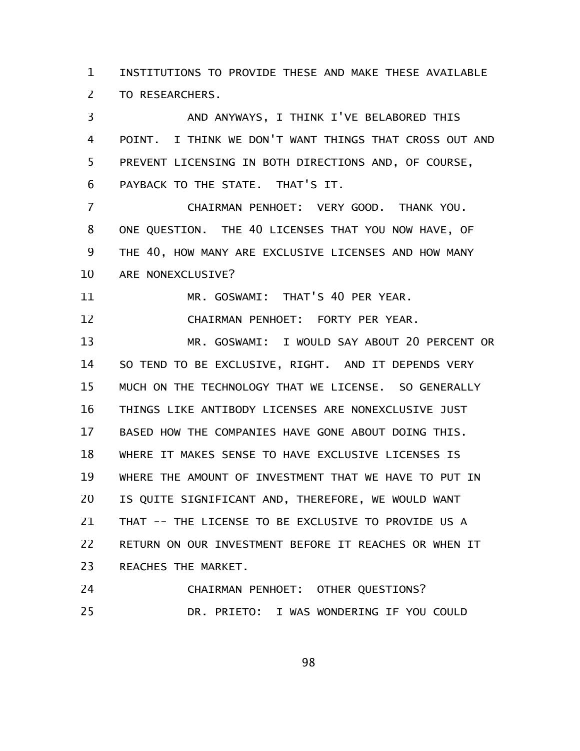INSTITUTIONS TO PROVIDE THESE AND MAKE THESE AVAILABLE TO RESEARCHERS. 1 2

AND ANYWAYS, I THINK I'VE BELABORED THIS POINT. I THINK WE DON'T WANT THINGS THAT CROSS OUT AND PREVENT LICENSING IN BOTH DIRECTIONS AND, OF COURSE, PAYBACK TO THE STATE. THAT'S IT. CHAIRMAN PENHOET: VERY GOOD. THANK YOU. ONE QUESTION. THE 40 LICENSES THAT YOU NOW HAVE, OF THE 40, HOW MANY ARE EXCLUSIVE LICENSES AND HOW MANY ARE NONEXCLUSIVE? MR. GOSWAMI: THAT'S 40 PER YEAR. CHAIRMAN PENHOET: FORTY PER YEAR. MR. GOSWAMI: I WOULD SAY ABOUT 20 PERCENT OR SO TEND TO BE EXCLUSIVE, RIGHT. AND IT DEPENDS VERY MUCH ON THE TECHNOLOGY THAT WE LICENSE. SO GENERALLY THINGS LIKE ANTIBODY LICENSES ARE NONEXCLUSIVE JUST BASED HOW THE COMPANIES HAVE GONE ABOUT DOING THIS. WHERE IT MAKES SENSE TO HAVE EXCLUSIVE LICENSES IS WHERE THE AMOUNT OF INVESTMENT THAT WE HAVE TO PUT IN IS QUITE SIGNIFICANT AND, THEREFORE, WE WOULD WANT THAT -- THE LICENSE TO BE EXCLUSIVE TO PROVIDE US A RETURN ON OUR INVESTMENT BEFORE IT REACHES OR WHEN IT REACHES THE MARKET. 3 4 5 6 7 8 9 10 11 12 13 14 15 16 17 18 19 20 21 22 23

CHAIRMAN PENHOET: OTHER QUESTIONS? DR. PRIETO: I WAS WONDERING IF YOU COULD 24 25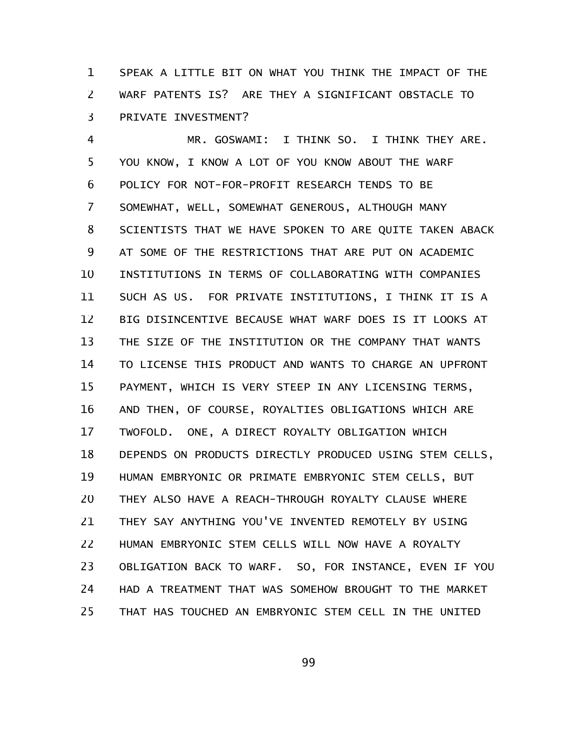SPEAK A LITTLE BIT ON WHAT YOU THINK THE IMPACT OF THE WARF PATENTS IS? ARE THEY A SIGNIFICANT OBSTACLE TO PRIVATE INVESTMENT? 1 2 3

MR. GOSWAMI: I THINK SO. I THINK THEY ARE. YOU KNOW, I KNOW A LOT OF YOU KNOW ABOUT THE WARF POLICY FOR NOT-FOR-PROFIT RESEARCH TENDS TO BE SOMEWHAT, WELL, SOMEWHAT GENEROUS, ALTHOUGH MANY SCIENTISTS THAT WE HAVE SPOKEN TO ARE QUITE TAKEN ABACK AT SOME OF THE RESTRICTIONS THAT ARE PUT ON ACADEMIC INSTITUTIONS IN TERMS OF COLLABORATING WITH COMPANIES SUCH AS US. FOR PRIVATE INSTITUTIONS, I THINK IT IS A BIG DISINCENTIVE BECAUSE WHAT WARF DOES IS IT LOOKS AT THE SIZE OF THE INSTITUTION OR THE COMPANY THAT WANTS TO LICENSE THIS PRODUCT AND WANTS TO CHARGE AN UPFRONT PAYMENT, WHICH IS VERY STEEP IN ANY LICENSING TERMS, AND THEN, OF COURSE, ROYALTIES OBLIGATIONS WHICH ARE TWOFOLD. ONE, A DIRECT ROYALTY OBLIGATION WHICH DEPENDS ON PRODUCTS DIRECTLY PRODUCED USING STEM CELLS, HUMAN EMBRYONIC OR PRIMATE EMBRYONIC STEM CELLS, BUT THEY ALSO HAVE A REACH-THROUGH ROYALTY CLAUSE WHERE THEY SAY ANYTHING YOU'VE INVENTED REMOTELY BY USING HUMAN EMBRYONIC STEM CELLS WILL NOW HAVE A ROYALTY OBLIGATION BACK TO WARF. SO, FOR INSTANCE, EVEN IF YOU HAD A TREATMENT THAT WAS SOMEHOW BROUGHT TO THE MARKET THAT HAS TOUCHED AN EMBRYONIC STEM CELL IN THE UNITED 4 5 6 7 8 9 10 11 12 13 14 15 16 17 18 19 20 21 22 23 24 25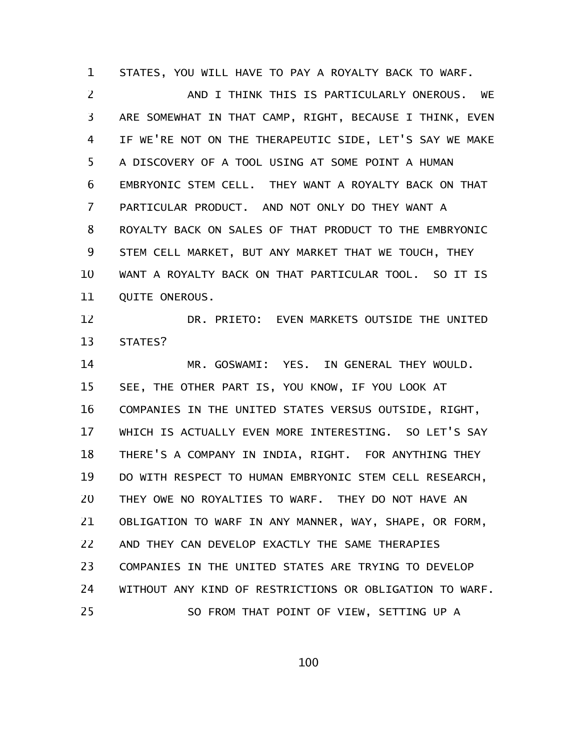STATES, YOU WILL HAVE TO PAY A ROYALTY BACK TO WARF. 1

AND I THINK THIS IS PARTICULARLY ONEROUS. WE ARE SOMEWHAT IN THAT CAMP, RIGHT, BECAUSE I THINK, EVEN IF WE'RE NOT ON THE THERAPEUTIC SIDE, LET'S SAY WE MAKE A DISCOVERY OF A TOOL USING AT SOME POINT A HUMAN EMBRYONIC STEM CELL. THEY WANT A ROYALTY BACK ON THAT PARTICULAR PRODUCT. AND NOT ONLY DO THEY WANT A ROYALTY BACK ON SALES OF THAT PRODUCT TO THE EMBRYONIC STEM CELL MARKET, BUT ANY MARKET THAT WE TOUCH, THEY WANT A ROYALTY BACK ON THAT PARTICULAR TOOL. SO IT IS QUITE ONEROUS. 2 3 4 5 6 7 8 9 10 11

DR. PRIETO: EVEN MARKETS OUTSIDE THE UNITED STATES? 12 13

MR. GOSWAMI: YES. IN GENERAL THEY WOULD. SEE, THE OTHER PART IS, YOU KNOW, IF YOU LOOK AT COMPANIES IN THE UNITED STATES VERSUS OUTSIDE, RIGHT, WHICH IS ACTUALLY EVEN MORE INTERESTING. SO LET'S SAY THERE'S A COMPANY IN INDIA, RIGHT. FOR ANYTHING THEY DO WITH RESPECT TO HUMAN EMBRYONIC STEM CELL RESEARCH, THEY OWE NO ROYALTIES TO WARF. THEY DO NOT HAVE AN OBLIGATION TO WARF IN ANY MANNER, WAY, SHAPE, OR FORM, AND THEY CAN DEVELOP EXACTLY THE SAME THERAPIES COMPANIES IN THE UNITED STATES ARE TRYING TO DEVELOP WITHOUT ANY KIND OF RESTRICTIONS OR OBLIGATION TO WARF. SO FROM THAT POINT OF VIEW, SETTING UP A 14 15 16 17 18 19 20 21 22 23 24 25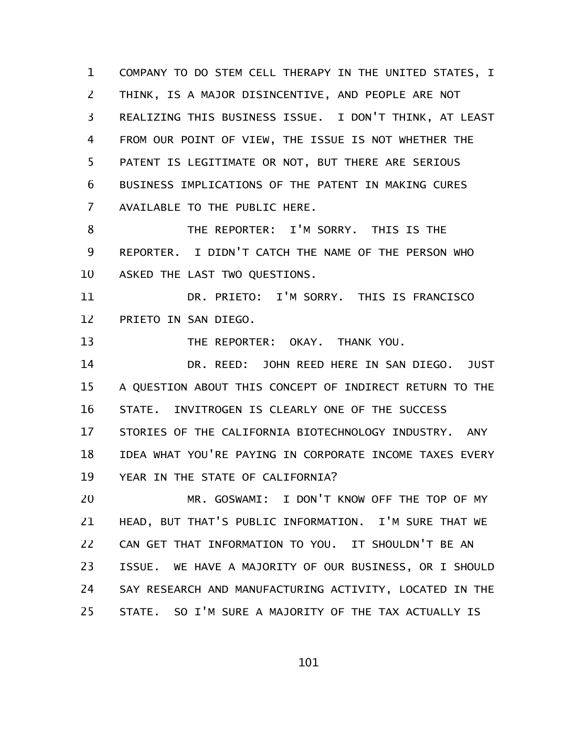COMPANY TO DO STEM CELL THERAPY IN THE UNITED STATES, I THINK, IS A MAJOR DISINCENTIVE, AND PEOPLE ARE NOT REALIZING THIS BUSINESS ISSUE. I DON'T THINK, AT LEAST FROM OUR POINT OF VIEW, THE ISSUE IS NOT WHETHER THE PATENT IS LEGITIMATE OR NOT, BUT THERE ARE SERIOUS BUSINESS IMPLICATIONS OF THE PATENT IN MAKING CURES AVAILABLE TO THE PUBLIC HERE. 1 2 3 4 5 6 7

THE REPORTER: I'M SORRY. THIS IS THE REPORTER. I DIDN'T CATCH THE NAME OF THE PERSON WHO ASKED THE LAST TWO QUESTIONS. 8 9 10

DR. PRIETO: I'M SORRY. THIS IS FRANCISCO PRIETO IN SAN DIEGO. 11 12

THE REPORTER: OKAY. THANK YOU. 13

DR. REED: JOHN REED HERE IN SAN DIEGO. JUST A QUESTION ABOUT THIS CONCEPT OF INDIRECT RETURN TO THE STATE. INVITROGEN IS CLEARLY ONE OF THE SUCCESS STORIES OF THE CALIFORNIA BIOTECHNOLOGY INDUSTRY. ANY IDEA WHAT YOU'RE PAYING IN CORPORATE INCOME TAXES EVERY YEAR IN THE STATE OF CALIFORNIA? 14 15 16 17 18 19

MR. GOSWAMI: I DON'T KNOW OFF THE TOP OF MY HEAD, BUT THAT'S PUBLIC INFORMATION. I'M SURE THAT WE CAN GET THAT INFORMATION TO YOU. IT SHOULDN'T BE AN ISSUE. WE HAVE A MAJORITY OF OUR BUSINESS, OR I SHOULD SAY RESEARCH AND MANUFACTURING ACTIVITY, LOCATED IN THE STATE. SO I'M SURE A MAJORITY OF THE TAX ACTUALLY IS 20 21 22 23 24 25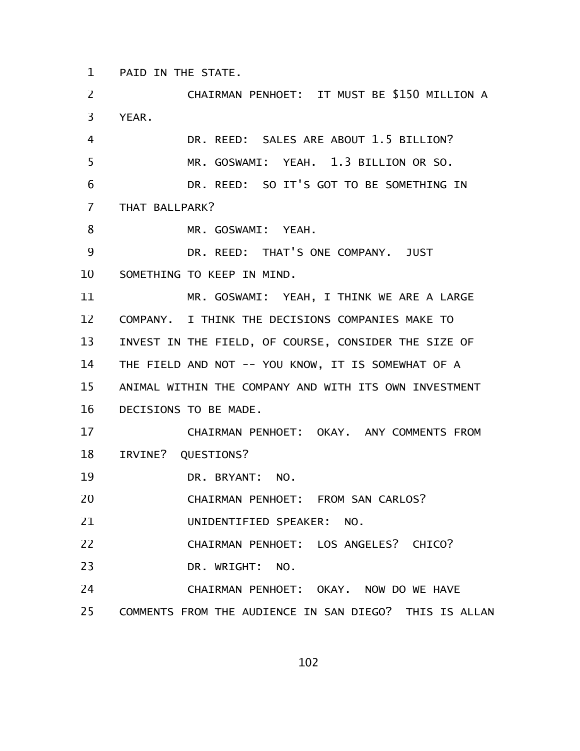PAID IN THE STATE. 1

CHAIRMAN PENHOET: IT MUST BE \$150 MILLION A YEAR. DR. REED: SALES ARE ABOUT 1.5 BILLION? MR. GOSWAMI: YEAH. 1.3 BILLION OR SO. DR. REED: SO IT'S GOT TO BE SOMETHING IN THAT BALLPARK? MR. GOSWAMI: YEAH. DR. REED: THAT'S ONE COMPANY. JUST SOMETHING TO KEEP IN MIND. MR. GOSWAMI: YEAH, I THINK WE ARE A LARGE COMPANY. I THINK THE DECISIONS COMPANIES MAKE TO INVEST IN THE FIELD, OF COURSE, CONSIDER THE SIZE OF THE FIELD AND NOT -- YOU KNOW, IT IS SOMEWHAT OF A ANIMAL WITHIN THE COMPANY AND WITH ITS OWN INVESTMENT DECISIONS TO BE MADE. CHAIRMAN PENHOET: OKAY. ANY COMMENTS FROM IRVINE? QUESTIONS? DR. BRYANT: NO. CHAIRMAN PENHOET: FROM SAN CARLOS? UNIDENTIFIED SPEAKER: NO. CHAIRMAN PENHOET: LOS ANGELES? CHICO? DR. WRIGHT: NO. CHAIRMAN PENHOET: OKAY. NOW DO WE HAVE COMMENTS FROM THE AUDIENCE IN SAN DIEGO? THIS IS ALLAN 2 3 4 5 6 7 8 9 10 11 12 13 14 15 16 17 18 19 20 21 22 23 24 25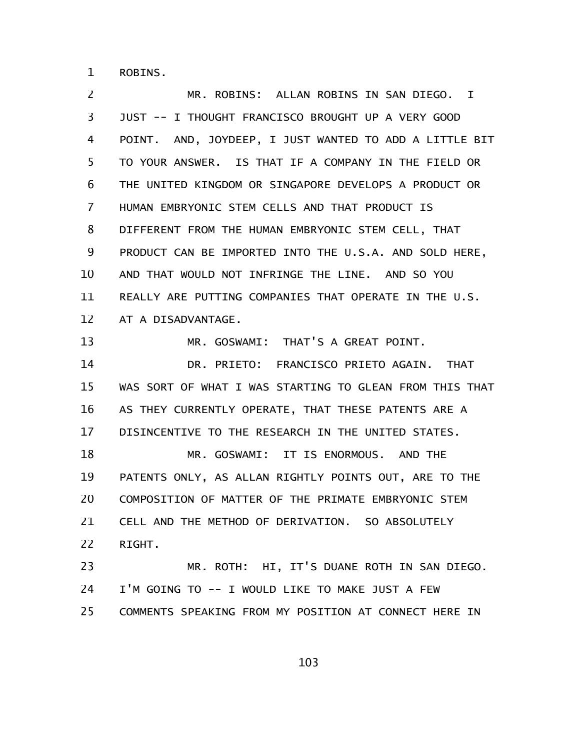ROBINS. 1

MR. ROBINS: ALLAN ROBINS IN SAN DIEGO. I JUST -- I THOUGHT FRANCISCO BROUGHT UP A VERY GOOD POINT. AND, JOYDEEP, I JUST WANTED TO ADD A LITTLE BIT TO YOUR ANSWER. IS THAT IF A COMPANY IN THE FIELD OR THE UNITED KINGDOM OR SINGAPORE DEVELOPS A PRODUCT OR HUMAN EMBRYONIC STEM CELLS AND THAT PRODUCT IS DIFFERENT FROM THE HUMAN EMBRYONIC STEM CELL, THAT PRODUCT CAN BE IMPORTED INTO THE U.S.A. AND SOLD HERE, AND THAT WOULD NOT INFRINGE THE LINE. AND SO YOU REALLY ARE PUTTING COMPANIES THAT OPERATE IN THE U.S. AT A DISADVANTAGE. MR. GOSWAMI: THAT'S A GREAT POINT. DR. PRIETO: FRANCISCO PRIETO AGAIN. THAT WAS SORT OF WHAT I WAS STARTING TO GLEAN FROM THIS THAT AS THEY CURRENTLY OPERATE, THAT THESE PATENTS ARE A DISINCENTIVE TO THE RESEARCH IN THE UNITED STATES. MR. GOSWAMI: IT IS ENORMOUS. AND THE PATENTS ONLY, AS ALLAN RIGHTLY POINTS OUT, ARE TO THE COMPOSITION OF MATTER OF THE PRIMATE EMBRYONIC STEM CELL AND THE METHOD OF DERIVATION. SO ABSOLUTELY RIGHT. MR. ROTH: HI, IT'S DUANE ROTH IN SAN DIEGO. I'M GOING TO -- I WOULD LIKE TO MAKE JUST A FEW 2 3 4 5 6 7 8 9 10 11 12 13 14 15 16 17 18 19 20 21 22 23 24

COMMENTS SPEAKING FROM MY POSITION AT CONNECT HERE IN 25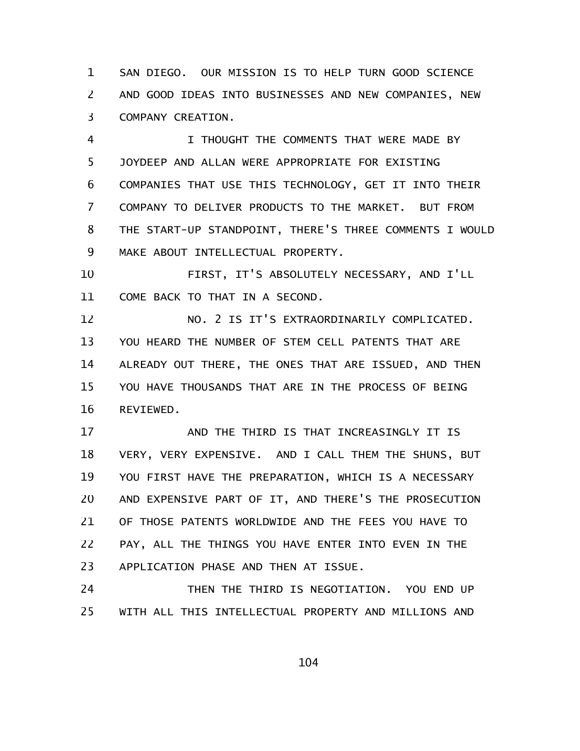SAN DIEGO. OUR MISSION IS TO HELP TURN GOOD SCIENCE AND GOOD IDEAS INTO BUSINESSES AND NEW COMPANIES, NEW COMPANY CREATION. 1 2 3

I THOUGHT THE COMMENTS THAT WERE MADE BY JOYDEEP AND ALLAN WERE APPROPRIATE FOR EXISTING COMPANIES THAT USE THIS TECHNOLOGY, GET IT INTO THEIR COMPANY TO DELIVER PRODUCTS TO THE MARKET. BUT FROM THE START-UP STANDPOINT, THERE'S THREE COMMENTS I WOULD MAKE ABOUT INTELLECTUAL PROPERTY. 4 5 6 7 8 9

FIRST, IT'S ABSOLUTELY NECESSARY, AND I'LL COME BACK TO THAT IN A SECOND. 10 11

NO. 2 IS IT'S EXTRAORDINARILY COMPLICATED. YOU HEARD THE NUMBER OF STEM CELL PATENTS THAT ARE ALREADY OUT THERE, THE ONES THAT ARE ISSUED, AND THEN YOU HAVE THOUSANDS THAT ARE IN THE PROCESS OF BEING REVIEWED. 12 13 14 15 16

AND THE THIRD IS THAT INCREASINGLY IT IS VERY, VERY EXPENSIVE. AND I CALL THEM THE SHUNS, BUT YOU FIRST HAVE THE PREPARATION, WHICH IS A NECESSARY AND EXPENSIVE PART OF IT, AND THERE'S THE PROSECUTION OF THOSE PATENTS WORLDWIDE AND THE FEES YOU HAVE TO PAY, ALL THE THINGS YOU HAVE ENTER INTO EVEN IN THE APPLICATION PHASE AND THEN AT ISSUE. 17 18 19 20 21 22 23

THEN THE THIRD IS NEGOTIATION. YOU END UP WITH ALL THIS INTELLECTUAL PROPERTY AND MILLIONS AND 24 25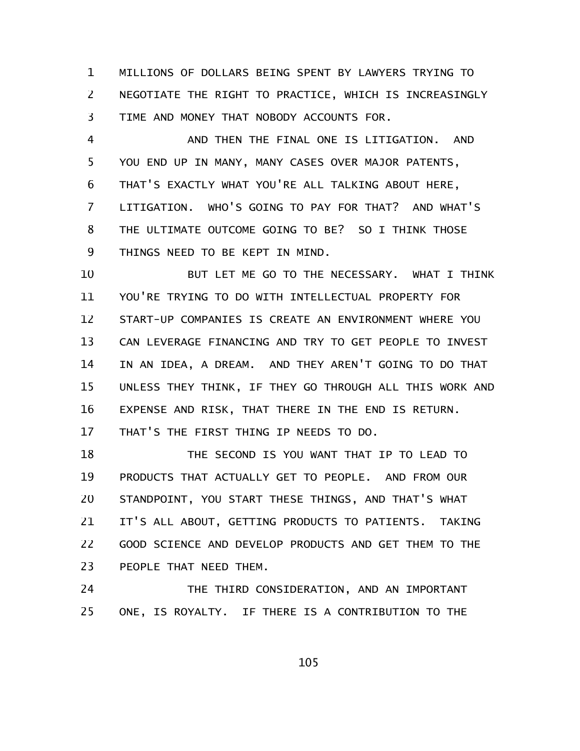MILLIONS OF DOLLARS BEING SPENT BY LAWYERS TRYING TO NEGOTIATE THE RIGHT TO PRACTICE, WHICH IS INCREASINGLY TIME AND MONEY THAT NOBODY ACCOUNTS FOR. 1 2 3

AND THEN THE FINAL ONE IS LITIGATION. AND YOU END UP IN MANY, MANY CASES OVER MAJOR PATENTS, THAT'S EXACTLY WHAT YOU'RE ALL TALKING ABOUT HERE, LITIGATION. WHO'S GOING TO PAY FOR THAT? AND WHAT'S THE ULTIMATE OUTCOME GOING TO BE? SO I THINK THOSE THINGS NEED TO BE KEPT IN MIND. 4 5 6 7 8 9

BUT LET ME GO TO THE NECESSARY. WHAT I THINK YOU'RE TRYING TO DO WITH INTELLECTUAL PROPERTY FOR START-UP COMPANIES IS CREATE AN ENVIRONMENT WHERE YOU CAN LEVERAGE FINANCING AND TRY TO GET PEOPLE TO INVEST IN AN IDEA, A DREAM. AND THEY AREN'T GOING TO DO THAT UNLESS THEY THINK, IF THEY GO THROUGH ALL THIS WORK AND EXPENSE AND RISK, THAT THERE IN THE END IS RETURN. THAT'S THE FIRST THING IP NEEDS TO DO. 10 11 12 13 14 15 16 17

THE SECOND IS YOU WANT THAT IP TO LEAD TO PRODUCTS THAT ACTUALLY GET TO PEOPLE. AND FROM OUR STANDPOINT, YOU START THESE THINGS, AND THAT'S WHAT IT'S ALL ABOUT, GETTING PRODUCTS TO PATIENTS. TAKING GOOD SCIENCE AND DEVELOP PRODUCTS AND GET THEM TO THE PEOPLE THAT NEED THEM. 18 19 20 21 22 23

THE THIRD CONSIDERATION, AND AN IMPORTANT ONE, IS ROYALTY. IF THERE IS A CONTRIBUTION TO THE 24 25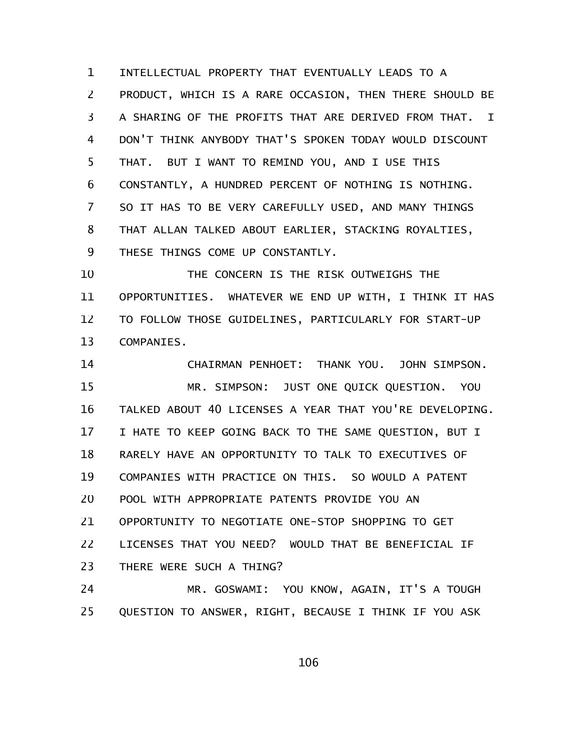INTELLECTUAL PROPERTY THAT EVENTUALLY LEADS TO A PRODUCT, WHICH IS A RARE OCCASION, THEN THERE SHOULD BE A SHARING OF THE PROFITS THAT ARE DERIVED FROM THAT. I DON'T THINK ANYBODY THAT'S SPOKEN TODAY WOULD DISCOUNT THAT. BUT I WANT TO REMIND YOU, AND I USE THIS CONSTANTLY, A HUNDRED PERCENT OF NOTHING IS NOTHING. SO IT HAS TO BE VERY CAREFULLY USED, AND MANY THINGS THAT ALLAN TALKED ABOUT EARLIER, STACKING ROYALTIES, THESE THINGS COME UP CONSTANTLY. 1 2 3 4 5 6 7 8 9

THE CONCERN IS THE RISK OUTWEIGHS THE OPPORTUNITIES. WHATEVER WE END UP WITH, I THINK IT HAS TO FOLLOW THOSE GUIDELINES, PARTICULARLY FOR START-UP COMPANIES. 10 11 12 13

CHAIRMAN PENHOET: THANK YOU. JOHN SIMPSON. MR. SIMPSON: JUST ONE QUICK QUESTION. YOU TALKED ABOUT 40 LICENSES A YEAR THAT YOU'RE DEVELOPING. I HATE TO KEEP GOING BACK TO THE SAME QUESTION, BUT I RARELY HAVE AN OPPORTUNITY TO TALK TO EXECUTIVES OF COMPANIES WITH PRACTICE ON THIS. SO WOULD A PATENT POOL WITH APPROPRIATE PATENTS PROVIDE YOU AN OPPORTUNITY TO NEGOTIATE ONE-STOP SHOPPING TO GET LICENSES THAT YOU NEED? WOULD THAT BE BENEFICIAL IF THERE WERE SUCH A THING? 14 15 16 17 18 19 20 21 22 23

MR. GOSWAMI: YOU KNOW, AGAIN, IT'S A TOUGH QUESTION TO ANSWER, RIGHT, BECAUSE I THINK IF YOU ASK 24 25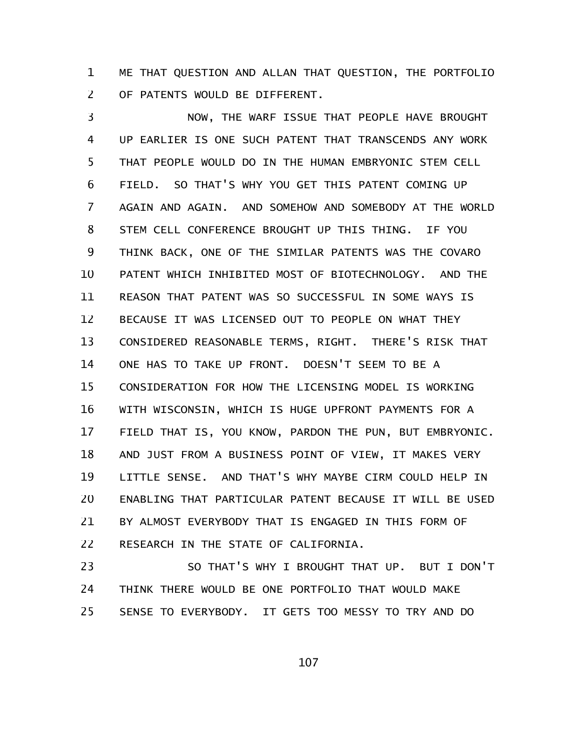ME THAT QUESTION AND ALLAN THAT QUESTION, THE PORTFOLIO OF PATENTS WOULD BE DIFFERENT. 1 2

NOW, THE WARF ISSUE THAT PEOPLE HAVE BROUGHT UP EARLIER IS ONE SUCH PATENT THAT TRANSCENDS ANY WORK THAT PEOPLE WOULD DO IN THE HUMAN EMBRYONIC STEM CELL FIELD. SO THAT'S WHY YOU GET THIS PATENT COMING UP AGAIN AND AGAIN. AND SOMEHOW AND SOMEBODY AT THE WORLD STEM CELL CONFERENCE BROUGHT UP THIS THING. IF YOU THINK BACK, ONE OF THE SIMILAR PATENTS WAS THE COVARO PATENT WHICH INHIBITED MOST OF BIOTECHNOLOGY. AND THE REASON THAT PATENT WAS SO SUCCESSFUL IN SOME WAYS IS BECAUSE IT WAS LICENSED OUT TO PEOPLE ON WHAT THEY CONSIDERED REASONABLE TERMS, RIGHT. THERE'S RISK THAT ONE HAS TO TAKE UP FRONT. DOESN'T SEEM TO BE A CONSIDERATION FOR HOW THE LICENSING MODEL IS WORKING WITH WISCONSIN, WHICH IS HUGE UPFRONT PAYMENTS FOR A FIELD THAT IS, YOU KNOW, PARDON THE PUN, BUT EMBRYONIC. AND JUST FROM A BUSINESS POINT OF VIEW, IT MAKES VERY LITTLE SENSE. AND THAT'S WHY MAYBE CIRM COULD HELP IN ENABLING THAT PARTICULAR PATENT BECAUSE IT WILL BE USED BY ALMOST EVERYBODY THAT IS ENGAGED IN THIS FORM OF RESEARCH IN THE STATE OF CALIFORNIA. 3 4 5 6 7 8 9 10 11 12 13 14 15 16 17 18 19 20 21 22

SO THAT'S WHY I BROUGHT THAT UP. BUT I DON'T THINK THERE WOULD BE ONE PORTFOLIO THAT WOULD MAKE SENSE TO EVERYBODY. IT GETS TOO MESSY TO TRY AND DO 23 24 25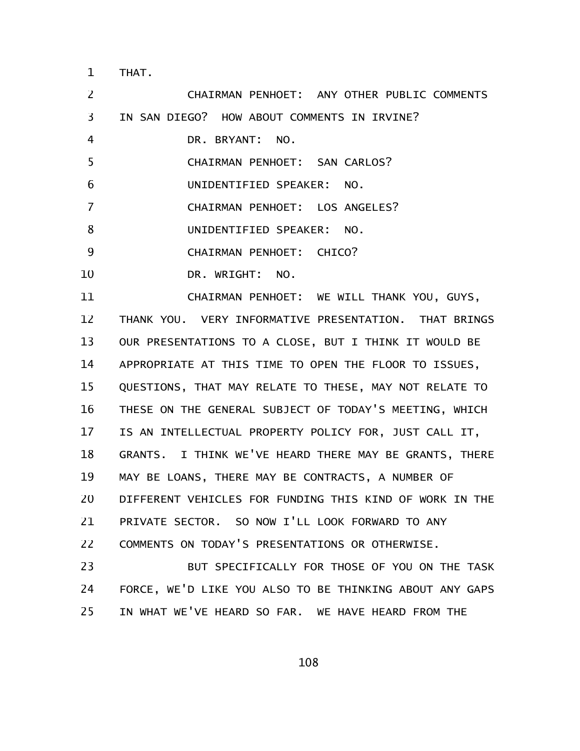THAT. 1

CHAIRMAN PENHOET: ANY OTHER PUBLIC COMMENTS IN SAN DIEGO? HOW ABOUT COMMENTS IN IRVINE? DR. BRYANT: NO. CHAIRMAN PENHOET: SAN CARLOS? UNIDENTIFIED SPEAKER: NO. CHAIRMAN PENHOET: LOS ANGELES? UNIDENTIFIED SPEAKER: NO. CHAIRMAN PENHOET: CHICO? DR. WRIGHT: NO. CHAIRMAN PENHOET: WE WILL THANK YOU, GUYS, THANK YOU. VERY INFORMATIVE PRESENTATION. THAT BRINGS OUR PRESENTATIONS TO A CLOSE, BUT I THINK IT WOULD BE APPROPRIATE AT THIS TIME TO OPEN THE FLOOR TO ISSUES, QUESTIONS, THAT MAY RELATE TO THESE, MAY NOT RELATE TO THESE ON THE GENERAL SUBJECT OF TODAY'S MEETING, WHICH IS AN INTELLECTUAL PROPERTY POLICY FOR, JUST CALL IT, GRANTS. I THINK WE'VE HEARD THERE MAY BE GRANTS, THERE MAY BE LOANS, THERE MAY BE CONTRACTS, A NUMBER OF DIFFERENT VEHICLES FOR FUNDING THIS KIND OF WORK IN THE PRIVATE SECTOR. SO NOW I'LL LOOK FORWARD TO ANY COMMENTS ON TODAY'S PRESENTATIONS OR OTHERWISE. BUT SPECIFICALLY FOR THOSE OF YOU ON THE TASK FORCE, WE'D LIKE YOU ALSO TO BE THINKING ABOUT ANY GAPS IN WHAT WE'VE HEARD SO FAR. WE HAVE HEARD FROM THE 2 3 4 5 6 7 8 9 10 11 12 13 14 15 16 17 18 19 20 21 22 23 24 25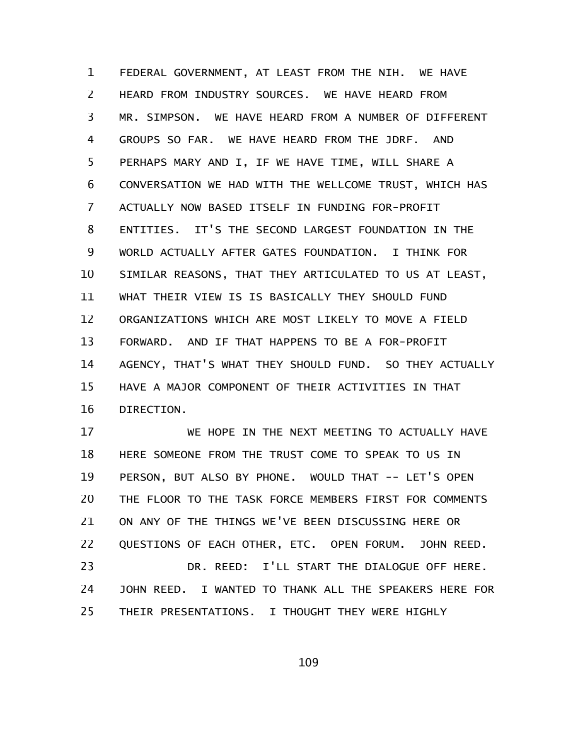FEDERAL GOVERNMENT, AT LEAST FROM THE NIH. WE HAVE HEARD FROM INDUSTRY SOURCES. WE HAVE HEARD FROM MR. SIMPSON. WE HAVE HEARD FROM A NUMBER OF DIFFERENT GROUPS SO FAR. WE HAVE HEARD FROM THE JDRF. AND PERHAPS MARY AND I, IF WE HAVE TIME, WILL SHARE A CONVERSATION WE HAD WITH THE WELLCOME TRUST, WHICH HAS ACTUALLY NOW BASED ITSELF IN FUNDING FOR-PROFIT ENTITIES. IT'S THE SECOND LARGEST FOUNDATION IN THE WORLD ACTUALLY AFTER GATES FOUNDATION. I THINK FOR SIMILAR REASONS, THAT THEY ARTICULATED TO US AT LEAST, WHAT THEIR VIEW IS IS BASICALLY THEY SHOULD FUND ORGANIZATIONS WHICH ARE MOST LIKELY TO MOVE A FIELD FORWARD. AND IF THAT HAPPENS TO BE A FOR-PROFIT AGENCY, THAT'S WHAT THEY SHOULD FUND. SO THEY ACTUALLY HAVE A MAJOR COMPONENT OF THEIR ACTIVITIES IN THAT DIRECTION. 1 2 3 4 5 6 7 8 9 10 11 12 13 14 15 16

WE HOPE IN THE NEXT MEETING TO ACTUALLY HAVE HERE SOMEONE FROM THE TRUST COME TO SPEAK TO US IN PERSON, BUT ALSO BY PHONE. WOULD THAT -- LET'S OPEN THE FLOOR TO THE TASK FORCE MEMBERS FIRST FOR COMMENTS ON ANY OF THE THINGS WE'VE BEEN DISCUSSING HERE OR QUESTIONS OF EACH OTHER, ETC. OPEN FORUM. JOHN REED. DR. REED: I'LL START THE DIALOGUE OFF HERE. JOHN REED. I WANTED TO THANK ALL THE SPEAKERS HERE FOR THEIR PRESENTATIONS. I THOUGHT THEY WERE HIGHLY 17 18 19 20 21 22 23 24 25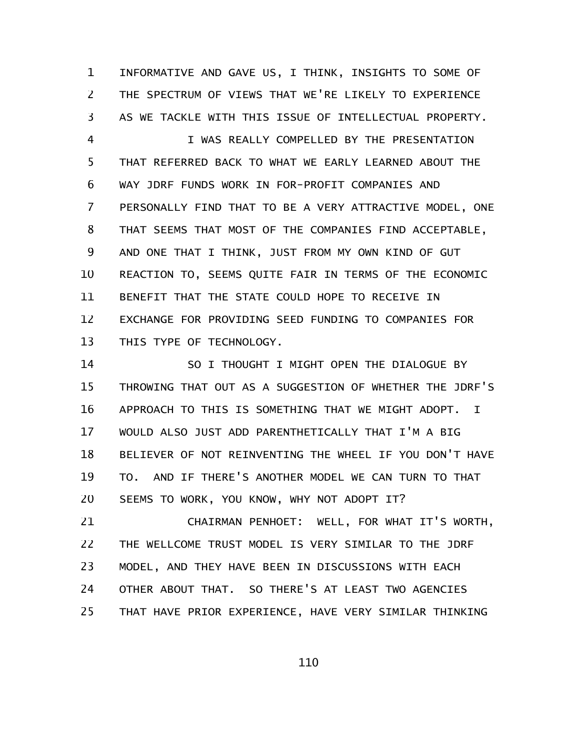INFORMATIVE AND GAVE US, I THINK, INSIGHTS TO SOME OF THE SPECTRUM OF VIEWS THAT WE'RE LIKELY TO EXPERIENCE AS WE TACKLE WITH THIS ISSUE OF INTELLECTUAL PROPERTY. 1 2 3

I WAS REALLY COMPELLED BY THE PRESENTATION THAT REFERRED BACK TO WHAT WE EARLY LEARNED ABOUT THE WAY JDRF FUNDS WORK IN FOR-PROFIT COMPANIES AND PERSONALLY FIND THAT TO BE A VERY ATTRACTIVE MODEL, ONE THAT SEEMS THAT MOST OF THE COMPANIES FIND ACCEPTABLE, AND ONE THAT I THINK, JUST FROM MY OWN KIND OF GUT REACTION TO, SEEMS QUITE FAIR IN TERMS OF THE ECONOMIC BENEFIT THAT THE STATE COULD HOPE TO RECEIVE IN EXCHANGE FOR PROVIDING SEED FUNDING TO COMPANIES FOR THIS TYPE OF TECHNOLOGY. 4 5 6 7 8 9 10 11 12 13

SO I THOUGHT I MIGHT OPEN THE DIALOGUE BY THROWING THAT OUT AS A SUGGESTION OF WHETHER THE JDRF'S APPROACH TO THIS IS SOMETHING THAT WE MIGHT ADOPT. I WOULD ALSO JUST ADD PARENTHETICALLY THAT I'M A BIG BELIEVER OF NOT REINVENTING THE WHEEL IF YOU DON'T HAVE TO. AND IF THERE'S ANOTHER MODEL WE CAN TURN TO THAT SEEMS TO WORK, YOU KNOW, WHY NOT ADOPT IT? 14 15 16 17 18 19 20

CHAIRMAN PENHOET: WELL, FOR WHAT IT'S WORTH, THE WELLCOME TRUST MODEL IS VERY SIMILAR TO THE JDRF MODEL, AND THEY HAVE BEEN IN DISCUSSIONS WITH EACH OTHER ABOUT THAT. SO THERE'S AT LEAST TWO AGENCIES THAT HAVE PRIOR EXPERIENCE, HAVE VERY SIMILAR THINKING 21 22 23 24 25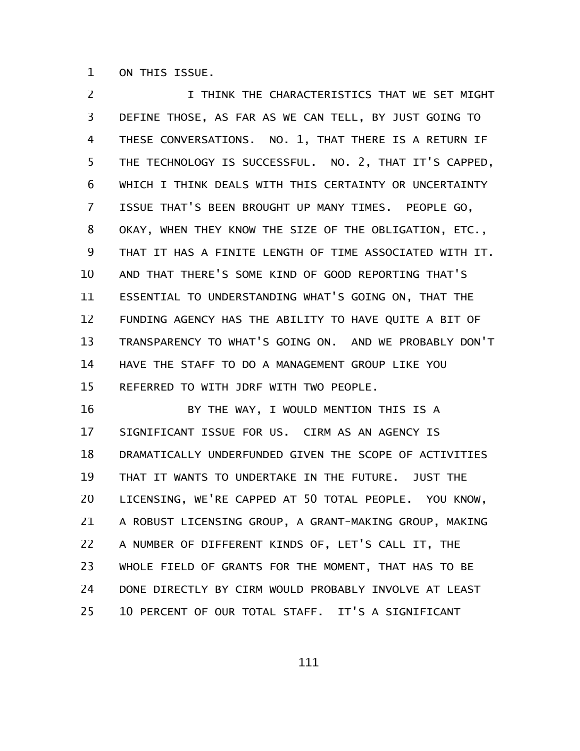ON THIS ISSUE. 1

I THINK THE CHARACTERISTICS THAT WE SET MIGHT DEFINE THOSE, AS FAR AS WE CAN TELL, BY JUST GOING TO THESE CONVERSATIONS. NO. 1, THAT THERE IS A RETURN IF THE TECHNOLOGY IS SUCCESSFUL. NO. 2, THAT IT'S CAPPED, WHICH I THINK DEALS WITH THIS CERTAINTY OR UNCERTAINTY ISSUE THAT'S BEEN BROUGHT UP MANY TIMES. PEOPLE GO, OKAY, WHEN THEY KNOW THE SIZE OF THE OBLIGATION, ETC., THAT IT HAS A FINITE LENGTH OF TIME ASSOCIATED WITH IT. AND THAT THERE'S SOME KIND OF GOOD REPORTING THAT'S ESSENTIAL TO UNDERSTANDING WHAT'S GOING ON, THAT THE FUNDING AGENCY HAS THE ABILITY TO HAVE QUITE A BIT OF TRANSPARENCY TO WHAT'S GOING ON. AND WE PROBABLY DON'T HAVE THE STAFF TO DO A MANAGEMENT GROUP LIKE YOU REFERRED TO WITH JDRF WITH TWO PEOPLE. 2 3 4 5 6 7 8 9 10 11 12 13 14 15

BY THE WAY, I WOULD MENTION THIS IS A SIGNIFICANT ISSUE FOR US. CIRM AS AN AGENCY IS DRAMATICALLY UNDERFUNDED GIVEN THE SCOPE OF ACTIVITIES THAT IT WANTS TO UNDERTAKE IN THE FUTURE. JUST THE LICENSING, WE'RE CAPPED AT 50 TOTAL PEOPLE. YOU KNOW, A ROBUST LICENSING GROUP, A GRANT-MAKING GROUP, MAKING A NUMBER OF DIFFERENT KINDS OF, LET'S CALL IT, THE WHOLE FIELD OF GRANTS FOR THE MOMENT, THAT HAS TO BE DONE DIRECTLY BY CIRM WOULD PROBABLY INVOLVE AT LEAST 10 PERCENT OF OUR TOTAL STAFF. IT'S A SIGNIFICANT 16 17 18 19 20 21 22 23 24 25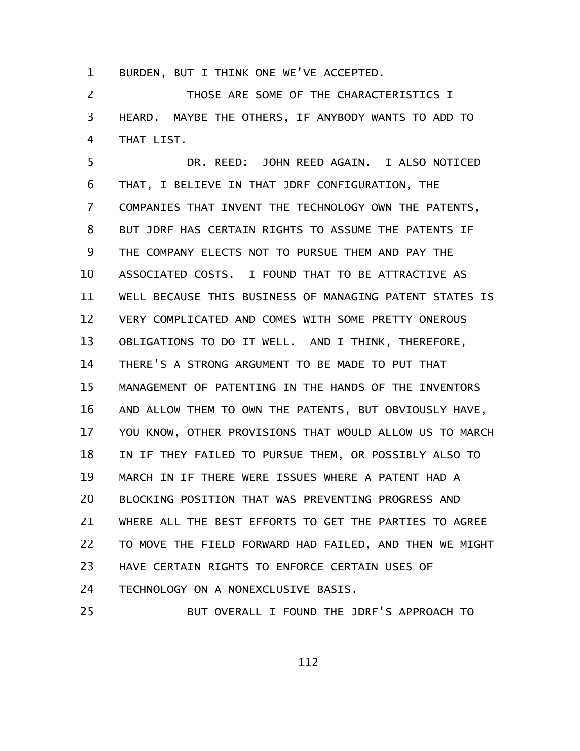BURDEN, BUT I THINK ONE WE'VE ACCEPTED. 1

THOSE ARE SOME OF THE CHARACTERISTICS I HEARD. MAYBE THE OTHERS, IF ANYBODY WANTS TO ADD TO THAT LIST. 2 3 4

DR. REED: JOHN REED AGAIN. I ALSO NOTICED THAT, I BELIEVE IN THAT JDRF CONFIGURATION, THE COMPANIES THAT INVENT THE TECHNOLOGY OWN THE PATENTS, BUT JDRF HAS CERTAIN RIGHTS TO ASSUME THE PATENTS IF THE COMPANY ELECTS NOT TO PURSUE THEM AND PAY THE ASSOCIATED COSTS. I FOUND THAT TO BE ATTRACTIVE AS WELL BECAUSE THIS BUSINESS OF MANAGING PATENT STATES IS VERY COMPLICATED AND COMES WITH SOME PRETTY ONEROUS OBLIGATIONS TO DO IT WELL. AND I THINK, THEREFORE, THERE'S A STRONG ARGUMENT TO BE MADE TO PUT THAT MANAGEMENT OF PATENTING IN THE HANDS OF THE INVENTORS AND ALLOW THEM TO OWN THE PATENTS, BUT OBVIOUSLY HAVE, YOU KNOW, OTHER PROVISIONS THAT WOULD ALLOW US TO MARCH IN IF THEY FAILED TO PURSUE THEM, OR POSSIBLY ALSO TO MARCH IN IF THERE WERE ISSUES WHERE A PATENT HAD A BLOCKING POSITION THAT WAS PREVENTING PROGRESS AND WHERE ALL THE BEST EFFORTS TO GET THE PARTIES TO AGREE TO MOVE THE FIELD FORWARD HAD FAILED, AND THEN WE MIGHT HAVE CERTAIN RIGHTS TO ENFORCE CERTAIN USES OF TECHNOLOGY ON A NONEXCLUSIVE BASIS. BUT OVERALL I FOUND THE JDRF'S APPROACH TO 5 6 7 8 9 10 11 12 13 14 15 16 17 18 19 20 21 22 23 24 25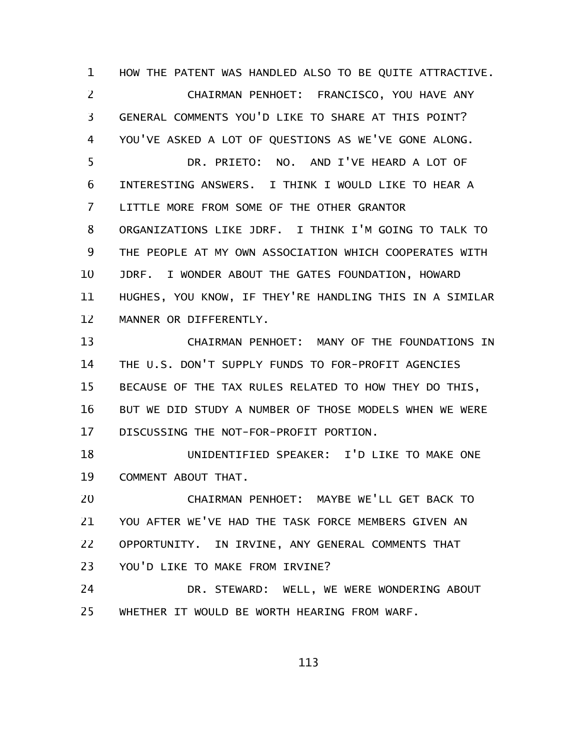HOW THE PATENT WAS HANDLED ALSO TO BE QUITE ATTRACTIVE. CHAIRMAN PENHOET: FRANCISCO, YOU HAVE ANY GENERAL COMMENTS YOU'D LIKE TO SHARE AT THIS POINT? YOU'VE ASKED A LOT OF QUESTIONS AS WE'VE GONE ALONG. DR. PRIETO: NO. AND I'VE HEARD A LOT OF INTERESTING ANSWERS. I THINK I WOULD LIKE TO HEAR A LITTLE MORE FROM SOME OF THE OTHER GRANTOR ORGANIZATIONS LIKE JDRF. I THINK I'M GOING TO TALK TO THE PEOPLE AT MY OWN ASSOCIATION WHICH COOPERATES WITH JDRF. I WONDER ABOUT THE GATES FOUNDATION, HOWARD HUGHES, YOU KNOW, IF THEY'RE HANDLING THIS IN A SIMILAR MANNER OR DIFFERENTLY. 1 2 3 4 5 6 7 8 9 10 11 12

CHAIRMAN PENHOET: MANY OF THE FOUNDATIONS IN THE U.S. DON'T SUPPLY FUNDS TO FOR-PROFIT AGENCIES BECAUSE OF THE TAX RULES RELATED TO HOW THEY DO THIS, BUT WE DID STUDY A NUMBER OF THOSE MODELS WHEN WE WERE DISCUSSING THE NOT-FOR-PROFIT PORTION. 13 14 15 16 17

UNIDENTIFIED SPEAKER: I'D LIKE TO MAKE ONE COMMENT ABOUT THAT. 18 19

CHAIRMAN PENHOET: MAYBE WE'LL GET BACK TO YOU AFTER WE'VE HAD THE TASK FORCE MEMBERS GIVEN AN OPPORTUNITY. IN IRVINE, ANY GENERAL COMMENTS THAT YOU'D LIKE TO MAKE FROM IRVINE? 20 21 22 23

DR. STEWARD: WELL, WE WERE WONDERING ABOUT WHETHER IT WOULD BE WORTH HEARING FROM WARF. 24 25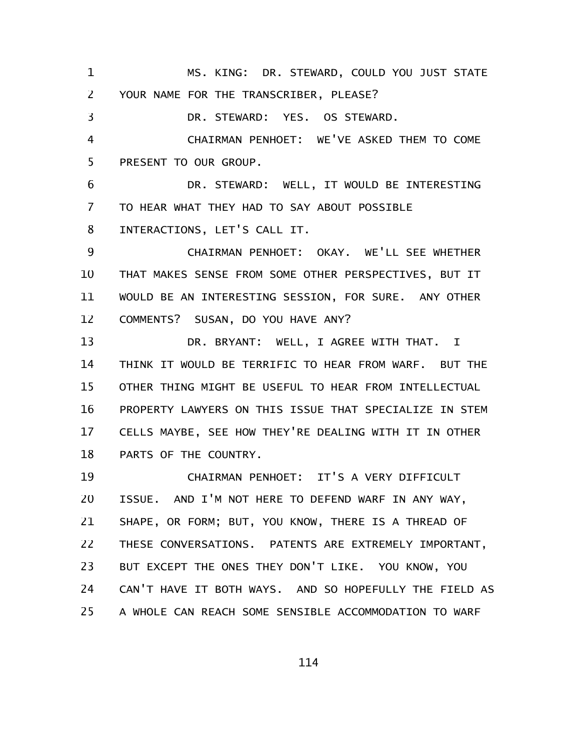MS. KING: DR. STEWARD, COULD YOU JUST STATE YOUR NAME FOR THE TRANSCRIBER, PLEASE? DR. STEWARD: YES. OS STEWARD. CHAIRMAN PENHOET: WE'VE ASKED THEM TO COME PRESENT TO OUR GROUP. 1 2 3 4 5

DR. STEWARD: WELL, IT WOULD BE INTERESTING TO HEAR WHAT THEY HAD TO SAY ABOUT POSSIBLE INTERACTIONS, LET'S CALL IT. 6 7 8

CHAIRMAN PENHOET: OKAY. WE'LL SEE WHETHER THAT MAKES SENSE FROM SOME OTHER PERSPECTIVES, BUT IT WOULD BE AN INTERESTING SESSION, FOR SURE. ANY OTHER COMMENTS? SUSAN, DO YOU HAVE ANY? 9 10 11 12

DR. BRYANT: WELL, I AGREE WITH THAT. I THINK IT WOULD BE TERRIFIC TO HEAR FROM WARF. BUT THE OTHER THING MIGHT BE USEFUL TO HEAR FROM INTELLECTUAL PROPERTY LAWYERS ON THIS ISSUE THAT SPECIALIZE IN STEM CELLS MAYBE, SEE HOW THEY'RE DEALING WITH IT IN OTHER PARTS OF THE COUNTRY. 13 14 15 16 17 18

CHAIRMAN PENHOET: IT'S A VERY DIFFICULT ISSUE. AND I'M NOT HERE TO DEFEND WARF IN ANY WAY, SHAPE, OR FORM; BUT, YOU KNOW, THERE IS A THREAD OF THESE CONVERSATIONS. PATENTS ARE EXTREMELY IMPORTANT, BUT EXCEPT THE ONES THEY DON'T LIKE. YOU KNOW, YOU CAN'T HAVE IT BOTH WAYS. AND SO HOPEFULLY THE FIELD AS A WHOLE CAN REACH SOME SENSIBLE ACCOMMODATION TO WARF 19 20 21 22 23 24 25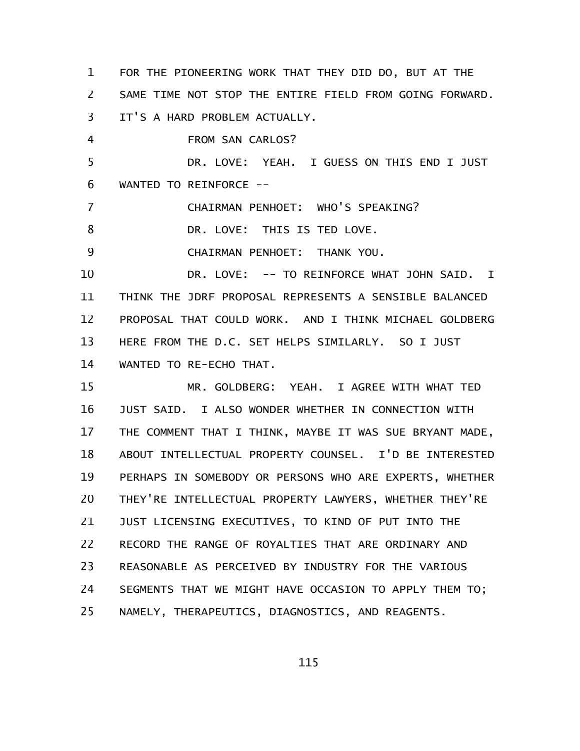FOR THE PIONEERING WORK THAT THEY DID DO, BUT AT THE SAME TIME NOT STOP THE ENTIRE FIELD FROM GOING FORWARD. IT'S A HARD PROBLEM ACTUALLY. FROM SAN CARLOS? DR. LOVE: YEAH. I GUESS ON THIS END I JUST WANTED TO REINFORCE --CHAIRMAN PENHOET: WHO'S SPEAKING? DR. LOVE: THIS IS TED LOVE. CHAIRMAN PENHOET: THANK YOU. DR. LOVE: -- TO REINFORCE WHAT JOHN SAID. I THINK THE JDRF PROPOSAL REPRESENTS A SENSIBLE BALANCED PROPOSAL THAT COULD WORK. AND I THINK MICHAEL GOLDBERG HERE FROM THE D.C. SET HELPS SIMILARLY. SO I JUST WANTED TO RE-ECHO THAT. MR. GOLDBERG: YEAH. I AGREE WITH WHAT TED JUST SAID. I ALSO WONDER WHETHER IN CONNECTION WITH THE COMMENT THAT I THINK, MAYBE IT WAS SUE BRYANT MADE, ABOUT INTELLECTUAL PROPERTY COUNSEL. I'D BE INTERESTED PERHAPS IN SOMEBODY OR PERSONS WHO ARE EXPERTS, WHETHER THEY'RE INTELLECTUAL PROPERTY LAWYERS, WHETHER THEY'RE JUST LICENSING EXECUTIVES, TO KIND OF PUT INTO THE RECORD THE RANGE OF ROYALTIES THAT ARE ORDINARY AND REASONABLE AS PERCEIVED BY INDUSTRY FOR THE VARIOUS SEGMENTS THAT WE MIGHT HAVE OCCASION TO APPLY THEM TO; NAMELY, THERAPEUTICS, DIAGNOSTICS, AND REAGENTS. 1 2 3 4 5 6 7 8 9 10 11 12 13 14 15 16 17 18 19 20 21 22 23 24 25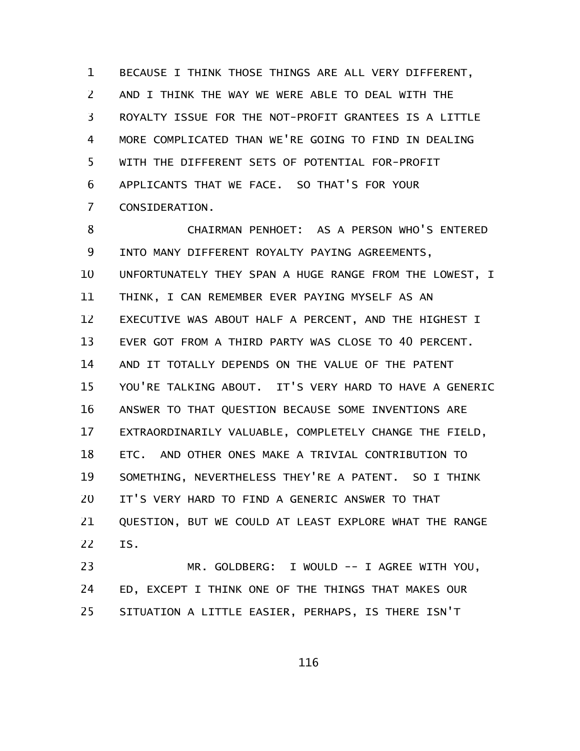BECAUSE I THINK THOSE THINGS ARE ALL VERY DIFFERENT, AND I THINK THE WAY WE WERE ABLE TO DEAL WITH THE ROYALTY ISSUE FOR THE NOT-PROFIT GRANTEES IS A LITTLE MORE COMPLICATED THAN WE'RE GOING TO FIND IN DEALING WITH THE DIFFERENT SETS OF POTENTIAL FOR-PROFIT APPLICANTS THAT WE FACE. SO THAT'S FOR YOUR CONSIDERATION. 1 2 3 4 5 6 7

CHAIRMAN PENHOET: AS A PERSON WHO'S ENTERED INTO MANY DIFFERENT ROYALTY PAYING AGREEMENTS, UNFORTUNATELY THEY SPAN A HUGE RANGE FROM THE LOWEST, I THINK, I CAN REMEMBER EVER PAYING MYSELF AS AN EXECUTIVE WAS ABOUT HALF A PERCENT, AND THE HIGHEST I EVER GOT FROM A THIRD PARTY WAS CLOSE TO 40 PERCENT. AND IT TOTALLY DEPENDS ON THE VALUE OF THE PATENT YOU'RE TALKING ABOUT. IT'S VERY HARD TO HAVE A GENERIC ANSWER TO THAT QUESTION BECAUSE SOME INVENTIONS ARE EXTRAORDINARILY VALUABLE, COMPLETELY CHANGE THE FIELD, ETC. AND OTHER ONES MAKE A TRIVIAL CONTRIBUTION TO SOMETHING, NEVERTHELESS THEY'RE A PATENT. SO I THINK IT'S VERY HARD TO FIND A GENERIC ANSWER TO THAT QUESTION, BUT WE COULD AT LEAST EXPLORE WHAT THE RANGE IS. 8 9 10 11 12 13 14 15 16 17 18 19 20 21 22

MR. GOLDBERG: I WOULD -- I AGREE WITH YOU, ED, EXCEPT I THINK ONE OF THE THINGS THAT MAKES OUR SITUATION A LITTLE EASIER, PERHAPS, IS THERE ISN'T 23 24 25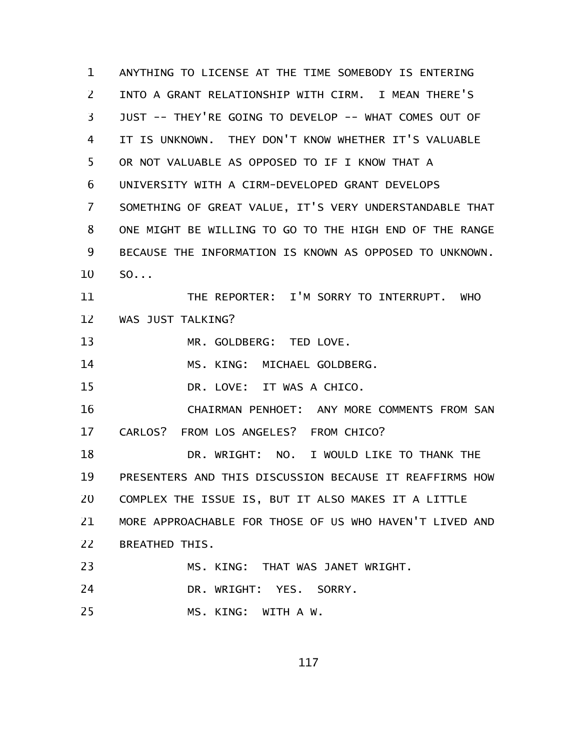ANYTHING TO LICENSE AT THE TIME SOMEBODY IS ENTERING INTO A GRANT RELATIONSHIP WITH CIRM. I MEAN THERE'S JUST -- THEY'RE GOING TO DEVELOP -- WHAT COMES OUT OF IT IS UNKNOWN. THEY DON'T KNOW WHETHER IT'S VALUABLE OR NOT VALUABLE AS OPPOSED TO IF I KNOW THAT A UNIVERSITY WITH A CIRM-DEVELOPED GRANT DEVELOPS SOMETHING OF GREAT VALUE, IT'S VERY UNDERSTANDABLE THAT ONE MIGHT BE WILLING TO GO TO THE HIGH END OF THE RANGE BECAUSE THE INFORMATION IS KNOWN AS OPPOSED TO UNKNOWN. SO... THE REPORTER: I'M SORRY TO INTERRUPT. WHO WAS JUST TALKING? MR. GOLDBERG: TED LOVE. MS. KING: MICHAEL GOLDBERG. DR. LOVE: IT WAS A CHICO. CHAIRMAN PENHOET: ANY MORE COMMENTS FROM SAN CARLOS? FROM LOS ANGELES? FROM CHICO? DR. WRIGHT: NO. I WOULD LIKE TO THANK THE PRESENTERS AND THIS DISCUSSION BECAUSE IT REAFFIRMS HOW COMPLEX THE ISSUE IS, BUT IT ALSO MAKES IT A LITTLE MORE APPROACHABLE FOR THOSE OF US WHO HAVEN'T LIVED AND BREATHED THIS. MS. KING: THAT WAS JANET WRIGHT. DR. WRIGHT: YES. SORRY. MS. KING: WITH A W. 1 2 3 4 5 6 7 8 9 10 11 12 13 14 15 16 17 18 19 20 21 22 23 24 25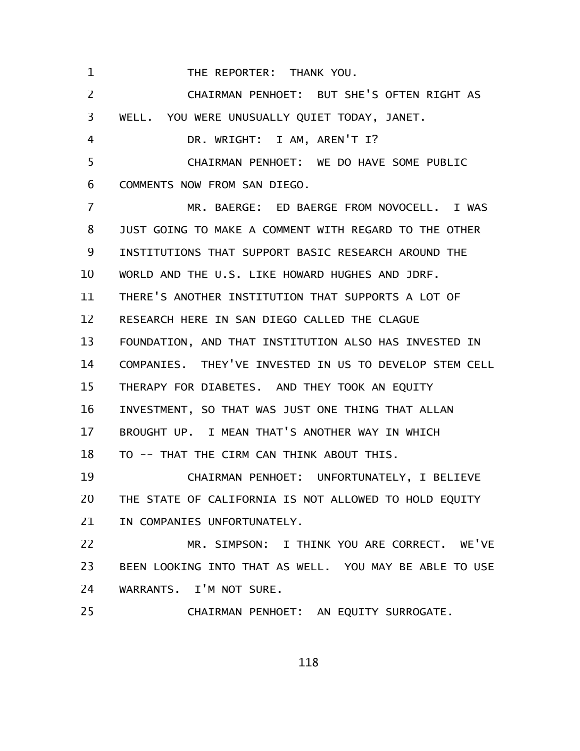THE REPORTER: THANK YOU. 1

CHAIRMAN PENHOET: BUT SHE'S OFTEN RIGHT AS WELL. YOU WERE UNUSUALLY QUIET TODAY, JANET. DR. WRIGHT: I AM, AREN'T I? CHAIRMAN PENHOET: WE DO HAVE SOME PUBLIC COMMENTS NOW FROM SAN DIEGO. MR. BAERGE: ED BAERGE FROM NOVOCELL. I WAS JUST GOING TO MAKE A COMMENT WITH REGARD TO THE OTHER INSTITUTIONS THAT SUPPORT BASIC RESEARCH AROUND THE WORLD AND THE U.S. LIKE HOWARD HUGHES AND JDRF. THERE'S ANOTHER INSTITUTION THAT SUPPORTS A LOT OF RESEARCH HERE IN SAN DIEGO CALLED THE CLAGUE FOUNDATION, AND THAT INSTITUTION ALSO HAS INVESTED IN COMPANIES. THEY'VE INVESTED IN US TO DEVELOP STEM CELL THERAPY FOR DIABETES. AND THEY TOOK AN EQUITY INVESTMENT, SO THAT WAS JUST ONE THING THAT ALLAN BROUGHT UP. I MEAN THAT'S ANOTHER WAY IN WHICH TO -- THAT THE CIRM CAN THINK ABOUT THIS. CHAIRMAN PENHOET: UNFORTUNATELY, I BELIEVE THE STATE OF CALIFORNIA IS NOT ALLOWED TO HOLD EQUITY IN COMPANIES UNFORTUNATELY. MR. SIMPSON: I THINK YOU ARE CORRECT. WE'VE BEEN LOOKING INTO THAT AS WELL. YOU MAY BE ABLE TO USE WARRANTS. I'M NOT SURE. CHAIRMAN PENHOET: AN EQUITY SURROGATE. 2 3 4 5 6 7 8 9 10 11 12 13 14 15 16 17 18 19 20 21 22 23 24 25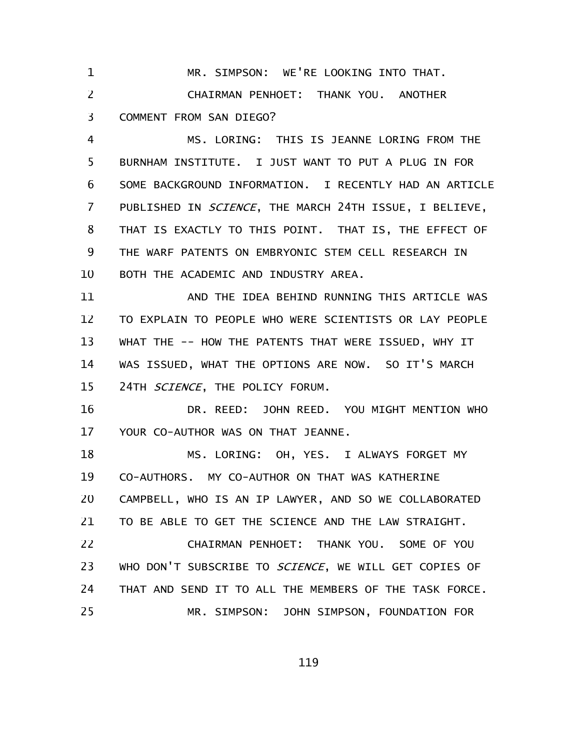MR. SIMPSON: WE'RE LOOKING INTO THAT. CHAIRMAN PENHOET: THANK YOU. ANOTHER COMMENT FROM SAN DIEGO? 1 2 3

MS. LORING: THIS IS JEANNE LORING FROM THE BURNHAM INSTITUTE. I JUST WANT TO PUT A PLUG IN FOR SOME BACKGROUND INFORMATION. I RECENTLY HAD AN ARTICLE PUBLISHED IN SCIENCE, THE MARCH 24TH ISSUE, I BELIEVE, THAT IS EXACTLY TO THIS POINT. THAT IS, THE EFFECT OF THE WARF PATENTS ON EMBRYONIC STEM CELL RESEARCH IN BOTH THE ACADEMIC AND INDUSTRY AREA. 4 5 6 7 8 9 10

AND THE IDEA BEHIND RUNNING THIS ARTICLE WAS TO EXPLAIN TO PEOPLE WHO WERE SCIENTISTS OR LAY PEOPLE WHAT THE -- HOW THE PATENTS THAT WERE ISSUED, WHY IT WAS ISSUED, WHAT THE OPTIONS ARE NOW. SO IT'S MARCH 24TH SCIENCE, THE POLICY FORUM. 11 12 13 14 15

DR. REED: JOHN REED. YOU MIGHT MENTION WHO YOUR CO-AUTHOR WAS ON THAT JEANNE. 16 17

MS. LORING: OH, YES. I ALWAYS FORGET MY CO-AUTHORS. MY CO-AUTHOR ON THAT WAS KATHERINE CAMPBELL, WHO IS AN IP LAWYER, AND SO WE COLLABORATED TO BE ABLE TO GET THE SCIENCE AND THE LAW STRAIGHT. 18 19 20 21

CHAIRMAN PENHOET: THANK YOU. SOME OF YOU WHO DON'T SUBSCRIBE TO SCIENCE, WE WILL GET COPIES OF THAT AND SEND IT TO ALL THE MEMBERS OF THE TASK FORCE. MR. SIMPSON: JOHN SIMPSON, FOUNDATION FOR 22 23 24 25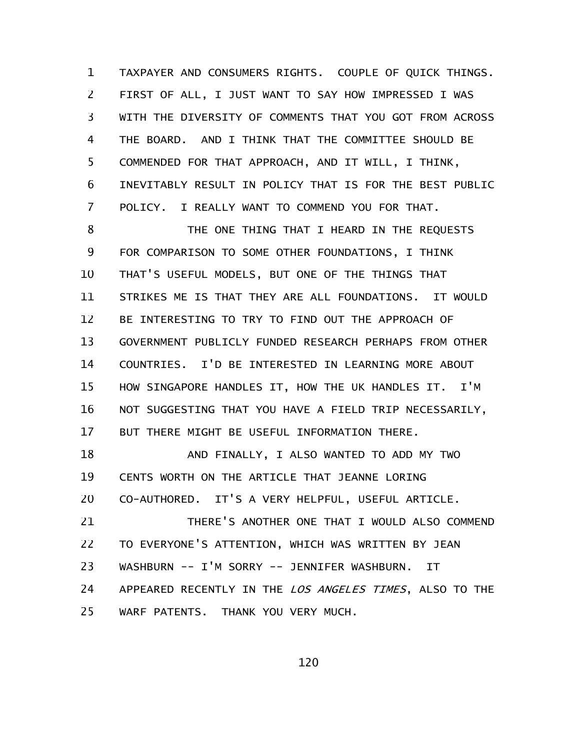TAXPAYER AND CONSUMERS RIGHTS. COUPLE OF QUICK THINGS. FIRST OF ALL, I JUST WANT TO SAY HOW IMPRESSED I WAS WITH THE DIVERSITY OF COMMENTS THAT YOU GOT FROM ACROSS THE BOARD. AND I THINK THAT THE COMMITTEE SHOULD BE COMMENDED FOR THAT APPROACH, AND IT WILL, I THINK, INEVITABLY RESULT IN POLICY THAT IS FOR THE BEST PUBLIC POLICY. I REALLY WANT TO COMMEND YOU FOR THAT. 1 2 3 4 5 6 7

THE ONE THING THAT I HEARD IN THE REQUESTS FOR COMPARISON TO SOME OTHER FOUNDATIONS, I THINK THAT'S USEFUL MODELS, BUT ONE OF THE THINGS THAT STRIKES ME IS THAT THEY ARE ALL FOUNDATIONS. IT WOULD BE INTERESTING TO TRY TO FIND OUT THE APPROACH OF GOVERNMENT PUBLICLY FUNDED RESEARCH PERHAPS FROM OTHER COUNTRIES. I'D BE INTERESTED IN LEARNING MORE ABOUT HOW SINGAPORE HANDLES IT, HOW THE UK HANDLES IT. I'M NOT SUGGESTING THAT YOU HAVE A FIELD TRIP NECESSARILY, BUT THERE MIGHT BE USEFUL INFORMATION THERE. 8 9 10 11 12 13 14 15 16 17

AND FINALLY, I ALSO WANTED TO ADD MY TWO CENTS WORTH ON THE ARTICLE THAT JEANNE LORING CO-AUTHORED. IT'S A VERY HELPFUL, USEFUL ARTICLE. THERE'S ANOTHER ONE THAT I WOULD ALSO COMMEND TO EVERYONE'S ATTENTION, WHICH WAS WRITTEN BY JEAN WASHBURN -- I'M SORRY -- JENNIFER WASHBURN. IT 18 19 20 21 22 23

APPEARED RECENTLY IN THE LOS ANGELES TIMES, ALSO TO THE WARF PATENTS. THANK YOU VERY MUCH. 24 25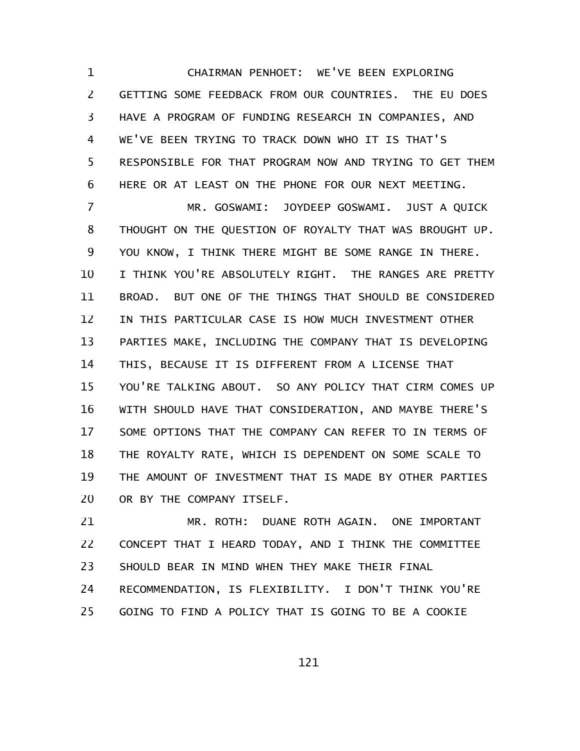CHAIRMAN PENHOET: WE'VE BEEN EXPLORING GETTING SOME FEEDBACK FROM OUR COUNTRIES. THE EU DOES HAVE A PROGRAM OF FUNDING RESEARCH IN COMPANIES, AND WE'VE BEEN TRYING TO TRACK DOWN WHO IT IS THAT'S RESPONSIBLE FOR THAT PROGRAM NOW AND TRYING TO GET THEM HERE OR AT LEAST ON THE PHONE FOR OUR NEXT MEETING. 1 2 3 4 5 6

MR. GOSWAMI: JOYDEEP GOSWAMI. JUST A QUICK THOUGHT ON THE QUESTION OF ROYALTY THAT WAS BROUGHT UP. YOU KNOW, I THINK THERE MIGHT BE SOME RANGE IN THERE. I THINK YOU'RE ABSOLUTELY RIGHT. THE RANGES ARE PRETTY BROAD. BUT ONE OF THE THINGS THAT SHOULD BE CONSIDERED IN THIS PARTICULAR CASE IS HOW MUCH INVESTMENT OTHER PARTIES MAKE, INCLUDING THE COMPANY THAT IS DEVELOPING THIS, BECAUSE IT IS DIFFERENT FROM A LICENSE THAT YOU'RE TALKING ABOUT. SO ANY POLICY THAT CIRM COMES UP WITH SHOULD HAVE THAT CONSIDERATION, AND MAYBE THERE'S SOME OPTIONS THAT THE COMPANY CAN REFER TO IN TERMS OF THE ROYALTY RATE, WHICH IS DEPENDENT ON SOME SCALE TO THE AMOUNT OF INVESTMENT THAT IS MADE BY OTHER PARTIES OR BY THE COMPANY ITSELF. 7 8 9 10 11 12 13 14 15 16 17 18 19 20

MR. ROTH: DUANE ROTH AGAIN. ONE IMPORTANT CONCEPT THAT I HEARD TODAY, AND I THINK THE COMMITTEE SHOULD BEAR IN MIND WHEN THEY MAKE THEIR FINAL RECOMMENDATION, IS FLEXIBILITY. I DON'T THINK YOU'RE GOING TO FIND A POLICY THAT IS GOING TO BE A COOKIE 21 22 23 24 25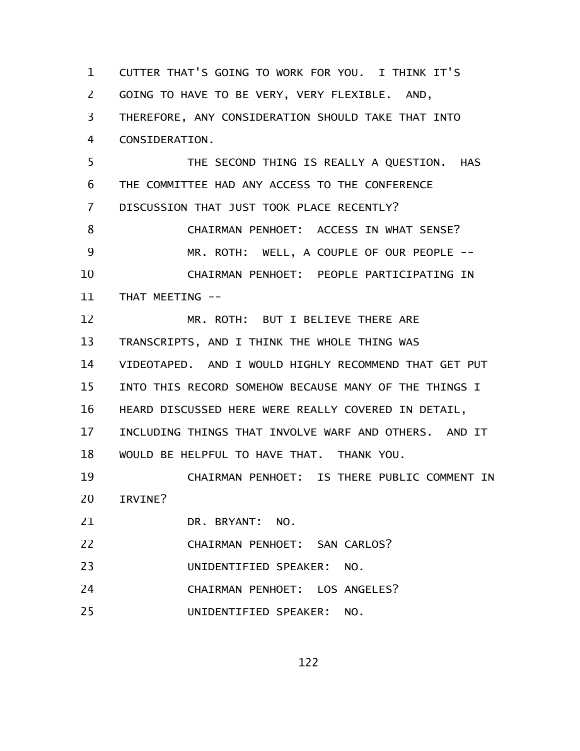CUTTER THAT'S GOING TO WORK FOR YOU. I THINK IT'S GOING TO HAVE TO BE VERY, VERY FLEXIBLE. AND, THEREFORE, ANY CONSIDERATION SHOULD TAKE THAT INTO CONSIDERATION. THE SECOND THING IS REALLY A QUESTION. HAS THE COMMITTEE HAD ANY ACCESS TO THE CONFERENCE DISCUSSION THAT JUST TOOK PLACE RECENTLY? CHAIRMAN PENHOET: ACCESS IN WHAT SENSE? MR. ROTH: WELL, A COUPLE OF OUR PEOPLE -- CHAIRMAN PENHOET: PEOPLE PARTICIPATING IN THAT MEETING -- MR. ROTH: BUT I BELIEVE THERE ARE TRANSCRIPTS, AND I THINK THE WHOLE THING WAS VIDEOTAPED. AND I WOULD HIGHLY RECOMMEND THAT GET PUT INTO THIS RECORD SOMEHOW BECAUSE MANY OF THE THINGS I HEARD DISCUSSED HERE WERE REALLY COVERED IN DETAIL, INCLUDING THINGS THAT INVOLVE WARF AND OTHERS. AND IT WOULD BE HELPFUL TO HAVE THAT. THANK YOU. CHAIRMAN PENHOET: IS THERE PUBLIC COMMENT IN IRVINE? DR. BRYANT: NO. CHAIRMAN PENHOET: SAN CARLOS? UNIDENTIFIED SPEAKER: NO. CHAIRMAN PENHOET: LOS ANGELES? UNIDENTIFIED SPEAKER: NO. 1 2 3 4 5 6 7 8 9 10 11 12 13 14 15 16 17 18 19 20 21 22 23 24 25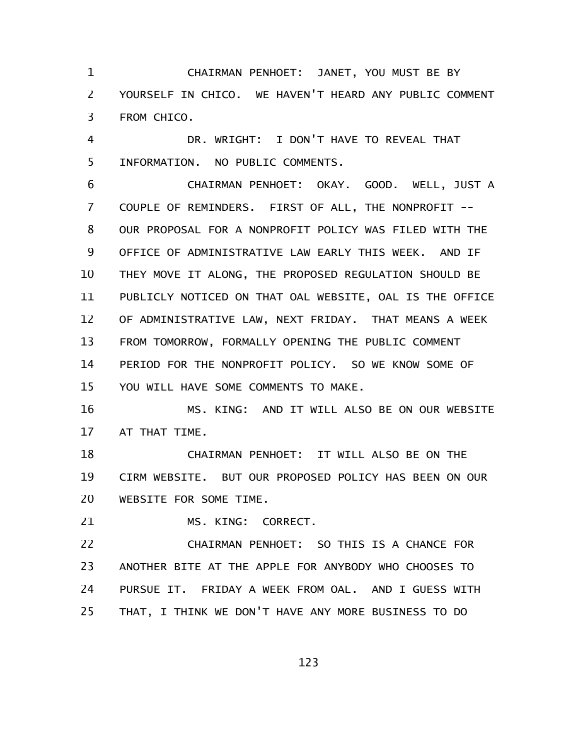CHAIRMAN PENHOET: JANET, YOU MUST BE BY YOURSELF IN CHICO. WE HAVEN'T HEARD ANY PUBLIC COMMENT FROM CHICO. 1 2 3

DR. WRIGHT: I DON'T HAVE TO REVEAL THAT INFORMATION. NO PUBLIC COMMENTS. 4 5

CHAIRMAN PENHOET: OKAY. GOOD. WELL, JUST A COUPLE OF REMINDERS. FIRST OF ALL, THE NONPROFIT -- OUR PROPOSAL FOR A NONPROFIT POLICY WAS FILED WITH THE OFFICE OF ADMINISTRATIVE LAW EARLY THIS WEEK. AND IF THEY MOVE IT ALONG, THE PROPOSED REGULATION SHOULD BE PUBLICLY NOTICED ON THAT OAL WEBSITE, OAL IS THE OFFICE OF ADMINISTRATIVE LAW, NEXT FRIDAY. THAT MEANS A WEEK FROM TOMORROW, FORMALLY OPENING THE PUBLIC COMMENT PERIOD FOR THE NONPROFIT POLICY. SO WE KNOW SOME OF YOU WILL HAVE SOME COMMENTS TO MAKE. 6 7 8 9 10 11 12 13 14 15

MS. KING: AND IT WILL ALSO BE ON OUR WEBSITE AT THAT TIME. 16 17

CHAIRMAN PENHOET: IT WILL ALSO BE ON THE CIRM WEBSITE. BUT OUR PROPOSED POLICY HAS BEEN ON OUR WEBSITE FOR SOME TIME. 18 19 20

MS. KING: CORRECT. 21

CHAIRMAN PENHOET: SO THIS IS A CHANCE FOR ANOTHER BITE AT THE APPLE FOR ANYBODY WHO CHOOSES TO PURSUE IT. FRIDAY A WEEK FROM OAL. AND I GUESS WITH THAT, I THINK WE DON'T HAVE ANY MORE BUSINESS TO DO 22 23 24 25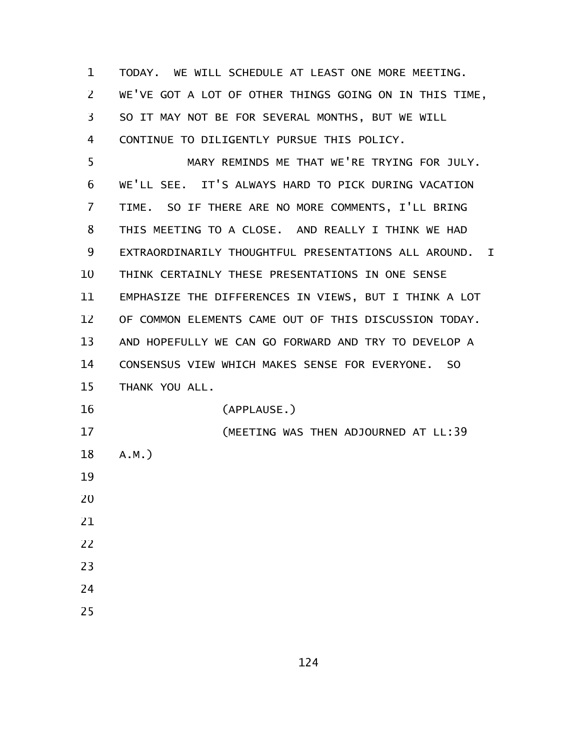| $\mathbf 1$ | TODAY. WE WILL SCHEDULE AT LEAST ONE MORE MEETING.                   |
|-------------|----------------------------------------------------------------------|
| 2           | WE'VE GOT A LOT OF OTHER THINGS GOING ON IN THIS TIME,               |
| 3           | SO IT MAY NOT BE FOR SEVERAL MONTHS, BUT WE WILL                     |
| 4           | CONTINUE TO DILIGENTLY PURSUE THIS POLICY.                           |
| 5           | MARY REMINDS ME THAT WE'RE TRYING FOR JULY.                          |
| 6           | WE'LL SEE. IT'S ALWAYS HARD TO PICK DURING VACATION                  |
| 7           | TIME. SO IF THERE ARE NO MORE COMMENTS, I'LL BRING                   |
| 8           | THIS MEETING TO A CLOSE. AND REALLY I THINK WE HAD                   |
| 9           | EXTRAORDINARILY THOUGHTFUL PRESENTATIONS ALL AROUND.<br>$\mathbf{I}$ |
| 10          | THINK CERTAINLY THESE PRESENTATIONS IN ONE SENSE                     |
| 11          | EMPHASIZE THE DIFFERENCES IN VIEWS, BUT I THINK A LOT                |
| 12          | OF COMMON ELEMENTS CAME OUT OF THIS DISCUSSION TODAY.                |
| 13          | AND HOPEFULLY WE CAN GO FORWARD AND TRY TO DEVELOP A                 |
| 14          | CONSENSUS VIEW WHICH MAKES SENSE FOR EVERYONE.<br><sub>SO</sub>      |
| 15          | THANK YOU ALL.                                                       |
| 16          | (APPLAUSE.)                                                          |
| 17          | (MEETING WAS THEN ADJOURNED AT LL:39                                 |
| 18          | $A.M.$ )                                                             |
| 19          |                                                                      |
| 20          |                                                                      |
| 21          |                                                                      |
| 22          |                                                                      |
| 23          |                                                                      |
| 24          |                                                                      |
| 25          |                                                                      |